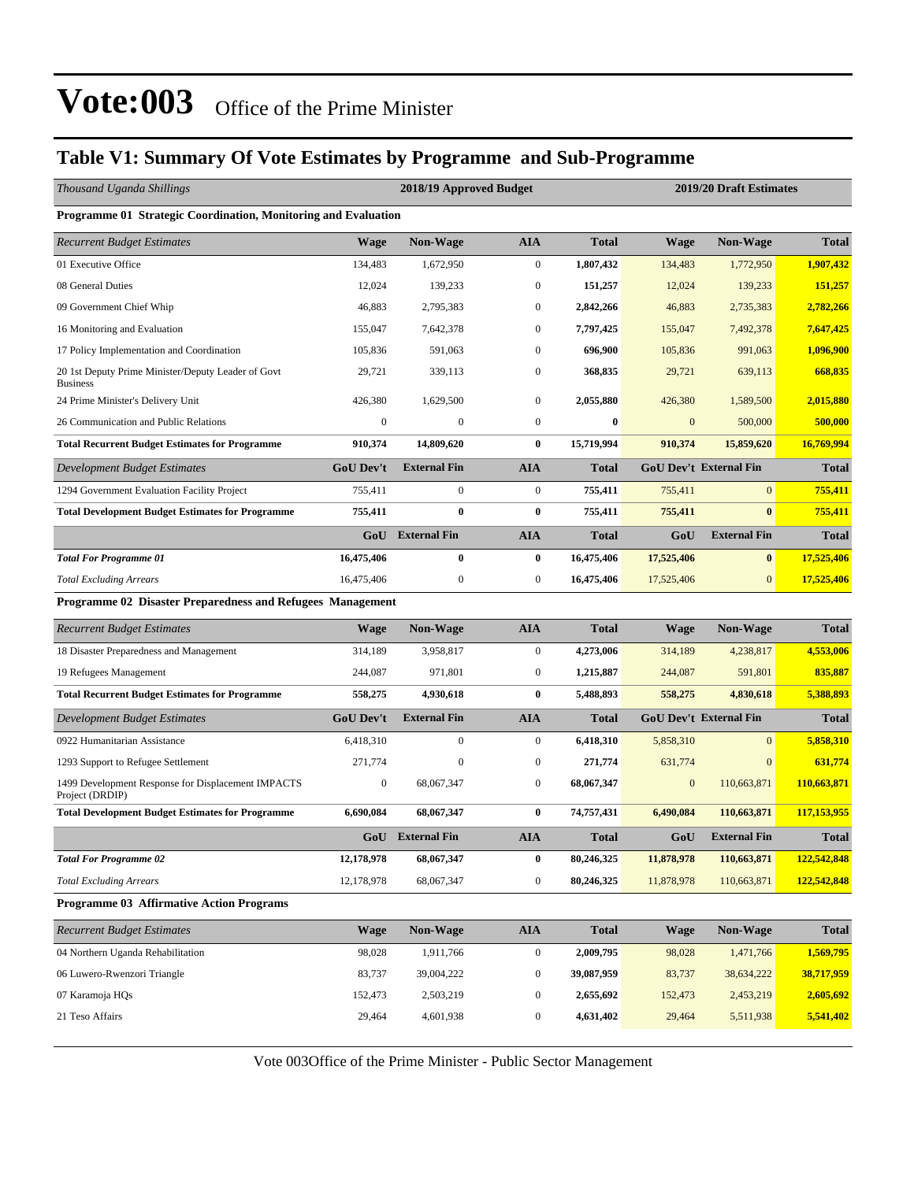#### **Table V1: Summary Of Vote Estimates by Programme and Sub-Programme**

| Thousand Uganda Shillings                                             |                  | 2018/19 Approved Budget |                  |              |                  | 2019/20 Draft Estimates       |              |
|-----------------------------------------------------------------------|------------------|-------------------------|------------------|--------------|------------------|-------------------------------|--------------|
| <b>Programme 01 Strategic Coordination, Monitoring and Evaluation</b> |                  |                         |                  |              |                  |                               |              |
| <b>Recurrent Budget Estimates</b>                                     | <b>Wage</b>      | <b>Non-Wage</b>         | <b>AIA</b>       | <b>Total</b> | Wage             | <b>Non-Wage</b>               | <b>Total</b> |
| 01 Executive Office                                                   | 134,483          | 1,672,950               | $\mathbf{0}$     | 1,807,432    | 134,483          | 1,772,950                     | 1,907,432    |
| 08 General Duties                                                     | 12,024           | 139,233                 | $\mathbf{0}$     | 151,257      | 12,024           | 139,233                       | 151,257      |
| 09 Government Chief Whip                                              | 46,883           | 2,795,383               | $\mathbf{0}$     | 2,842,266    | 46,883           | 2,735,383                     | 2,782,266    |
| 16 Monitoring and Evaluation                                          | 155,047          | 7,642,378               | $\mathbf{0}$     | 7,797,425    | 155,047          | 7,492,378                     | 7,647,425    |
| 17 Policy Implementation and Coordination                             | 105,836          | 591,063                 | $\mathbf{0}$     | 696,900      | 105,836          | 991,063                       | 1,096,900    |
| 20 1st Deputy Prime Minister/Deputy Leader of Govt<br><b>Business</b> | 29,721           | 339,113                 | $\mathbf{0}$     | 368,835      | 29,721           | 639,113                       | 668,835      |
| 24 Prime Minister's Delivery Unit                                     | 426,380          | 1,629,500               | $\mathbf{0}$     | 2,055,880    | 426,380          | 1,589,500                     | 2,015,880    |
| 26 Communication and Public Relations                                 | $\boldsymbol{0}$ | $\boldsymbol{0}$        | $\mathbf{0}$     | $\bf{0}$     | $\mathbf{0}$     | 500,000                       | 500,000      |
| <b>Total Recurrent Budget Estimates for Programme</b>                 | 910,374          | 14,809,620              | $\bf{0}$         | 15,719,994   | 910,374          | 15,859,620                    | 16,769,994   |
| Development Budget Estimates                                          | <b>GoU Dev't</b> | <b>External Fin</b>     | <b>AIA</b>       | <b>Total</b> |                  | <b>GoU Dev't External Fin</b> | <b>Total</b> |
| 1294 Government Evaluation Facility Project                           | 755,411          | $\boldsymbol{0}$        | $\mathbf{0}$     | 755,411      | 755,411          | $\mathbf{0}$                  | 755,411      |
| <b>Total Development Budget Estimates for Programme</b>               | 755,411          | $\bf{0}$                | $\bf{0}$         | 755,411      | 755,411          | $\bf{0}$                      | 755,411      |
|                                                                       | GoU              | <b>External Fin</b>     | <b>AIA</b>       | <b>Total</b> | GoU              | <b>External Fin</b>           | <b>Total</b> |
| <b>Total For Programme 01</b>                                         | 16,475,406       | $\bf{0}$                | $\bf{0}$         | 16,475,406   | 17,525,406       | $\bf{0}$                      | 17,525,406   |
| <b>Total Excluding Arrears</b>                                        | 16,475,406       | $\boldsymbol{0}$        | $\boldsymbol{0}$ | 16,475,406   | 17,525,406       | $\mathbf{0}$                  | 17,525,406   |
| Programme 02 Disaster Preparedness and Refugees Management            |                  |                         |                  |              |                  |                               |              |
| <b>Recurrent Budget Estimates</b>                                     | Wage             | <b>Non-Wage</b>         | <b>AIA</b>       | <b>Total</b> | Wage             | <b>Non-Wage</b>               | <b>Total</b> |
| 18 Disaster Preparedness and Management                               | 314,189          | 3,958,817               | $\mathbf{0}$     | 4,273,006    | 314,189          | 4,238,817                     | 4,553,006    |
| 19 Refugees Management                                                | 244,087          | 971,801                 | $\mathbf{0}$     | 1,215,887    | 244,087          | 591,801                       | 835,887      |
| <b>Total Recurrent Budget Estimates for Programme</b>                 | 558,275          | 4,930,618               | $\bf{0}$         | 5,488,893    | 558,275          | 4,830,618                     | 5,388,893    |
| Development Budget Estimates                                          | <b>GoU Dev't</b> | <b>External Fin</b>     | <b>AIA</b>       | <b>Total</b> |                  | <b>GoU Dev't External Fin</b> | <b>Total</b> |
| 0922 Humanitarian Assistance                                          | 6,418,310        | $\boldsymbol{0}$        | $\mathbf{0}$     | 6,418,310    | 5,858,310        | $\overline{0}$                | 5,858,310    |
| 1293 Support to Refugee Settlement                                    | 271,774          | $\boldsymbol{0}$        | $\mathbf{0}$     | 271,774      | 631,774          | $\boldsymbol{0}$              | 631,774      |
| 1499 Development Response for Displacement IMPACTS<br>Project (DRDIP) | $\boldsymbol{0}$ | 68,067,347              | $\mathbf{0}$     | 68,067,347   | $\boldsymbol{0}$ | 110,663,871                   | 110,663,871  |
| <b>Total Development Budget Estimates for Programme</b>               | 6,690,084        | 68,067,347              | $\bf{0}$         | 74,757,431   | 6,490,084        | 110,663,871                   | 117,153,955  |
|                                                                       |                  | GoU External Fin        | <b>AIA</b>       | <b>Total</b> | GoU              | <b>External Fin</b>           | <b>Total</b> |
| <b>Total For Programme 02</b>                                         | 12,178,978       | 68,067,347              | $\bf{0}$         | 80,246,325   | 11,878,978       | 110,663,871                   | 122,542,848  |
| <b>Total Excluding Arrears</b>                                        | 12,178,978       | 68,067,347              | $\boldsymbol{0}$ | 80,246,325   | 11,878,978       | 110,663,871                   | 122,542,848  |
| <b>Programme 03 Affirmative Action Programs</b>                       |                  |                         |                  |              |                  |                               |              |
| <b>Recurrent Budget Estimates</b>                                     | <b>Wage</b>      | Non-Wage                | <b>AIA</b>       | <b>Total</b> | Wage             | Non-Wage                      | <b>Total</b> |
| 04 Northern Uganda Rehabilitation                                     | 98,028           | 1,911,766               | $\boldsymbol{0}$ | 2,009,795    | 98,028           | 1,471,766                     | 1,569,795    |
| 06 Luwero-Rwenzori Triangle                                           | 83,737           | 39,004,222              | $\boldsymbol{0}$ | 39,087,959   | 83,737           | 38,634,222                    | 38,717,959   |
| 07 Karamoja HQs                                                       | 152,473          | 2,503,219               | $\boldsymbol{0}$ | 2,655,692    | 152,473          | 2,453,219                     | 2,605,692    |
| 21 Teso Affairs                                                       | 29,464           | 4,601,938               | $\boldsymbol{0}$ | 4,631,402    | 29,464           | 5,511,938                     | 5,541,402    |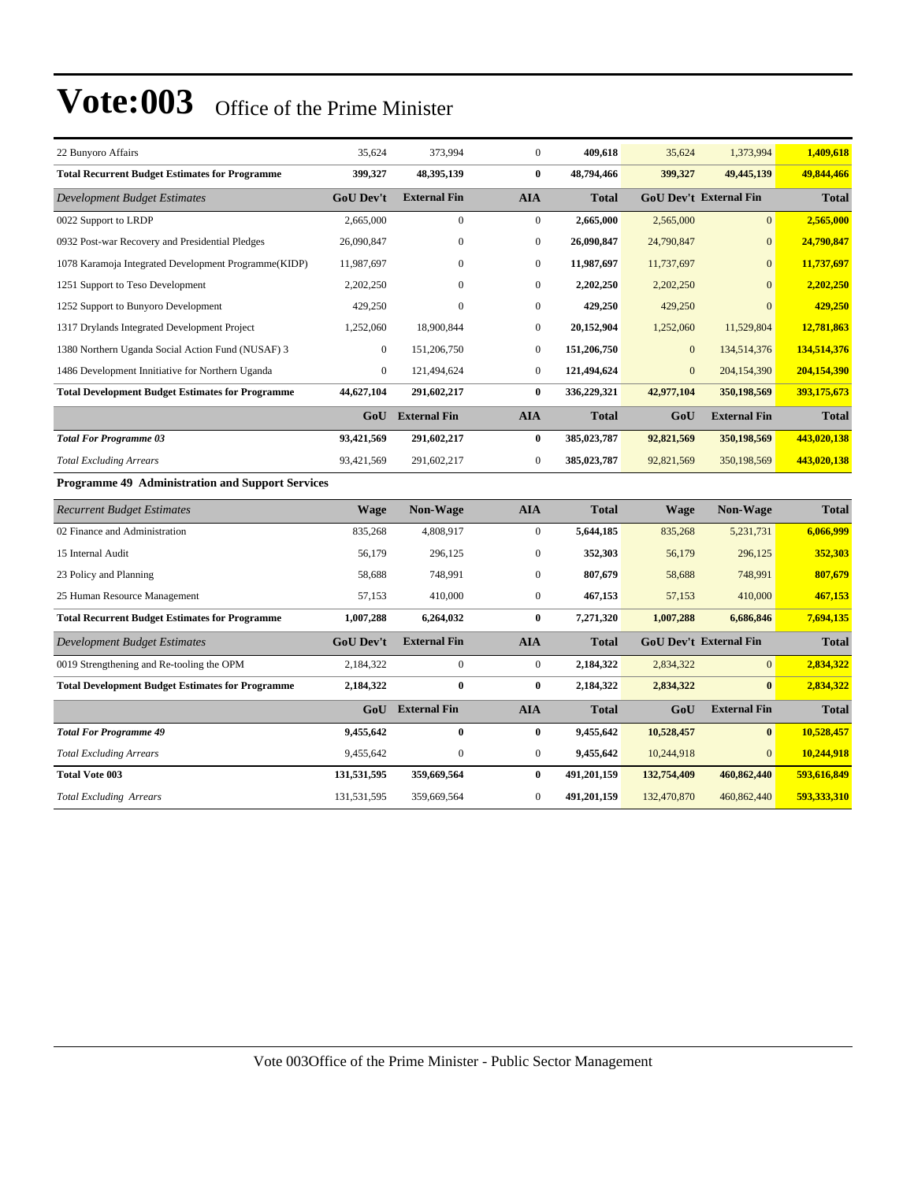| 22 Bunyoro Affairs                                      | 35,624           | 373,994             | $\overline{0}$   | 409,618      | 35,624       | 1,373,994                     | 1,409,618    |
|---------------------------------------------------------|------------------|---------------------|------------------|--------------|--------------|-------------------------------|--------------|
| <b>Total Recurrent Budget Estimates for Programme</b>   | 399,327          | 48,395,139          | $\bf{0}$         | 48,794,466   | 399,327      | 49,445,139                    | 49,844,466   |
| <b>Development Budget Estimates</b>                     | <b>GoU</b> Dev't | <b>External Fin</b> | <b>AIA</b>       | <b>Total</b> |              | <b>GoU Dev't External Fin</b> | <b>Total</b> |
| 0022 Support to LRDP                                    | 2,665,000        | $\mathbf{0}$        | $\overline{0}$   | 2,665,000    | 2,565,000    | $\overline{0}$                | 2,565,000    |
| 0932 Post-war Recovery and Presidential Pledges         | 26,090,847       | $\mathbf{0}$        | $\boldsymbol{0}$ | 26,090,847   | 24,790,847   | $\overline{0}$                | 24,790,847   |
| 1078 Karamoja Integrated Development Programme(KIDP)    | 11,987,697       | $\mathbf{0}$        | $\overline{0}$   | 11,987,697   | 11,737,697   | $\overline{0}$                | 11,737,697   |
| 1251 Support to Teso Development                        | 2,202,250        | $\mathbf{0}$        | $\overline{0}$   | 2,202,250    | 2,202,250    | $\Omega$                      | 2,202,250    |
| 1252 Support to Bunyoro Development                     | 429,250          | $\mathbf{0}$        | $\boldsymbol{0}$ | 429,250      | 429,250      | $\theta$                      | 429,250      |
| 1317 Drylands Integrated Development Project            | 1,252,060        | 18,900,844          | $\boldsymbol{0}$ | 20,152,904   | 1,252,060    | 11,529,804                    | 12,781,863   |
| 1380 Northern Uganda Social Action Fund (NUSAF) 3       | $\boldsymbol{0}$ | 151,206,750         | $\overline{0}$   | 151,206,750  | $\mathbf{0}$ | 134,514,376                   | 134,514,376  |
| 1486 Development Innitiative for Northern Uganda        | $\overline{0}$   | 121,494,624         | $\overline{0}$   | 121,494,624  | $\mathbf{0}$ | 204,154,390                   | 204,154,390  |
| <b>Total Development Budget Estimates for Programme</b> | 44,627,104       | 291,602,217         | $\bf{0}$         | 336,229,321  | 42,977,104   | 350,198,569                   | 393,175,673  |
|                                                         |                  | GoU External Fin    | <b>AIA</b>       | <b>Total</b> | GoU          | <b>External Fin</b>           | <b>Total</b> |
| <b>Total For Programme 03</b>                           | 93,421,569       | 291,602,217         | $\bf{0}$         | 385,023,787  | 92,821,569   | 350,198,569                   | 443,020,138  |
| <b>Total Excluding Arrears</b>                          | 93,421,569       | 291,602,217         | $\overline{0}$   | 385,023,787  | 92,821,569   | 350,198,569                   | 443,020,138  |
| <b>Programme 49 Administration and Support Services</b> |                  |                     |                  |              |              |                               |              |
| <b>Recurrent Budget Estimates</b>                       | <b>Wage</b>      | Non-Wage            | <b>AIA</b>       | <b>Total</b> | <b>Wage</b>  | Non-Wage                      | <b>Total</b> |
| 02 Finance and Administration                           | 835,268          | 4,808,917           | $\overline{0}$   | 5,644,185    | 835,268      | 5,231,731                     | 6,066,999    |
| 15 Internal Audit                                       | 56,179           | 296,125             | $\boldsymbol{0}$ | 352,303      | 56,179       | 296,125                       | 352,303      |
| 23 Policy and Planning                                  | 58,688           | 748,991             | $\overline{0}$   | 807,679      | 58,688       | 748,991                       | 807,679      |
| 25 Human Resource Management                            | 57,153           | 410,000             | $\overline{0}$   | 467,153      | 57,153       | 410,000                       | 467,153      |
| <b>Total Recurrent Budget Estimates for Programme</b>   | 1,007,288        | 6,264,032           | $\bf{0}$         | 7,271,320    | 1,007,288    | 6,686,846                     | 7,694,135    |
| <b>Development Budget Estimates</b>                     | <b>GoU Dev't</b> | <b>External Fin</b> | <b>AIA</b>       | <b>Total</b> |              | <b>GoU Dev't External Fin</b> | <b>Total</b> |
| 0019 Strengthening and Re-tooling the OPM               | 2,184,322        | $\boldsymbol{0}$    | $\overline{0}$   | 2,184,322    | 2,834,322    | $\overline{0}$                | 2,834,322    |
| <b>Total Development Budget Estimates for Programme</b> | 2,184,322        | $\bf{0}$            | $\bf{0}$         | 2,184,322    | 2,834,322    | $\bf{0}$                      | 2,834,322    |
|                                                         | GoU              | <b>External Fin</b> | <b>AIA</b>       | <b>Total</b> | GoU          | <b>External Fin</b>           | <b>Total</b> |
| <b>Total For Programme 49</b>                           | 9,455,642        | 0                   | $\bf{0}$         | 9,455,642    | 10,528,457   | $\bf{0}$                      | 10,528,457   |
| <b>Total Excluding Arrears</b>                          | 9,455,642        | $\mathbf{0}$        | $\overline{0}$   | 9,455,642    | 10,244,918   | $\Omega$                      | 10,244,918   |
| <b>Total Vote 003</b>                                   | 131,531,595      | 359,669,564         | $\bf{0}$         | 491,201,159  | 132,754,409  | 460,862,440                   | 593,616,849  |

*Total Excluding Arrears* 131,531,595 359,669,564 0 **491,201,159** 132,470,870 460,862,440 **593,333,310**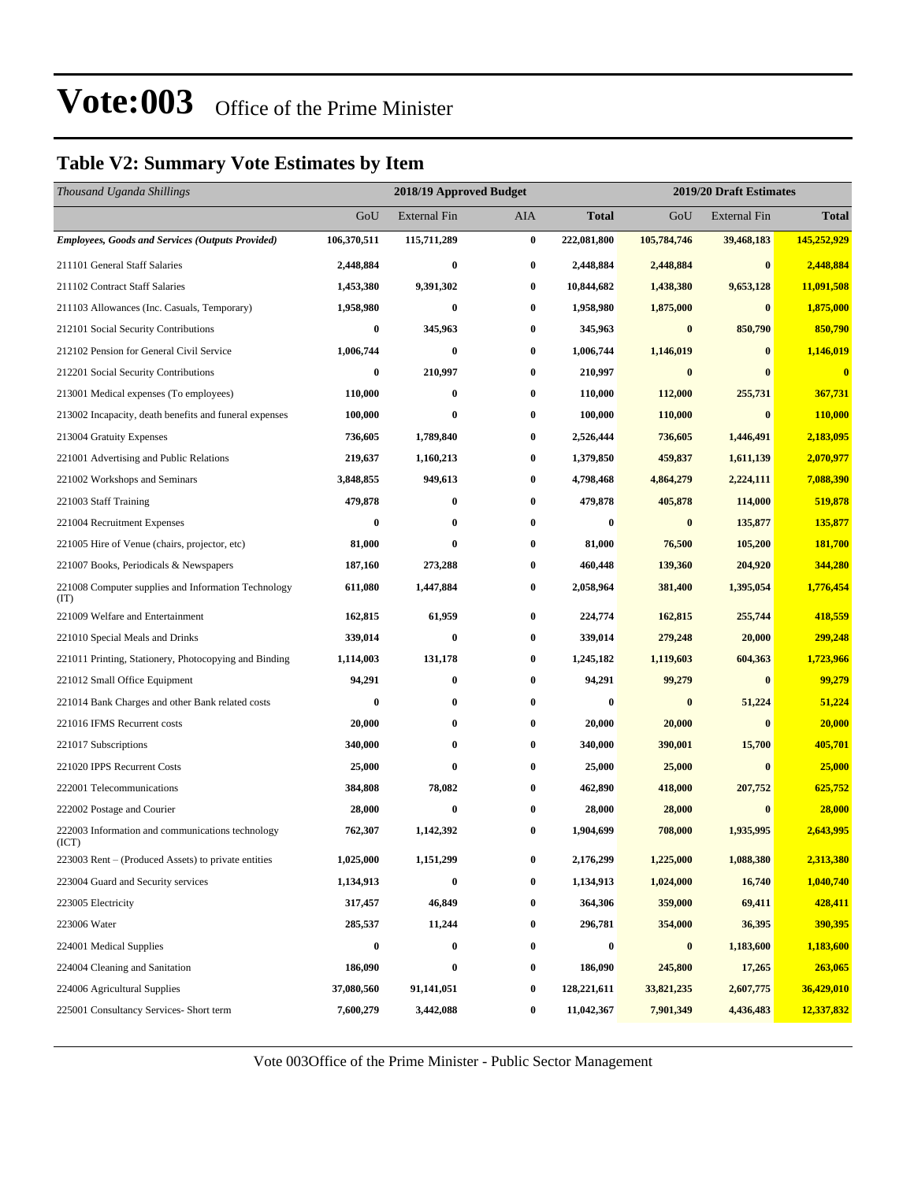#### **Table V2: Summary Vote Estimates by Item**

| Thousand Uganda Shillings                                   |             | 2018/19 Approved Budget | 2019/20 Draft Estimates |              |             |                     |              |
|-------------------------------------------------------------|-------------|-------------------------|-------------------------|--------------|-------------|---------------------|--------------|
|                                                             | GoU         | <b>External Fin</b>     | AIA                     | <b>Total</b> | GoU         | <b>External Fin</b> | <b>Total</b> |
| <b>Employees, Goods and Services (Outputs Provided)</b>     | 106,370,511 | 115,711,289             | $\bf{0}$                | 222,081,800  | 105,784,746 | 39,468,183          | 145,252,929  |
| 211101 General Staff Salaries                               | 2,448,884   | $\bf{0}$                | $\bf{0}$                | 2,448,884    | 2,448,884   | $\bf{0}$            | 2,448,884    |
| 211102 Contract Staff Salaries                              | 1,453,380   | 9,391,302               | $\bf{0}$                | 10,844,682   | 1,438,380   | 9,653,128           | 11,091,508   |
| 211103 Allowances (Inc. Casuals, Temporary)                 | 1,958,980   | $\bf{0}$                | $\bf{0}$                | 1,958,980    | 1,875,000   | $\bf{0}$            | 1,875,000    |
| 212101 Social Security Contributions                        | 0           | 345,963                 | $\bf{0}$                | 345,963      | $\bf{0}$    | 850,790             | 850,790      |
| 212102 Pension for General Civil Service                    | 1,006,744   | $\bf{0}$                | $\bf{0}$                | 1,006,744    | 1,146,019   | $\bf{0}$            | 1,146,019    |
| 212201 Social Security Contributions                        | 0           | 210,997                 | 0                       | 210,997      | $\pmb{0}$   | $\bf{0}$            | $\bf{0}$     |
| 213001 Medical expenses (To employees)                      | 110,000     | $\bf{0}$                | $\bf{0}$                | 110,000      | 112,000     | 255,731             | 367,731      |
| 213002 Incapacity, death benefits and funeral expenses      | 100,000     | $\bf{0}$                | $\bf{0}$                | 100,000      | 110,000     | $\bf{0}$            | 110,000      |
| 213004 Gratuity Expenses                                    | 736,605     | 1,789,840               | $\bf{0}$                | 2,526,444    | 736,605     | 1,446,491           | 2,183,095    |
| 221001 Advertising and Public Relations                     | 219,637     | 1,160,213               | 0                       | 1,379,850    | 459,837     | 1,611,139           | 2,070,977    |
| 221002 Workshops and Seminars                               | 3,848,855   | 949,613                 | 0                       | 4,798,468    | 4,864,279   | 2,224,111           | 7,088,390    |
| 221003 Staff Training                                       | 479,878     | $\bf{0}$                | $\bf{0}$                | 479,878      | 405,878     | 114,000             | 519,878      |
| 221004 Recruitment Expenses                                 | 0           | $\bf{0}$                | $\bf{0}$                | 0            | $\bf{0}$    | 135,877             | 135,877      |
| 221005 Hire of Venue (chairs, projector, etc)               | 81,000      | $\bf{0}$                | $\bf{0}$                | 81,000       | 76,500      | 105,200             | 181,700      |
| 221007 Books, Periodicals & Newspapers                      | 187,160     | 273,288                 | 0                       | 460,448      | 139,360     | 204,920             | 344,280      |
| 221008 Computer supplies and Information Technology<br>(TT) | 611,080     | 1,447,884               | 0                       | 2,058,964    | 381,400     | 1,395,054           | 1,776,454    |
| 221009 Welfare and Entertainment                            | 162,815     | 61,959                  | $\bf{0}$                | 224,774      | 162,815     | 255,744             | 418,559      |
| 221010 Special Meals and Drinks                             | 339,014     | $\bf{0}$                | $\bf{0}$                | 339,014      | 279,248     | 20,000              | 299,248      |
| 221011 Printing, Stationery, Photocopying and Binding       | 1,114,003   | 131,178                 | $\boldsymbol{0}$        | 1,245,182    | 1,119,603   | 604,363             | 1,723,966    |
| 221012 Small Office Equipment                               | 94,291      | $\bf{0}$                | $\bf{0}$                | 94,291       | 99,279      | $\bf{0}$            | 99,279       |
| 221014 Bank Charges and other Bank related costs            | 0           | $\bf{0}$                | 0                       | $\bf{0}$     | $\bf{0}$    | 51,224              | 51,224       |
| 221016 IFMS Recurrent costs                                 | 20,000      | $\bf{0}$                | $\bf{0}$                | 20,000       | 20,000      | $\bf{0}$            | 20,000       |
| 221017 Subscriptions                                        | 340,000     | $\bf{0}$                | $\bf{0}$                | 340,000      | 390,001     | 15,700              | 405,701      |
| 221020 IPPS Recurrent Costs                                 | 25,000      | $\bf{0}$                | $\bf{0}$                | 25,000       | 25,000      | $\bf{0}$            | 25,000       |
| 222001 Telecommunications                                   | 384,808     | 78,082                  | 0                       | 462,890      | 418,000     | 207,752             | 625,752      |
| 222002 Postage and Courier                                  | 28,000      | $\bf{0}$                | 0                       | 28,000       | 28,000      | $\bf{0}$            | 28,000       |
| 222003 Information and communications technology<br>(ICT)   | 762,307     | 1,142,392               | $\bf{0}$                | 1,904,699    | 708,000     | 1,935,995           | 2,643,995    |
| 223003 Rent – (Produced Assets) to private entities         | 1,025,000   | 1,151,299               | $\bf{0}$                | 2,176,299    | 1,225,000   | 1,088,380           | 2,313,380    |
| 223004 Guard and Security services                          | 1,134,913   | $\bf{0}$                | $\bf{0}$                | 1,134,913    | 1,024,000   | 16,740              | 1,040,740    |
| 223005 Electricity                                          | 317,457     | 46,849                  | $\boldsymbol{0}$        | 364,306      | 359,000     | 69,411              | 428,411      |
| 223006 Water                                                | 285,537     | 11,244                  | 0                       | 296,781      | 354,000     | 36,395              | 390,395      |
| 224001 Medical Supplies                                     | 0           | $\bf{0}$                | $\bf{0}$                | 0            | $\bf{0}$    | 1,183,600           | 1,183,600    |
| 224004 Cleaning and Sanitation                              | 186,090     | $\bf{0}$                | $\bf{0}$                | 186,090      | 245,800     | 17,265              | 263,065      |
| 224006 Agricultural Supplies                                | 37,080,560  | 91,141,051              | $\bf{0}$                | 128,221,611  | 33,821,235  | 2,607,775           | 36,429,010   |
| 225001 Consultancy Services- Short term                     | 7,600,279   | 3,442,088               | $\bf{0}$                | 11,042,367   | 7,901,349   | 4,436,483           | 12,337,832   |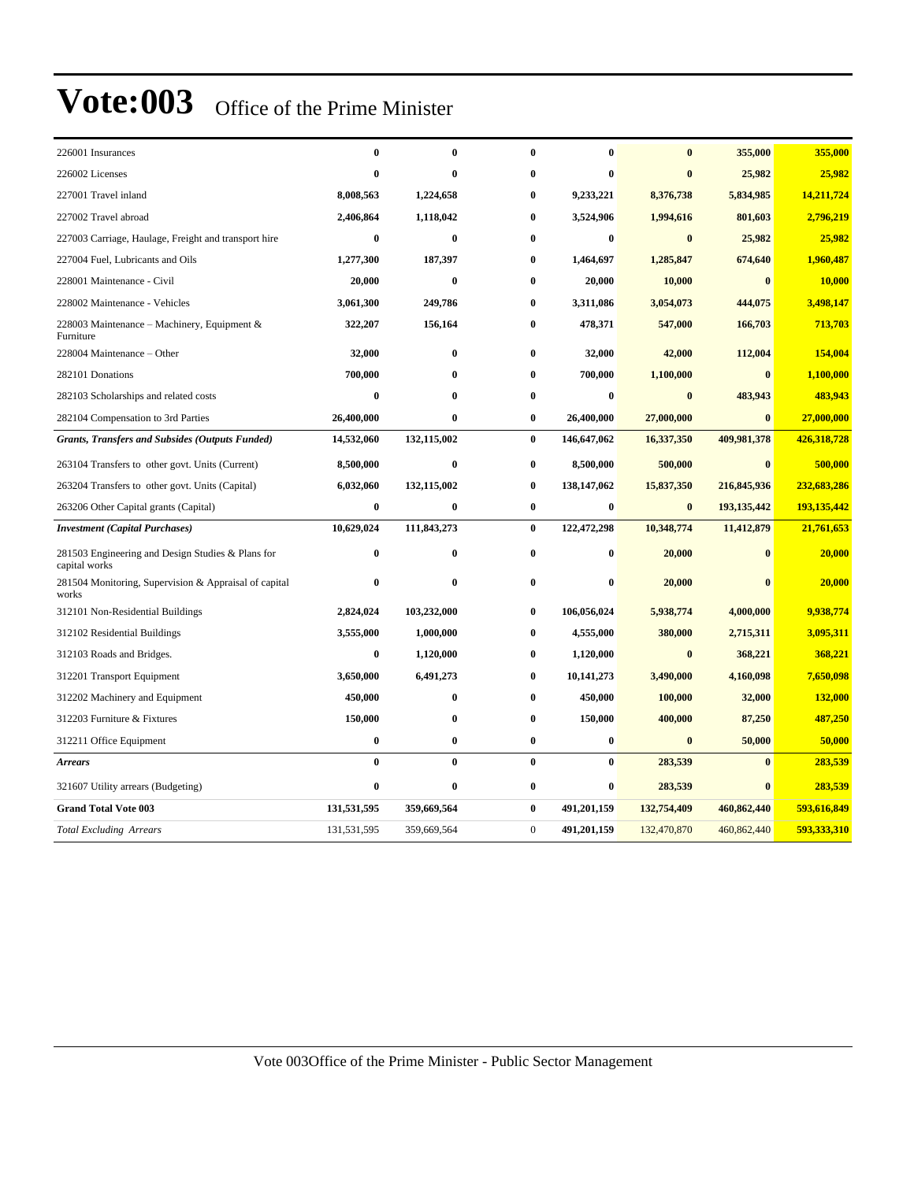| 226001 Insurances                                                  | $\bf{0}$    | $\bf{0}$    | $\bf{0}$       | $\bf{0}$    | $\bf{0}$    | 355,000       | 355,000     |
|--------------------------------------------------------------------|-------------|-------------|----------------|-------------|-------------|---------------|-------------|
| 226002 Licenses                                                    | $\bf{0}$    | $\bf{0}$    | $\bf{0}$       | $\bf{0}$    | $\bf{0}$    | 25,982        | 25,982      |
| 227001 Travel inland                                               | 8,008,563   | 1,224,658   | $\bf{0}$       | 9,233,221   | 8,376,738   | 5,834,985     | 14,211,724  |
| 227002 Travel abroad                                               | 2,406,864   | 1,118,042   | 0              | 3,524,906   | 1,994,616   | 801,603       | 2,796,219   |
| 227003 Carriage, Haulage, Freight and transport hire               | $\bf{0}$    | $\bf{0}$    | $\bf{0}$       | $\bf{0}$    | $\bf{0}$    | 25,982        | 25,982      |
| 227004 Fuel, Lubricants and Oils                                   | 1,277,300   | 187,397     | $\bf{0}$       | 1,464,697   | 1,285,847   | 674,640       | 1,960,487   |
| 228001 Maintenance - Civil                                         | 20,000      | $\bf{0}$    | $\bf{0}$       | 20,000      | 10,000      | $\bf{0}$      | 10,000      |
| 228002 Maintenance - Vehicles                                      | 3,061,300   | 249,786     | $\bf{0}$       | 3,311,086   | 3,054,073   | 444,075       | 3,498,147   |
| 228003 Maintenance – Machinery, Equipment $\&$<br>Furniture        | 322,207     | 156,164     | $\bf{0}$       | 478,371     | 547,000     | 166,703       | 713,703     |
| 228004 Maintenance - Other                                         | 32,000      | $\bf{0}$    | $\bf{0}$       | 32,000      | 42,000      | 112,004       | 154,004     |
| 282101 Donations                                                   | 700,000     | $\bf{0}$    | $\bf{0}$       | 700,000     | 1,100,000   | $\bf{0}$      | 1,100,000   |
| 282103 Scholarships and related costs                              | $\bf{0}$    | $\bf{0}$    | $\bf{0}$       | $\bf{0}$    | $\bf{0}$    | 483,943       | 483,943     |
| 282104 Compensation to 3rd Parties                                 | 26,400,000  | $\bf{0}$    | $\bf{0}$       | 26,400,000  | 27,000,000  | $\bf{0}$      | 27,000,000  |
| <b>Grants, Transfers and Subsides (Outputs Funded)</b>             | 14,532,060  | 132,115,002 | $\bf{0}$       | 146,647,062 | 16,337,350  | 409,981,378   | 426,318,728 |
| 263104 Transfers to other govt. Units (Current)                    | 8,500,000   | $\bf{0}$    | $\bf{0}$       | 8,500,000   | 500,000     | $\bf{0}$      | 500,000     |
| 263204 Transfers to other govt. Units (Capital)                    | 6,032,060   | 132,115,002 | $\bf{0}$       | 138,147,062 | 15,837,350  | 216,845,936   | 232,683,286 |
| 263206 Other Capital grants (Capital)                              | $\bf{0}$    | $\bf{0}$    | $\bf{0}$       | $\bf{0}$    | $\bf{0}$    | 193, 135, 442 | 193,135,442 |
| <b>Investment</b> (Capital Purchases)                              | 10,629,024  | 111,843,273 | $\bf{0}$       | 122,472,298 | 10,348,774  | 11,412,879    | 21,761,653  |
| 281503 Engineering and Design Studies & Plans for<br>capital works | $\bf{0}$    | $\bf{0}$    | $\bf{0}$       | $\bf{0}$    | 20,000      | $\mathbf{0}$  | 20,000      |
| 281504 Monitoring, Supervision & Appraisal of capital<br>works     | $\bf{0}$    | $\bf{0}$    | $\bf{0}$       | $\bf{0}$    | 20,000      | $\bf{0}$      | 20,000      |
| 312101 Non-Residential Buildings                                   | 2,824,024   | 103,232,000 | 0              | 106,056,024 | 5,938,774   | 4,000,000     | 9,938,774   |
| 312102 Residential Buildings                                       | 3,555,000   | 1,000,000   | $\bf{0}$       | 4,555,000   | 380,000     | 2,715,311     | 3,095,311   |
| 312103 Roads and Bridges.                                          | $\bf{0}$    | 1,120,000   | $\bf{0}$       | 1,120,000   | $\bf{0}$    | 368,221       | 368,221     |
| 312201 Transport Equipment                                         | 3,650,000   | 6,491,273   | $\bf{0}$       | 10,141,273  | 3,490,000   | 4,160,098     | 7,650,098   |
| 312202 Machinery and Equipment                                     | 450,000     | $\bf{0}$    | $\bf{0}$       | 450,000     | 100,000     | 32,000        | 132,000     |
| 312203 Furniture & Fixtures                                        | 150,000     | $\bf{0}$    | $\bf{0}$       | 150,000     | 400,000     | 87,250        | 487,250     |
| 312211 Office Equipment                                            | $\bf{0}$    | 0           | $\bf{0}$       | $\bf{0}$    | $\bf{0}$    | 50,000        | 50,000      |
| <b>Arrears</b>                                                     | $\bf{0}$    | $\bf{0}$    | $\bf{0}$       | $\bf{0}$    | 283,539     | $\bf{0}$      | 283,539     |
| 321607 Utility arrears (Budgeting)                                 | $\bf{0}$    | $\bf{0}$    | $\bf{0}$       | $\bf{0}$    | 283,539     | $\bf{0}$      | 283,539     |
| <b>Grand Total Vote 003</b>                                        | 131,531,595 | 359,669,564 | $\bf{0}$       | 491,201,159 | 132,754,409 | 460,862,440   | 593,616,849 |
| <b>Total Excluding Arrears</b>                                     | 131,531,595 | 359,669,564 | $\overline{0}$ | 491,201,159 | 132,470,870 | 460,862,440   | 593,333,310 |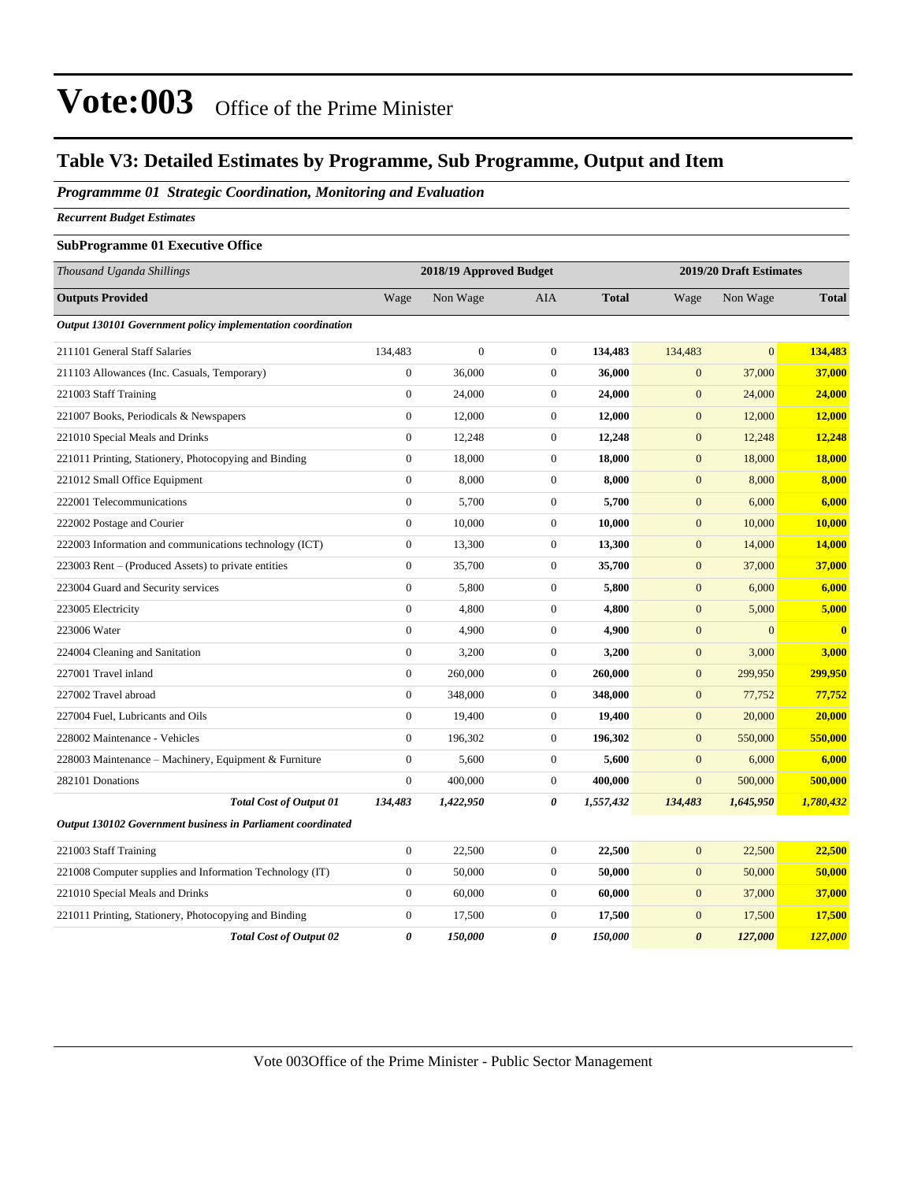#### **Table V3: Detailed Estimates by Programme, Sub Programme, Output and Item**

*Programmme 01 Strategic Coordination, Monitoring and Evaluation*

*Recurrent Budget Estimates*

#### **SubProgramme 01 Executive Office**

| Thousand Uganda Shillings                                   |                  | 2018/19 Approved Budget |                  |              |                       | 2019/20 Draft Estimates |              |
|-------------------------------------------------------------|------------------|-------------------------|------------------|--------------|-----------------------|-------------------------|--------------|
| <b>Outputs Provided</b>                                     | Wage             | Non Wage                | <b>AIA</b>       | <b>Total</b> | Wage                  | Non Wage                | <b>Total</b> |
| Output 130101 Government policy implementation coordination |                  |                         |                  |              |                       |                         |              |
| 211101 General Staff Salaries                               | 134,483          | $\boldsymbol{0}$        | $\mathbf{0}$     | 134,483      | 134,483               | $\overline{0}$          | 134,483      |
| 211103 Allowances (Inc. Casuals, Temporary)                 | $\overline{0}$   | 36,000                  | $\overline{0}$   | 36,000       | $\mathbf{0}$          | 37,000                  | 37,000       |
| 221003 Staff Training                                       | $\overline{0}$   | 24,000                  | $\overline{0}$   | 24,000       | $\overline{0}$        | 24,000                  | 24,000       |
| 221007 Books, Periodicals & Newspapers                      | $\overline{0}$   | 12,000                  | $\overline{0}$   | 12,000       | $\mathbf{0}$          | 12,000                  | 12,000       |
| 221010 Special Meals and Drinks                             | $\overline{0}$   | 12,248                  | $\boldsymbol{0}$ | 12,248       | $\boldsymbol{0}$      | 12,248                  | 12,248       |
| 221011 Printing, Stationery, Photocopying and Binding       | $\boldsymbol{0}$ | 18,000                  | $\boldsymbol{0}$ | 18,000       | $\boldsymbol{0}$      | 18,000                  | 18,000       |
| 221012 Small Office Equipment                               | $\boldsymbol{0}$ | 8,000                   | $\mathbf{0}$     | 8,000        | $\boldsymbol{0}$      | 8,000                   | 8,000        |
| 222001 Telecommunications                                   | $\boldsymbol{0}$ | 5,700                   | $\mathbf{0}$     | 5,700        | $\boldsymbol{0}$      | 6,000                   | 6,000        |
| 222002 Postage and Courier                                  | $\boldsymbol{0}$ | 10,000                  | $\mathbf{0}$     | 10,000       | $\mathbf{0}$          | 10,000                  | 10,000       |
| 222003 Information and communications technology (ICT)      | $\boldsymbol{0}$ | 13,300                  | $\mathbf{0}$     | 13,300       | $\mathbf{0}$          | 14,000                  | 14,000       |
| 223003 Rent – (Produced Assets) to private entities         | $\boldsymbol{0}$ | 35,700                  | $\mathbf{0}$     | 35,700       | $\mathbf{0}$          | 37,000                  | 37,000       |
| 223004 Guard and Security services                          | $\boldsymbol{0}$ | 5,800                   | $\mathbf{0}$     | 5,800        | $\boldsymbol{0}$      | 6,000                   | 6,000        |
| 223005 Electricity                                          | $\boldsymbol{0}$ | 4,800                   | $\mathbf{0}$     | 4,800        | $\mathbf{0}$          | 5,000                   | 5,000        |
| 223006 Water                                                | $\boldsymbol{0}$ | 4,900                   | $\mathbf{0}$     | 4,900        | $\mathbf{0}$          | $\overline{0}$          | $\bf{0}$     |
| 224004 Cleaning and Sanitation                              | $\boldsymbol{0}$ | 3,200                   | $\mathbf{0}$     | 3,200        | $\boldsymbol{0}$      | 3,000                   | 3,000        |
| 227001 Travel inland                                        | $\boldsymbol{0}$ | 260,000                 | $\mathbf{0}$     | 260,000      | $\mathbf{0}$          | 299,950                 | 299,950      |
| 227002 Travel abroad                                        | $\boldsymbol{0}$ | 348,000                 | $\mathbf{0}$     | 348,000      | $\boldsymbol{0}$      | 77,752                  | 77,752       |
| 227004 Fuel, Lubricants and Oils                            | $\boldsymbol{0}$ | 19,400                  | $\mathbf{0}$     | 19,400       | $\mathbf{0}$          | 20,000                  | 20,000       |
| 228002 Maintenance - Vehicles                               | $\boldsymbol{0}$ | 196,302                 | $\mathbf{0}$     | 196,302      | $\mathbf{0}$          | 550,000                 | 550,000      |
| 228003 Maintenance – Machinery, Equipment & Furniture       | $\boldsymbol{0}$ | 5,600                   | $\boldsymbol{0}$ | 5,600        | $\mathbf{0}$          | 6,000                   | 6,000        |
| 282101 Donations                                            | $\overline{0}$   | 400,000                 | $\mathbf{0}$     | 400,000      | $\mathbf{0}$          | 500,000                 | 500,000      |
| <b>Total Cost of Output 01</b>                              | 134,483          | 1,422,950               | 0                | 1,557,432    | 134,483               | 1,645,950               | 1,780,432    |
| Output 130102 Government business in Parliament coordinated |                  |                         |                  |              |                       |                         |              |
| 221003 Staff Training                                       | $\boldsymbol{0}$ | 22,500                  | $\mathbf{0}$     | 22,500       | $\mathbf{0}$          | 22,500                  | 22,500       |
| 221008 Computer supplies and Information Technology (IT)    | $\overline{0}$   | 50,000                  | $\mathbf{0}$     | 50,000       | $\mathbf{0}$          | 50,000                  | 50,000       |
| 221010 Special Meals and Drinks                             | $\overline{0}$   | 60,000                  | $\overline{0}$   | 60,000       | $\overline{0}$        | 37,000                  | 37,000       |
| 221011 Printing, Stationery, Photocopying and Binding       | $\overline{0}$   | 17,500                  | $\overline{0}$   | 17,500       | $\boldsymbol{0}$      | 17,500                  | 17,500       |
| <b>Total Cost of Output 02</b>                              | $\theta$         | 150,000                 | 0                | 150,000      | $\boldsymbol{\theta}$ | 127,000                 | 127.000      |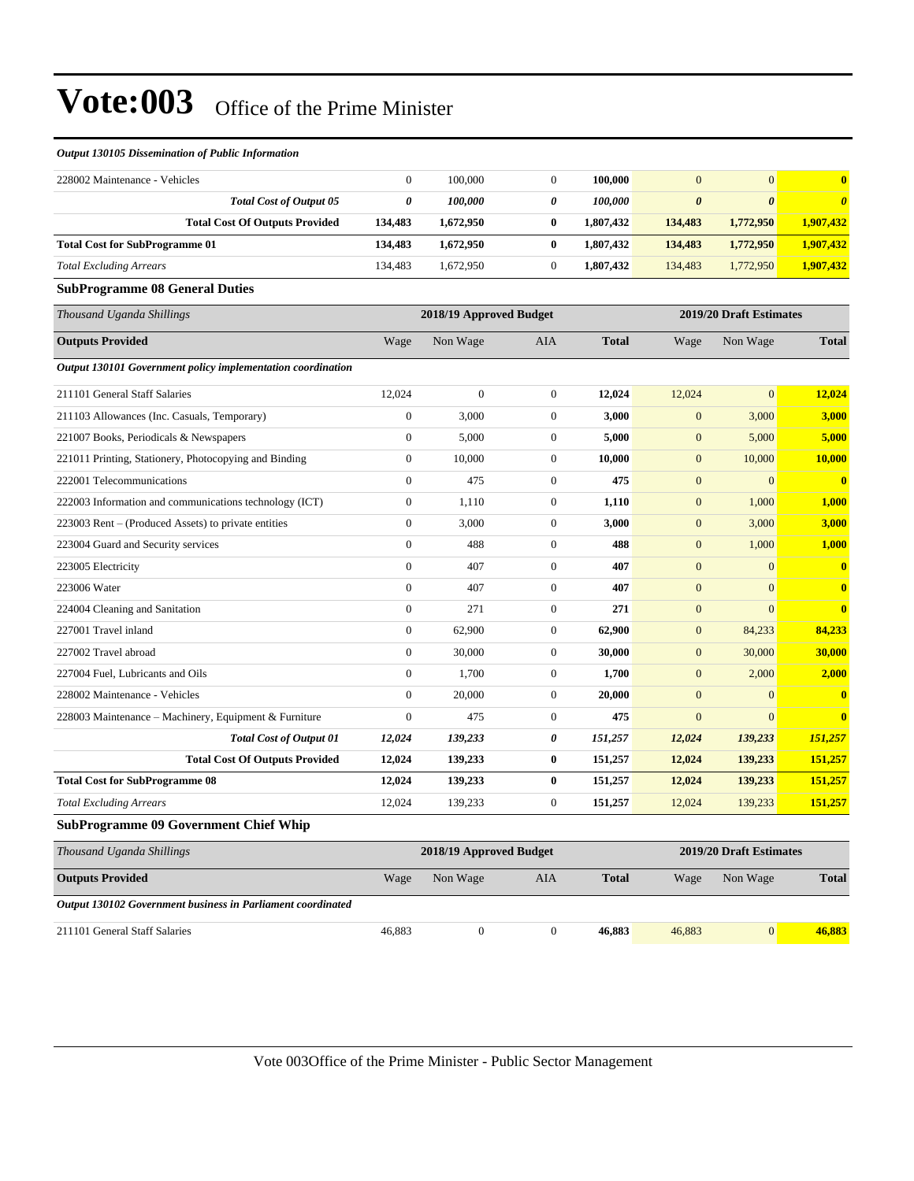#### *Output 130105 Dissemination of Public Information*

| 228002 Maintenance - Vehicles                               | $\mathbf{0}$                                       | 100,000      | $\overline{0}$   | 100,000      | $\overline{0}$        | $\overline{0}$        | $\bf{0}$     |
|-------------------------------------------------------------|----------------------------------------------------|--------------|------------------|--------------|-----------------------|-----------------------|--------------|
| <b>Total Cost of Output 05</b>                              | $\boldsymbol{\theta}$                              | 100,000      | 0                | 100,000      | $\boldsymbol{\theta}$ | $\boldsymbol{\theta}$ | $\theta$     |
| <b>Total Cost Of Outputs Provided</b>                       | 134,483                                            | 1,672,950    | $\bf{0}$         | 1,807,432    | 134,483               | 1,772,950             | 1,907,432    |
| <b>Total Cost for SubProgramme 01</b>                       | 134,483                                            | 1,672,950    | $\bf{0}$         | 1,807,432    | 134,483               | 1,772,950             | 1,907,432    |
| <b>Total Excluding Arrears</b>                              | 134,483                                            | 1,672,950    | $\boldsymbol{0}$ | 1,807,432    | 134,483               | 1,772,950             | 1,907,432    |
| <b>SubProgramme 08 General Duties</b>                       |                                                    |              |                  |              |                       |                       |              |
| Thousand Uganda Shillings                                   | 2018/19 Approved Budget<br>2019/20 Draft Estimates |              |                  |              |                       |                       |              |
| <b>Outputs Provided</b>                                     | Wage                                               | Non Wage     | AIA              | <b>Total</b> | Wage                  | Non Wage              | <b>Total</b> |
| Output 130101 Government policy implementation coordination |                                                    |              |                  |              |                       |                       |              |
| 211101 General Staff Salaries                               | 12,024                                             | $\mathbf{0}$ | $\mathbf{0}$     | 12,024       | 12,024                | $\overline{0}$        | 12,024       |
| 211103 Allowances (Inc. Casuals, Temporary)                 | $\mathbf{0}$                                       | 3,000        | $\overline{0}$   | 3,000        | $\overline{0}$        | 3,000                 | 3,000        |
| 221007 Books, Periodicals & Newspapers                      | $\mathbf{0}$                                       | 5,000        | $\overline{0}$   | 5,000        | $\mathbf{0}$          | 5,000                 | 5,000        |
| 221011 Printing, Stationery, Photocopying and Binding       | $\mathbf{0}$                                       | 10,000       | $\boldsymbol{0}$ | 10,000       | $\mathbf{0}$          | 10,000                | 10,000       |
| 222001 Telecommunications                                   | $\mathbf{0}$                                       | 475          | $\mathbf{0}$     | 475          | $\mathbf{0}$          | $\mathbf{0}$          | $\bf{0}$     |
| 222003 Information and communications technology (ICT)      | $\boldsymbol{0}$                                   | 1,110        | $\boldsymbol{0}$ | 1,110        | $\overline{0}$        | 1,000                 | 1,000        |
| 223003 Rent - (Produced Assets) to private entities         | $\mathbf{0}$                                       | 3,000        | $\overline{0}$   | 3,000        | $\mathbf{0}$          | 3,000                 | 3,000        |
| 223004 Guard and Security services                          | $\mathbf{0}$                                       | 488          | $\overline{0}$   | 488          | $\overline{0}$        | 1,000                 | 1,000        |
| 223005 Electricity                                          | $\mathbf{0}$                                       | 407          | $\boldsymbol{0}$ | 407          | $\mathbf{0}$          | $\mathbf{0}$          | $\bf{0}$     |
| 223006 Water                                                | $\mathbf{0}$                                       | 407          | $\overline{0}$   | 407          | $\overline{0}$        | $\overline{0}$        | $\mathbf{0}$ |
| 224004 Cleaning and Sanitation                              | $\mathbf{0}$                                       | 271          | $\overline{0}$   | 271          | $\overline{0}$        | $\Omega$              | $\bf{0}$     |
| 227001 Travel inland                                        | $\mathbf{0}$                                       | 62,900       | $\overline{0}$   | 62,900       | $\mathbf{0}$          | 84,233                | 84,233       |
| 227002 Travel abroad                                        | $\theta$                                           | 30,000       | $\mathbf{0}$     | 30,000       | $\overline{0}$        | 30,000                | 30,000       |
| 227004 Fuel, Lubricants and Oils                            | $\mathbf{0}$                                       | 1,700        | $\mathbf{0}$     | 1,700        | $\mathbf{0}$          | 2,000                 | 2,000        |
| 228002 Maintenance - Vehicles                               | $\mathbf{0}$                                       | 20,000       | $\boldsymbol{0}$ | 20,000       | $\overline{0}$        | $\overline{0}$        | $\bf{0}$     |
| 228003 Maintenance - Machinery, Equipment & Furniture       | $\theta$                                           | 475          | $\mathbf{0}$     | 475          | $\overline{0}$        | $\Omega$              | $\mathbf{0}$ |
| <b>Total Cost of Output 01</b>                              | 12,024                                             | 139,233      | 0                | 151,257      | 12,024                | 139,233               | 151,257      |
| <b>Total Cost Of Outputs Provided</b>                       | 12,024                                             | 139,233      | $\bf{0}$         | 151,257      | 12,024                | 139,233               | 151,257      |
| <b>Total Cost for SubProgramme 08</b>                       | 12,024                                             | 139,233      | $\bf{0}$         | 151,257      | 12,024                | 139,233               | 151,257      |
| <b>Total Excluding Arrears</b>                              | 12,024                                             | 139,233      | $\overline{0}$   | 151,257      | 12,024                | 139,233               | 151,257      |
|                                                             |                                                    |              |                  |              |                       |                       |              |

#### **SubProgramme 09 Government Chief Whip**

| Thousand Uganda Shillings                                   |        | 2018/19 Approved Budget |     |              | 2019/20 Draft Estimates |              |  |
|-------------------------------------------------------------|--------|-------------------------|-----|--------------|-------------------------|--------------|--|
| <b>Outputs Provided</b>                                     | Wage   | Non Wage                | AIA | <b>Total</b> | Wage<br>Non Wage        | <b>Total</b> |  |
| Output 130102 Government business in Parliament coordinated |        |                         |     |              |                         |              |  |
| 211101 General Staff Salaries                               | 46,883 |                         |     | 46,883       | 46,883<br>$\Omega$      | 46.883       |  |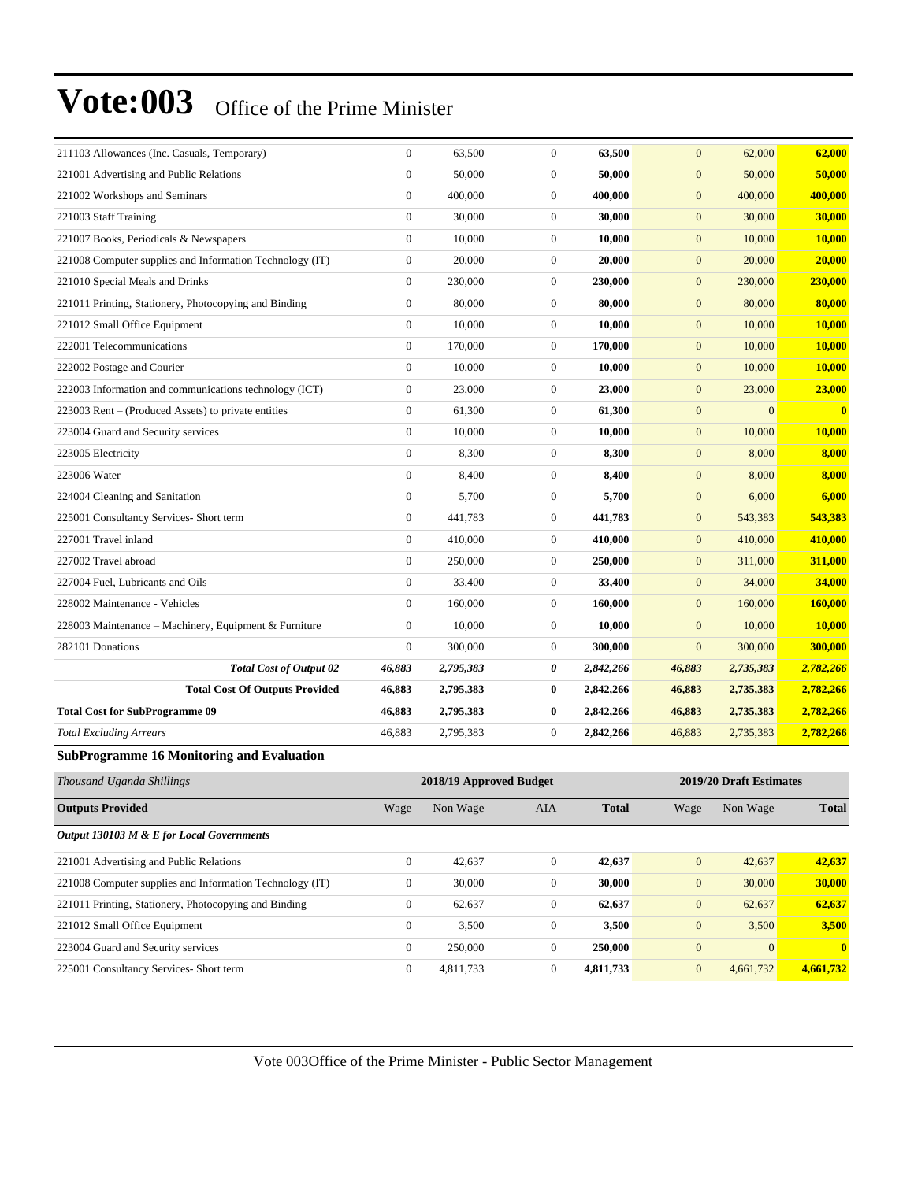| 211103 Allowances (Inc. Casuals, Temporary)              | $\overline{0}$   | 63,500                  | $\mathbf{0}$     | 63,500       | $\overline{0}$   | 62,000                  | 62,000       |
|----------------------------------------------------------|------------------|-------------------------|------------------|--------------|------------------|-------------------------|--------------|
| 221001 Advertising and Public Relations                  | $\boldsymbol{0}$ | 50,000                  | $\boldsymbol{0}$ | 50,000       | $\mathbf{0}$     | 50,000                  | 50,000       |
| 221002 Workshops and Seminars                            | $\boldsymbol{0}$ | 400,000                 | $\boldsymbol{0}$ | 400,000      | $\mathbf{0}$     | 400,000                 | 400,000      |
| 221003 Staff Training                                    | $\boldsymbol{0}$ | 30,000                  | $\boldsymbol{0}$ | 30,000       | $\mathbf{0}$     | 30,000                  | 30,000       |
| 221007 Books, Periodicals & Newspapers                   | $\boldsymbol{0}$ | 10,000                  | $\boldsymbol{0}$ | 10,000       | $\mathbf{0}$     | 10,000                  | 10,000       |
| 221008 Computer supplies and Information Technology (IT) | $\boldsymbol{0}$ | 20,000                  | $\overline{0}$   | 20,000       | $\mathbf{0}$     | 20,000                  | 20,000       |
| 221010 Special Meals and Drinks                          | $\boldsymbol{0}$ | 230,000                 | $\boldsymbol{0}$ | 230,000      | $\mathbf{0}$     | 230,000                 | 230,000      |
| 221011 Printing, Stationery, Photocopying and Binding    | $\boldsymbol{0}$ | 80,000                  | $\boldsymbol{0}$ | 80,000       | $\mathbf{0}$     | 80,000                  | 80,000       |
| 221012 Small Office Equipment                            | $\boldsymbol{0}$ | 10,000                  | $\boldsymbol{0}$ | 10,000       | $\mathbf{0}$     | 10,000                  | 10,000       |
| 222001 Telecommunications                                | $\overline{0}$   | 170,000                 | $\boldsymbol{0}$ | 170,000      | $\mathbf{0}$     | 10,000                  | 10,000       |
| 222002 Postage and Courier                               | $\overline{0}$   | 10,000                  | $\boldsymbol{0}$ | 10,000       | $\mathbf{0}$     | 10,000                  | 10,000       |
| 222003 Information and communications technology (ICT)   | $\boldsymbol{0}$ | 23,000                  | $\overline{0}$   | 23,000       | $\mathbf{0}$     | 23,000                  | 23,000       |
| 223003 Rent – (Produced Assets) to private entities      | $\overline{0}$   | 61,300                  | $\boldsymbol{0}$ | 61,300       | $\mathbf{0}$     | $\mathbf{0}$            | $\bf{0}$     |
| 223004 Guard and Security services                       | $\boldsymbol{0}$ | 10,000                  | $\boldsymbol{0}$ | 10,000       | $\boldsymbol{0}$ | 10,000                  | 10,000       |
| 223005 Electricity                                       | $\boldsymbol{0}$ | 8,300                   | $\overline{0}$   | 8,300        | $\mathbf{0}$     | 8,000                   | 8,000        |
| 223006 Water                                             | $\overline{0}$   | 8,400                   | $\boldsymbol{0}$ | 8,400        | $\mathbf{0}$     | 8,000                   | 8,000        |
| 224004 Cleaning and Sanitation                           | $\overline{0}$   | 5,700                   | $\overline{0}$   | 5,700        | $\mathbf{0}$     | 6,000                   | 6,000        |
| 225001 Consultancy Services- Short term                  | $\overline{0}$   | 441,783                 | $\overline{0}$   | 441,783      | $\mathbf{0}$     | 543,383                 | 543,383      |
| 227001 Travel inland                                     | $\overline{0}$   | 410,000                 | $\mathbf{0}$     | 410,000      | $\mathbf{0}$     | 410,000                 | 410,000      |
| 227002 Travel abroad                                     | $\overline{0}$   | 250,000                 | $\overline{0}$   | 250,000      | $\mathbf{0}$     | 311,000                 | 311,000      |
| 227004 Fuel, Lubricants and Oils                         | $\boldsymbol{0}$ | 33,400                  | $\overline{0}$   | 33,400       | $\mathbf{0}$     | 34,000                  | 34,000       |
| 228002 Maintenance - Vehicles                            | $\overline{0}$   | 160,000                 | $\overline{0}$   | 160,000      | $\mathbf{0}$     | 160,000                 | 160,000      |
| 228003 Maintenance – Machinery, Equipment & Furniture    | $\overline{0}$   | 10,000                  | $\overline{0}$   | 10,000       | $\mathbf{0}$     | 10,000                  | 10,000       |
| 282101 Donations                                         | $\overline{0}$   | 300,000                 | $\overline{0}$   | 300,000      | $\mathbf{0}$     | 300,000                 | 300,000      |
| <b>Total Cost of Output 02</b>                           | 46,883           | 2,795,383               | 0                | 2,842,266    | 46,883           | 2,735,383               | 2,782,266    |
| <b>Total Cost Of Outputs Provided</b>                    | 46,883           | 2,795,383               | $\bf{0}$         | 2,842,266    | 46,883           | 2,735,383               | 2,782,266    |
| <b>Total Cost for SubProgramme 09</b>                    | 46,883           | 2,795,383               | $\bf{0}$         | 2,842,266    | 46,883           | 2,735,383               | 2,782,266    |
| <b>Total Excluding Arrears</b>                           | 46,883           | 2,795,383               | $\mathbf{0}$     | 2,842,266    | 46,883           | 2,735,383               | 2,782,266    |
| <b>SubProgramme 16 Monitoring and Evaluation</b>         |                  |                         |                  |              |                  |                         |              |
| Thousand Uganda Shillings                                |                  | 2018/19 Approved Budget |                  |              |                  | 2019/20 Draft Estimates |              |
| <b>Outputs Provided</b>                                  | Wage             | Non Wage                | <b>AIA</b>       | <b>Total</b> | Wage             | Non Wage                | <b>Total</b> |

| Output 130103 M & E for Local Governments                |   |           |              |           |                |                 |              |
|----------------------------------------------------------|---|-----------|--------------|-----------|----------------|-----------------|--------------|
| 221001 Advertising and Public Relations                  | 0 | 42,637    | 0            | 42,637    | $\overline{0}$ | 42,637          | 42.637       |
| 221008 Computer supplies and Information Technology (IT) | 0 | 30,000    | 0            | 30,000    | $\mathbf{0}$   | 30,000          | 30,000       |
| 221011 Printing, Stationery, Photocopying and Binding    | 0 | 62.637    | $\mathbf{0}$ | 62.637    | $\mathbf{0}$   | 62.637          | 62,637       |
| 221012 Small Office Equipment                            | 0 | 3.500     | $\theta$     | 3.500     | $\Omega$       | 3,500           | 3,500        |
| 223004 Guard and Security services                       | 0 | 250,000   | $\theta$     | 250,000   | $\Omega$       | $\vert 0 \vert$ | $\mathbf{0}$ |
| 225001 Consultancy Services- Short term                  | 0 | 4,811,733 |              | 4,811,733 | $\Omega$       | 4,661,732       | 4,661,732    |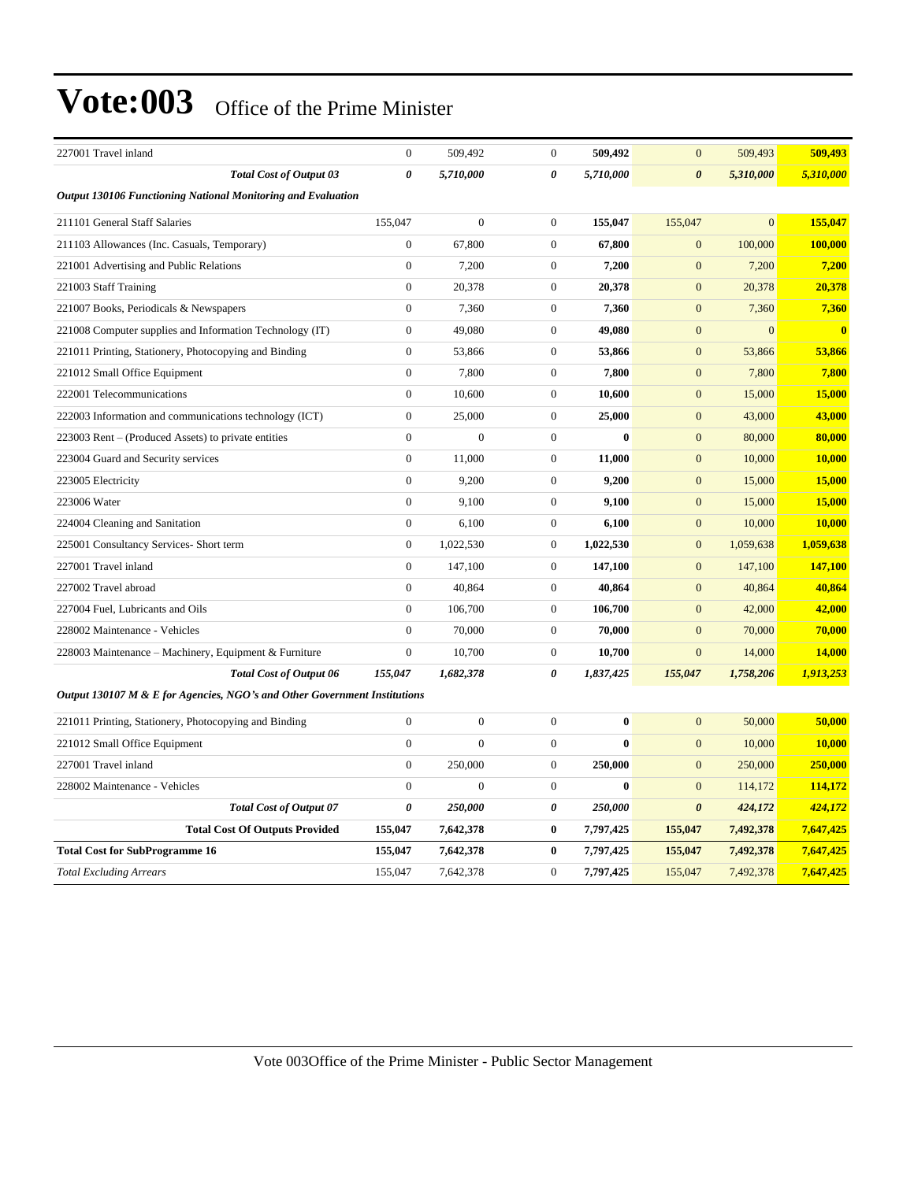| 227001 Travel inland                                                      | $\overline{0}$   | 509.492          | $\mathbf{0}$          | 509,492   | $\mathbf{0}$          | 509,493        | 509,493      |
|---------------------------------------------------------------------------|------------------|------------------|-----------------------|-----------|-----------------------|----------------|--------------|
| <b>Total Cost of Output 03</b>                                            | 0                | 5,710,000        | 0                     | 5,710,000 | $\boldsymbol{\theta}$ | 5,310,000      | 5,310,000    |
| <b>Output 130106 Functioning National Monitoring and Evaluation</b>       |                  |                  |                       |           |                       |                |              |
| 211101 General Staff Salaries                                             | 155,047          | $\boldsymbol{0}$ | $\mathbf{0}$          | 155,047   | 155,047               | $\mathbf{0}$   | 155,047      |
| 211103 Allowances (Inc. Casuals, Temporary)                               | $\boldsymbol{0}$ | 67,800           | $\boldsymbol{0}$      | 67,800    | $\mathbf{0}$          | 100,000        | 100,000      |
| 221001 Advertising and Public Relations                                   | $\boldsymbol{0}$ | 7,200            | $\mathbf{0}$          | 7,200     | $\mathbf{0}$          | 7,200          | 7,200        |
| 221003 Staff Training                                                     | $\boldsymbol{0}$ | 20,378           | $\mathbf{0}$          | 20,378    | $\mathbf{0}$          | 20,378         | 20,378       |
| 221007 Books, Periodicals & Newspapers                                    | $\overline{0}$   | 7,360            | $\mathbf{0}$          | 7,360     | $\mathbf{0}$          | 7,360          | 7,360        |
| 221008 Computer supplies and Information Technology (IT)                  | $\overline{0}$   | 49,080           | $\overline{0}$        | 49,080    | $\mathbf{0}$          | $\overline{0}$ | $\mathbf{0}$ |
| 221011 Printing, Stationery, Photocopying and Binding                     | $\overline{0}$   | 53,866           | $\overline{0}$        | 53,866    | $\mathbf{0}$          | 53,866         | 53,866       |
| 221012 Small Office Equipment                                             | $\overline{0}$   | 7,800            | $\mathbf{0}$          | 7,800     | $\overline{0}$        | 7,800          | 7,800        |
| 222001 Telecommunications                                                 | $\boldsymbol{0}$ | 10,600           | $\mathbf{0}$          | 10,600    | $\mathbf{0}$          | 15,000         | 15,000       |
| 222003 Information and communications technology (ICT)                    | $\boldsymbol{0}$ | 25,000           | $\mathbf{0}$          | 25,000    | $\mathbf{0}$          | 43,000         | 43,000       |
| 223003 Rent – (Produced Assets) to private entities                       | $\overline{0}$   | $\boldsymbol{0}$ | $\boldsymbol{0}$      | $\bf{0}$  | $\mathbf{0}$          | 80,000         | 80,000       |
| 223004 Guard and Security services                                        | $\overline{0}$   | 11,000           | $\mathbf{0}$          | 11,000    | $\mathbf{0}$          | 10,000         | 10,000       |
| 223005 Electricity                                                        | $\overline{0}$   | 9,200            | $\overline{0}$        | 9,200     | $\overline{0}$        | 15,000         | 15,000       |
| 223006 Water                                                              | $\overline{0}$   | 9,100            | $\overline{0}$        | 9,100     | $\mathbf{0}$          | 15,000         | 15,000       |
| 224004 Cleaning and Sanitation                                            | $\overline{0}$   | 6,100            | $\mathbf{0}$          | 6,100     | $\mathbf{0}$          | 10,000         | 10,000       |
| 225001 Consultancy Services- Short term                                   | $\boldsymbol{0}$ | 1,022,530        | $\mathbf{0}$          | 1,022,530 | $\mathbf{0}$          | 1,059,638      | 1,059,638    |
| 227001 Travel inland                                                      | $\overline{0}$   | 147,100          | $\overline{0}$        | 147,100   | $\mathbf{0}$          | 147,100        | 147,100      |
| 227002 Travel abroad                                                      | $\overline{0}$   | 40,864           | $\overline{0}$        | 40,864    | $\mathbf{0}$          | 40,864         | 40,864       |
| 227004 Fuel, Lubricants and Oils                                          | $\overline{0}$   | 106,700          | $\overline{0}$        | 106,700   | $\mathbf{0}$          | 42,000         | 42,000       |
| 228002 Maintenance - Vehicles                                             | $\overline{0}$   | 70,000           | $\overline{0}$        | 70,000    | $\mathbf{0}$          | 70,000         | 70,000       |
| 228003 Maintenance - Machinery, Equipment & Furniture                     | $\overline{0}$   | 10,700           | $\overline{0}$        | 10,700    | $\overline{0}$        | 14,000         | 14,000       |
| <b>Total Cost of Output 06</b>                                            | 155,047          | 1,682,378        | $\boldsymbol{\theta}$ | 1,837,425 | 155,047               | 1,758,206      | 1,913,253    |
| Output 130107 M & E for Agencies, NGO's and Other Government Institutions |                  |                  |                       |           |                       |                |              |
| 221011 Printing, Stationery, Photocopying and Binding                     | $\boldsymbol{0}$ | $\boldsymbol{0}$ | $\mathbf{0}$          | $\bf{0}$  | $\mathbf{0}$          | 50,000         | 50,000       |
| 221012 Small Office Equipment                                             | $\boldsymbol{0}$ | $\Omega$         | $\boldsymbol{0}$      | $\bf{0}$  | $\mathbf{0}$          | 10,000         | 10,000       |
| 227001 Travel inland                                                      | $\boldsymbol{0}$ | 250,000          | $\mathbf{0}$          | 250,000   | $\mathbf{0}$          | 250,000        | 250,000      |
| 228002 Maintenance - Vehicles                                             | $\overline{0}$   | $\mathbf{0}$     | $\boldsymbol{0}$      | $\bf{0}$  | $\mathbf{0}$          | 114,172        | 114,172      |
| Total Cost of Output 07                                                   | 0                | 250,000          | $\pmb{\theta}$        | 250,000   | $\boldsymbol{\theta}$ | 424,172        | 424,172      |
| <b>Total Cost Of Outputs Provided</b>                                     | 155,047          | 7,642,378        | $\bf{0}$              | 7,797,425 | 155,047               | 7,492,378      | 7,647,425    |
| <b>Total Cost for SubProgramme 16</b>                                     | 155,047          | 7,642,378        | $\bf{0}$              | 7,797,425 | 155,047               | 7,492,378      | 7,647,425    |
| <b>Total Excluding Arrears</b>                                            | 155,047          | 7,642,378        | $\overline{0}$        | 7,797,425 | 155,047               | 7,492,378      | 7,647,425    |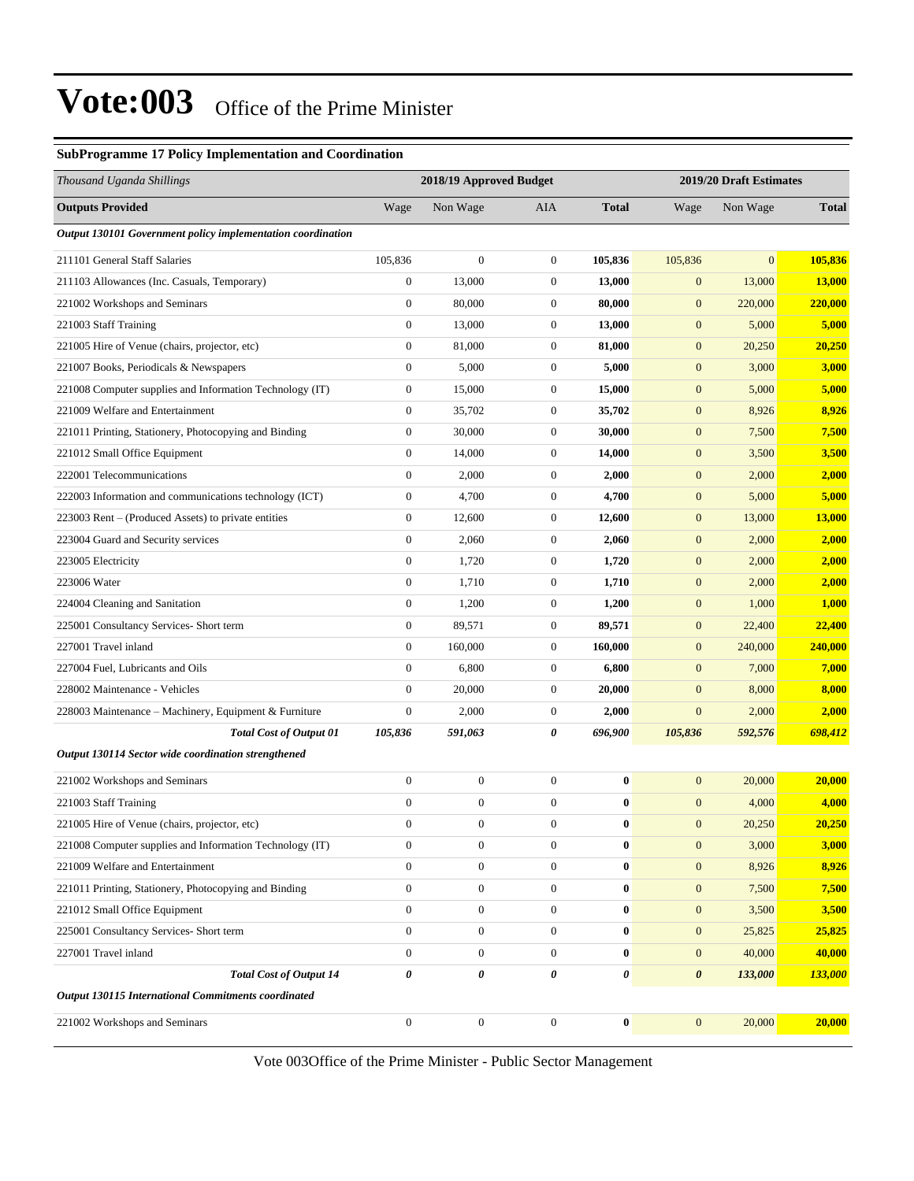#### **SubProgramme 17 Policy Implementation and Coordination**

| Thousand Uganda Shillings                                   |                  | 2018/19 Approved Budget |                  |              |                  | 2019/20 Draft Estimates |               |
|-------------------------------------------------------------|------------------|-------------------------|------------------|--------------|------------------|-------------------------|---------------|
| <b>Outputs Provided</b>                                     | Wage             | Non Wage                | AIA              | <b>Total</b> | Wage             | Non Wage                | <b>Total</b>  |
| Output 130101 Government policy implementation coordination |                  |                         |                  |              |                  |                         |               |
| 211101 General Staff Salaries                               | 105,836          | $\boldsymbol{0}$        | $\boldsymbol{0}$ | 105,836      | 105,836          | $\overline{0}$          | 105,836       |
| 211103 Allowances (Inc. Casuals, Temporary)                 | $\boldsymbol{0}$ | 13,000                  | 0                | 13,000       | $\boldsymbol{0}$ | 13,000                  | <b>13,000</b> |
| 221002 Workshops and Seminars                               | $\boldsymbol{0}$ | 80,000                  | $\boldsymbol{0}$ | 80,000       | $\mathbf{0}$     | 220,000                 | 220,000       |
| 221003 Staff Training                                       | $\boldsymbol{0}$ | 13,000                  | $\boldsymbol{0}$ | 13,000       | $\mathbf{0}$     | 5,000                   | 5,000         |
| 221005 Hire of Venue (chairs, projector, etc)               | $\boldsymbol{0}$ | 81,000                  | $\boldsymbol{0}$ | 81,000       | $\mathbf{0}$     | 20,250                  | 20,250        |
| 221007 Books, Periodicals & Newspapers                      | $\mathbf{0}$     | 5,000                   | $\boldsymbol{0}$ | 5,000        | $\mathbf{0}$     | 3,000                   | 3,000         |
| 221008 Computer supplies and Information Technology (IT)    | $\boldsymbol{0}$ | 15,000                  | $\boldsymbol{0}$ | 15,000       | $\mathbf{0}$     | 5,000                   | 5,000         |
| 221009 Welfare and Entertainment                            | $\boldsymbol{0}$ | 35,702                  | $\boldsymbol{0}$ | 35,702       | $\mathbf{0}$     | 8,926                   | 8,926         |
| 221011 Printing, Stationery, Photocopying and Binding       | $\boldsymbol{0}$ | 30,000                  | $\boldsymbol{0}$ | 30,000       | $\mathbf{0}$     | 7,500                   | 7,500         |
| 221012 Small Office Equipment                               | $\boldsymbol{0}$ | 14,000                  | $\boldsymbol{0}$ | 14,000       | $\mathbf{0}$     | 3,500                   | 3,500         |
| 222001 Telecommunications                                   | $\boldsymbol{0}$ | 2,000                   | $\boldsymbol{0}$ | 2,000        | $\mathbf{0}$     | 2,000                   | 2,000         |
| 222003 Information and communications technology (ICT)      | $\boldsymbol{0}$ | 4,700                   | $\boldsymbol{0}$ | 4,700        | $\mathbf{0}$     | 5,000                   | 5,000         |
| 223003 Rent – (Produced Assets) to private entities         | $\boldsymbol{0}$ | 12,600                  | $\boldsymbol{0}$ | 12,600       | $\boldsymbol{0}$ | 13,000                  | 13,000        |
| 223004 Guard and Security services                          | $\boldsymbol{0}$ | 2,060                   | $\boldsymbol{0}$ | 2,060        | $\mathbf{0}$     | 2,000                   | 2,000         |
| 223005 Electricity                                          | $\boldsymbol{0}$ | 1,720                   | $\boldsymbol{0}$ | 1,720        | $\mathbf{0}$     | 2,000                   | 2,000         |
| 223006 Water                                                | $\boldsymbol{0}$ | 1,710                   | $\boldsymbol{0}$ | 1,710        | $\mathbf{0}$     | 2,000                   | 2,000         |
| 224004 Cleaning and Sanitation                              | $\boldsymbol{0}$ | 1,200                   | $\boldsymbol{0}$ | 1,200        | $\mathbf{0}$     | 1,000                   | 1,000         |
| 225001 Consultancy Services- Short term                     | $\boldsymbol{0}$ | 89,571                  | $\boldsymbol{0}$ | 89,571       | $\mathbf{0}$     | 22,400                  | 22,400        |
| 227001 Travel inland                                        | $\boldsymbol{0}$ | 160,000                 | $\boldsymbol{0}$ | 160,000      | $\mathbf{0}$     | 240,000                 | 240,000       |
| 227004 Fuel, Lubricants and Oils                            | $\overline{0}$   | 6,800                   | $\boldsymbol{0}$ | 6,800        | $\mathbf{0}$     | 7,000                   | 7,000         |
| 228002 Maintenance - Vehicles                               | $\mathbf{0}$     | 20,000                  | 0                | 20,000       | $\mathbf{0}$     | 8,000                   | 8,000         |
| 228003 Maintenance – Machinery, Equipment & Furniture       | $\mathbf{0}$     | 2,000                   | $\boldsymbol{0}$ | 2,000        | $\boldsymbol{0}$ | 2,000                   | 2,000         |
| <b>Total Cost of Output 01</b>                              | 105,836          | 591,063                 | 0                | 696,900      | 105,836          | 592,576                 | 698,412       |
| Output 130114 Sector wide coordination strengthened         |                  |                         |                  |              |                  |                         |               |
| 221002 Workshops and Seminars                               | $\boldsymbol{0}$ | $\boldsymbol{0}$        | $\boldsymbol{0}$ | $\bf{0}$     | $\mathbf{0}$     | 20,000                  | 20,000        |
| 221003 Staff Training                                       | $\overline{0}$   | $\boldsymbol{0}$        | $\boldsymbol{0}$ | $\bf{0}$     | $\boldsymbol{0}$ | 4,000                   | 4,000         |
| 221005 Hire of Venue (chairs, projector, etc)               | $\mathbf{0}$     | $\boldsymbol{0}$        | $\overline{0}$   | $\bf{0}$     | $\mathbf{0}$     | 20,250                  | 20,250        |
| 221008 Computer supplies and Information Technology (IT)    | $\boldsymbol{0}$ | $\boldsymbol{0}$        | $\boldsymbol{0}$ | $\bf{0}$     | $\mathbf{0}$     | 3,000                   | 3,000         |
| 221009 Welfare and Entertainment                            | $\mathbf{0}$     | $\boldsymbol{0}$        | $\boldsymbol{0}$ | $\bf{0}$     | $\boldsymbol{0}$ | 8,926                   | 8,926         |
| 221011 Printing, Stationery, Photocopying and Binding       | $\boldsymbol{0}$ | $\boldsymbol{0}$        | $\boldsymbol{0}$ | $\bf{0}$     | $\mathbf{0}$     | 7,500                   | 7,500         |
| 221012 Small Office Equipment                               | $\mathbf{0}$     | $\boldsymbol{0}$        | $\boldsymbol{0}$ | $\bf{0}$     | $\mathbf{0}$     | 3,500                   | 3,500         |
| 225001 Consultancy Services- Short term                     | $\boldsymbol{0}$ | $\boldsymbol{0}$        | $\boldsymbol{0}$ | $\bf{0}$     | $\mathbf{0}$     | 25,825                  | 25,825        |
| 227001 Travel inland                                        | $\mathbf{0}$     | $\boldsymbol{0}$        | $\boldsymbol{0}$ | $\bf{0}$     | $\mathbf{0}$     | 40,000                  | 40,000        |
| <b>Total Cost of Output 14</b>                              | 0                | 0                       | 0                | 0            | $\pmb{\theta}$   | 133,000                 | 133,000       |
| <b>Output 130115 International Commitments coordinated</b>  |                  |                         |                  |              |                  |                         |               |
| 221002 Workshops and Seminars                               | $\boldsymbol{0}$ | $\boldsymbol{0}$        | $\boldsymbol{0}$ | $\bf{0}$     | $\mathbf{0}$     | 20,000                  | 20,000        |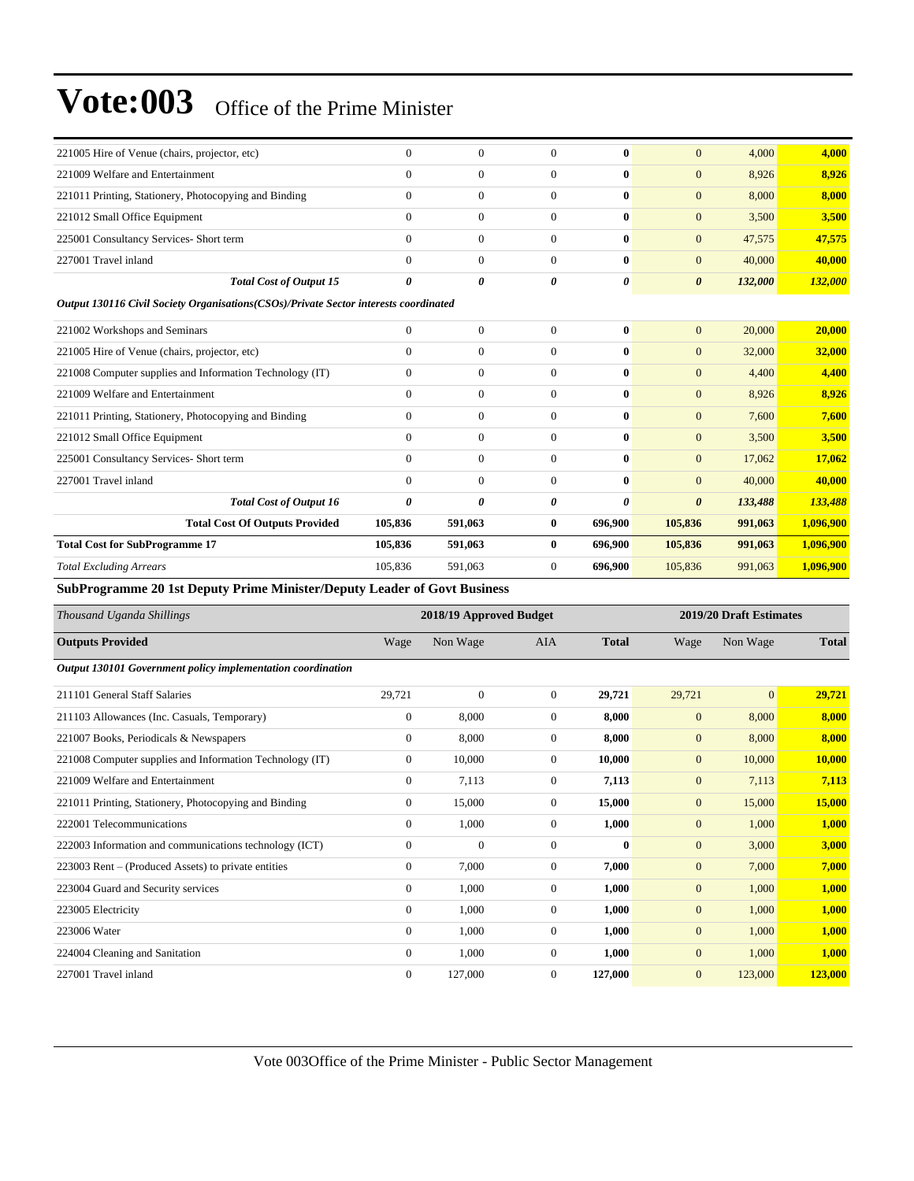| 221005 Hire of Venue (chairs, projector, etc)                                         | $\overline{0}$ | $\overline{0}$ | $\Omega$       | $\mathbf{0}$          | $\overline{0}$        | 4,000   | 4,000     |
|---------------------------------------------------------------------------------------|----------------|----------------|----------------|-----------------------|-----------------------|---------|-----------|
| 221009 Welfare and Entertainment                                                      | $\Omega$       | $\overline{0}$ | $\Omega$       | $\mathbf{0}$          | $\mathbf{0}$          | 8,926   | 8,926     |
| 221011 Printing, Stationery, Photocopying and Binding                                 | $\Omega$       | $\overline{0}$ | $\Omega$       | $\mathbf{0}$          | $\overline{0}$        | 8,000   | 8,000     |
| 221012 Small Office Equipment                                                         | $\Omega$       | $\overline{0}$ | $\Omega$       | $\mathbf{0}$          | $\mathbf{0}$          | 3,500   | 3,500     |
| 225001 Consultancy Services- Short term                                               | $\Omega$       | $\overline{0}$ | $\Omega$       | $\mathbf{0}$          | $\mathbf{0}$          | 47,575  | 47,575    |
| 227001 Travel inland                                                                  | $\Omega$       | $\overline{0}$ | $\Omega$       | $\mathbf{0}$          | $\mathbf{0}$          | 40,000  | 40,000    |
| <b>Total Cost of Output 15</b>                                                        | $\theta$       | 0              | 0              | $\boldsymbol{\theta}$ | $\boldsymbol{\theta}$ | 132,000 | 132,000   |
| Output 130116 Civil Society Organisations (CSOs)/Private Sector interests coordinated |                |                |                |                       |                       |         |           |
| 221002 Workshops and Seminars                                                         | $\overline{0}$ | $\overline{0}$ | $\overline{0}$ | $\mathbf{0}$          | $\mathbf{0}$          | 20,000  | 20,000    |
| 221005 Hire of Venue (chairs, projector, etc)                                         | $\mathbf{0}$   | $\overline{0}$ | $\overline{0}$ | $\bf{0}$              | $\mathbf{0}$          | 32,000  | 32,000    |
| 221008 Computer supplies and Information Technology (IT)                              | $\Omega$       | $\overline{0}$ | $\Omega$       | $\mathbf{0}$          | $\Omega$              | 4,400   | 4,400     |
| 221009 Welfare and Entertainment                                                      | $\Omega$       | $\overline{0}$ | $\Omega$       | $\mathbf{0}$          | $\mathbf{0}$          | 8,926   | 8,926     |
| 221011 Printing, Stationery, Photocopying and Binding                                 | $\mathbf{0}$   | $\overline{0}$ | $\overline{0}$ | $\bf{0}$              | $\mathbf{0}$          | 7,600   | 7,600     |
| 221012 Small Office Equipment                                                         | $\Omega$       | $\overline{0}$ | $\overline{0}$ | $\mathbf{0}$          | $\mathbf{0}$          | 3,500   | 3,500     |
| 225001 Consultancy Services- Short term                                               | $\overline{0}$ | $\overline{0}$ | $\overline{0}$ | $\mathbf{0}$          | $\mathbf{0}$          | 17,062  | 17,062    |
| 227001 Travel inland                                                                  | $\Omega$       | $\mathbf{0}$   | $\Omega$       | $\mathbf{0}$          | $\mathbf{0}$          | 40,000  | 40,000    |
| <b>Total Cost of Output 16</b>                                                        | 0              | 0              | 0              | $\boldsymbol{\theta}$ | $\boldsymbol{\theta}$ | 133,488 | 133,488   |
| <b>Total Cost Of Outputs Provided</b>                                                 | 105,836        | 591,063        | $\bf{0}$       | 696,900               | 105,836               | 991,063 | 1,096,900 |
| <b>Total Cost for SubProgramme 17</b>                                                 | 105,836        | 591,063        | $\bf{0}$       | 696,900               | 105,836               | 991,063 | 1,096,900 |
| <b>Total Excluding Arrears</b>                                                        | 105,836        | 591,063        | $\overline{0}$ | 696,900               | 105,836               | 991,063 | 1,096,900 |
|                                                                                       |                |                |                |                       |                       |         |           |

**SubProgramme 20 1st Deputy Prime Minister/Deputy Leader of Govt Business**

| Thousand Uganda Shillings                                   |                  | 2018/19 Approved Budget |                |              |              | 2019/20 Draft Estimates |              |  |
|-------------------------------------------------------------|------------------|-------------------------|----------------|--------------|--------------|-------------------------|--------------|--|
| <b>Outputs Provided</b>                                     | Wage             | Non Wage                | <b>AIA</b>     | <b>Total</b> | Wage         | Non Wage                | <b>Total</b> |  |
| Output 130101 Government policy implementation coordination |                  |                         |                |              |              |                         |              |  |
| 211101 General Staff Salaries                               | 29,721           | $\mathbf{0}$            | $\overline{0}$ | 29,721       | 29,721       | $\overline{0}$          | 29,721       |  |
| 211103 Allowances (Inc. Casuals, Temporary)                 | $\boldsymbol{0}$ | 8,000                   | $\mathbf{0}$   | 8,000        | $\mathbf{0}$ | 8,000                   | 8,000        |  |
| 221007 Books, Periodicals & Newspapers                      | $\overline{0}$   | 8,000                   | $\mathbf{0}$   | 8,000        | $\mathbf{0}$ | 8,000                   | 8,000        |  |
| 221008 Computer supplies and Information Technology (IT)    | $\overline{0}$   | 10,000                  | $\mathbf{0}$   | 10,000       | $\mathbf{0}$ | 10,000                  | 10,000       |  |
| 221009 Welfare and Entertainment                            | $\mathbf{0}$     | 7,113                   | $\mathbf{0}$   | 7,113        | $\mathbf{0}$ | 7,113                   | 7,113        |  |
| 221011 Printing, Stationery, Photocopying and Binding       | $\overline{0}$   | 15,000                  | $\mathbf{0}$   | 15,000       | $\mathbf{0}$ | 15,000                  | 15,000       |  |
| 222001 Telecommunications                                   | $\Omega$         | 1,000                   | $\Omega$       | 1,000        | $\mathbf{0}$ | 1,000                   | 1,000        |  |
| 222003 Information and communications technology (ICT)      | $\mathbf{0}$     | $\mathbf{0}$            | $\mathbf{0}$   | $\bf{0}$     | $\mathbf{0}$ | 3,000                   | 3,000        |  |
| 223003 Rent – (Produced Assets) to private entities         | $\overline{0}$   | 7,000                   | $\theta$       | 7,000        | $\mathbf{0}$ | 7,000                   | 7,000        |  |
| 223004 Guard and Security services                          | $\overline{0}$   | 1,000                   | $\mathbf{0}$   | 1,000        | $\mathbf{0}$ | 1,000                   | 1,000        |  |
| 223005 Electricity                                          | $\overline{0}$   | 1,000                   | $\mathbf{0}$   | 1,000        | $\mathbf{0}$ | 1,000                   | 1,000        |  |
| 223006 Water                                                | $\overline{0}$   | 1,000                   | $\mathbf{0}$   | 1,000        | $\mathbf{0}$ | 1,000                   | 1,000        |  |
| 224004 Cleaning and Sanitation                              | $\overline{0}$   | 1,000                   | $\mathbf{0}$   | 1,000        | $\mathbf{0}$ | 1,000                   | 1,000        |  |
| 227001 Travel inland                                        | $\Omega$         | 127,000                 | $\Omega$       | 127,000      | $\mathbf{0}$ | 123,000                 | 123,000      |  |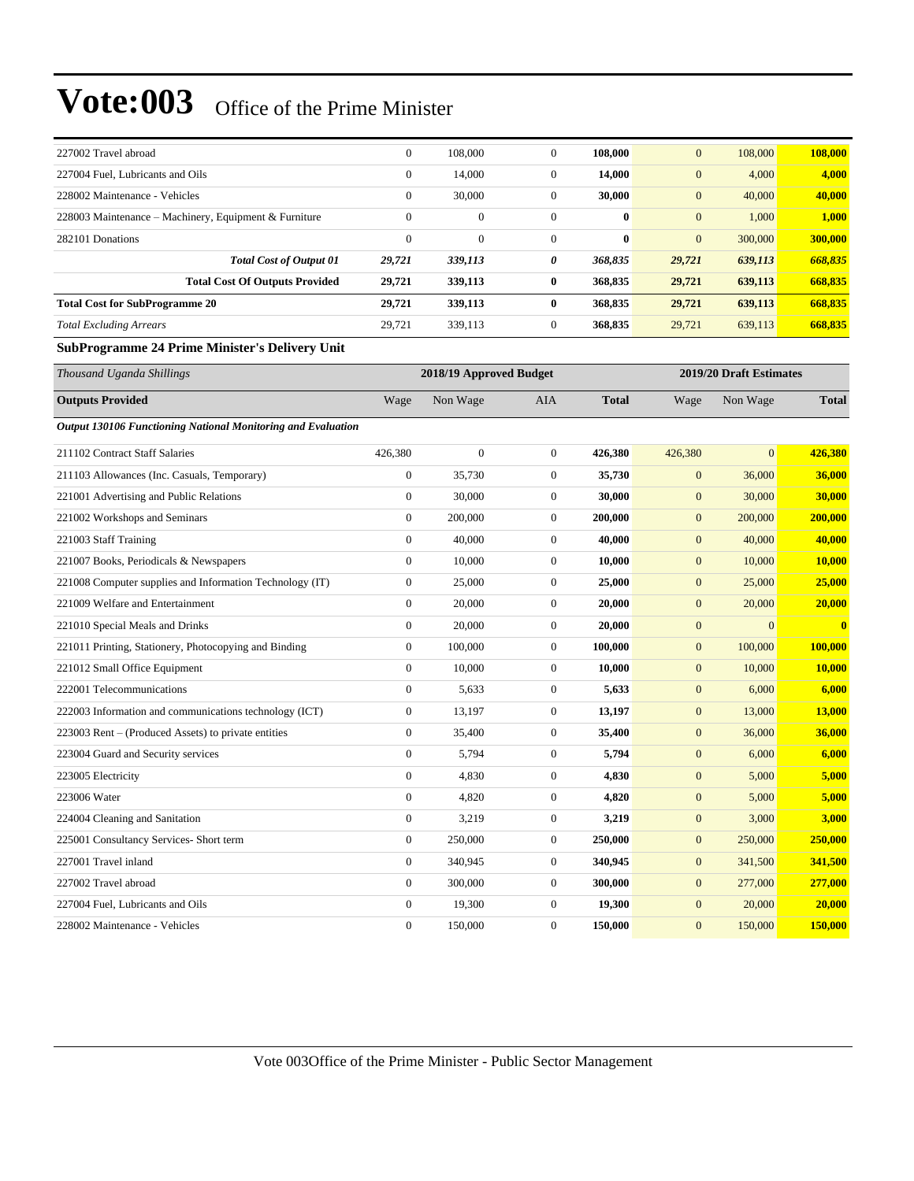| 227002 Travel abroad                                         | $\boldsymbol{0}$ | 108,000                 | $\boldsymbol{0}$ | 108,000      | $\mathbf{0}$     | 108,000                 | 108,000                 |
|--------------------------------------------------------------|------------------|-------------------------|------------------|--------------|------------------|-------------------------|-------------------------|
| 227004 Fuel, Lubricants and Oils                             | $\boldsymbol{0}$ | 14,000                  | $\boldsymbol{0}$ | 14,000       | $\boldsymbol{0}$ | 4,000                   | 4,000                   |
| 228002 Maintenance - Vehicles                                | $\boldsymbol{0}$ | 30,000                  | $\mathbf{0}$     | 30,000       | $\mathbf{0}$     | 40,000                  | 40,000                  |
| 228003 Maintenance – Machinery, Equipment & Furniture        | $\mathbf{0}$     | $\mathbf{0}$            | $\boldsymbol{0}$ | $\bf{0}$     | $\mathbf{0}$     | 1,000                   | <b>1,000</b>            |
| 282101 Donations                                             | $\mathbf{0}$     | $\mathbf{0}$            | $\boldsymbol{0}$ | $\bf{0}$     | $\mathbf{0}$     | 300,000                 | 300,000                 |
| <b>Total Cost of Output 01</b>                               | 29,721           | 339,113                 | 0                | 368,835      | 29,721           | 639,113                 | 668,835                 |
| <b>Total Cost Of Outputs Provided</b>                        | 29,721           | 339,113                 | 0                | 368,835      | 29,721           | 639,113                 | 668,835                 |
| <b>Total Cost for SubProgramme 20</b>                        | 29,721           | 339,113                 | $\bf{0}$         | 368,835      | 29,721           | 639,113                 | 668,835                 |
| <b>Total Excluding Arrears</b>                               | 29,721           | 339,113                 | $\boldsymbol{0}$ | 368,835      | 29,721           | 639,113                 | 668,835                 |
| SubProgramme 24 Prime Minister's Delivery Unit               |                  |                         |                  |              |                  |                         |                         |
| Thousand Uganda Shillings                                    |                  | 2018/19 Approved Budget |                  |              |                  | 2019/20 Draft Estimates |                         |
| <b>Outputs Provided</b>                                      | Wage             | Non Wage                | AIA              | <b>Total</b> | Wage             | Non Wage                | <b>Total</b>            |
| Output 130106 Functioning National Monitoring and Evaluation |                  |                         |                  |              |                  |                         |                         |
| 211102 Contract Staff Salaries                               | 426,380          | $\mathbf{0}$            | $\mathbf{0}$     | 426,380      | 426,380          | $\mathbf{0}$            | 426,380                 |
| 211103 Allowances (Inc. Casuals, Temporary)                  | $\boldsymbol{0}$ | 35,730                  | $\boldsymbol{0}$ | 35,730       | $\boldsymbol{0}$ | 36,000                  | 36,000                  |
| 221001 Advertising and Public Relations                      | $\boldsymbol{0}$ | 30,000                  | $\mathbf{0}$     | 30,000       | $\boldsymbol{0}$ | 30,000                  | 30,000                  |
| 221002 Workshops and Seminars                                | $\boldsymbol{0}$ | 200,000                 | $\mathbf{0}$     | 200,000      | $\boldsymbol{0}$ | 200,000                 | 200,000                 |
| 221003 Staff Training                                        | $\boldsymbol{0}$ | 40,000                  | $\boldsymbol{0}$ | 40,000       | $\boldsymbol{0}$ | 40,000                  | 40,000                  |
| 221007 Books, Periodicals & Newspapers                       | $\boldsymbol{0}$ | 10,000                  | $\mathbf{0}$     | 10,000       | $\mathbf{0}$     | 10,000                  | 10,000                  |
| 221008 Computer supplies and Information Technology (IT)     | $\boldsymbol{0}$ | 25,000                  | $\boldsymbol{0}$ | 25,000       | $\boldsymbol{0}$ | 25,000                  | 25,000                  |
| 221009 Welfare and Entertainment                             | $\boldsymbol{0}$ | 20,000                  | $\mathbf{0}$     | 20,000       | $\boldsymbol{0}$ | 20,000                  | 20,000                  |
| 221010 Special Meals and Drinks                              | $\boldsymbol{0}$ | 20,000                  | $\boldsymbol{0}$ | 20,000       | $\boldsymbol{0}$ | $\boldsymbol{0}$        | $\overline{\mathbf{0}}$ |
| 221011 Printing, Stationery, Photocopying and Binding        | $\boldsymbol{0}$ | 100,000                 | $\boldsymbol{0}$ | 100,000      | $\boldsymbol{0}$ | 100,000                 | <b>100,000</b>          |
| 221012 Small Office Equipment                                | $\boldsymbol{0}$ | 10,000                  | $\mathbf{0}$     | 10,000       | $\mathbf{0}$     | 10,000                  | 10,000                  |
| 222001 Telecommunications                                    | $\boldsymbol{0}$ | 5,633                   | $\boldsymbol{0}$ | 5,633        | $\boldsymbol{0}$ | 6,000                   | 6,000                   |
| 222003 Information and communications technology (ICT)       | $\boldsymbol{0}$ | 13,197                  | $\boldsymbol{0}$ | 13,197       | $\boldsymbol{0}$ | 13,000                  | 13,000                  |
| 223003 Rent – (Produced Assets) to private entities          | $\boldsymbol{0}$ | 35,400                  | $\mathbf{0}$     | 35,400       | $\boldsymbol{0}$ | 36,000                  | 36,000                  |
| 223004 Guard and Security services                           | $\boldsymbol{0}$ | 5,794                   | $\boldsymbol{0}$ | 5,794        | $\boldsymbol{0}$ | 6,000                   | 6,000                   |
| 223005 Electricity                                           | $\boldsymbol{0}$ | 4,830                   | $\boldsymbol{0}$ | 4,830        | $\mathbf{0}$     | 5,000                   | 5,000                   |
| 223006 Water                                                 | $\boldsymbol{0}$ | 4,820                   | $\boldsymbol{0}$ | 4,820        | $\mathbf{0}$     | 5,000                   | 5,000                   |
| 224004 Cleaning and Sanitation                               | $\boldsymbol{0}$ | 3,219                   | $\boldsymbol{0}$ | 3,219        | $\boldsymbol{0}$ | 3,000                   | 3,000                   |
| 225001 Consultancy Services- Short term                      | $\boldsymbol{0}$ | 250,000                 | $\boldsymbol{0}$ | 250,000      | $\boldsymbol{0}$ | 250,000                 | 250,000                 |
| 227001 Travel inland                                         | $\boldsymbol{0}$ | 340,945                 | $\boldsymbol{0}$ | 340,945      | $\boldsymbol{0}$ | 341,500                 | 341,500                 |
| 227002 Travel abroad                                         | $\boldsymbol{0}$ | 300,000                 | $\boldsymbol{0}$ | 300,000      | $\boldsymbol{0}$ | 277,000                 | 277,000                 |
| 227004 Fuel, Lubricants and Oils                             | $\boldsymbol{0}$ | 19,300                  | $\boldsymbol{0}$ | 19,300       | $\boldsymbol{0}$ | 20,000                  | 20,000                  |
| 228002 Maintenance - Vehicles                                | $\boldsymbol{0}$ | 150,000                 | $\boldsymbol{0}$ | 150,000      | $\boldsymbol{0}$ | 150,000                 | 150,000                 |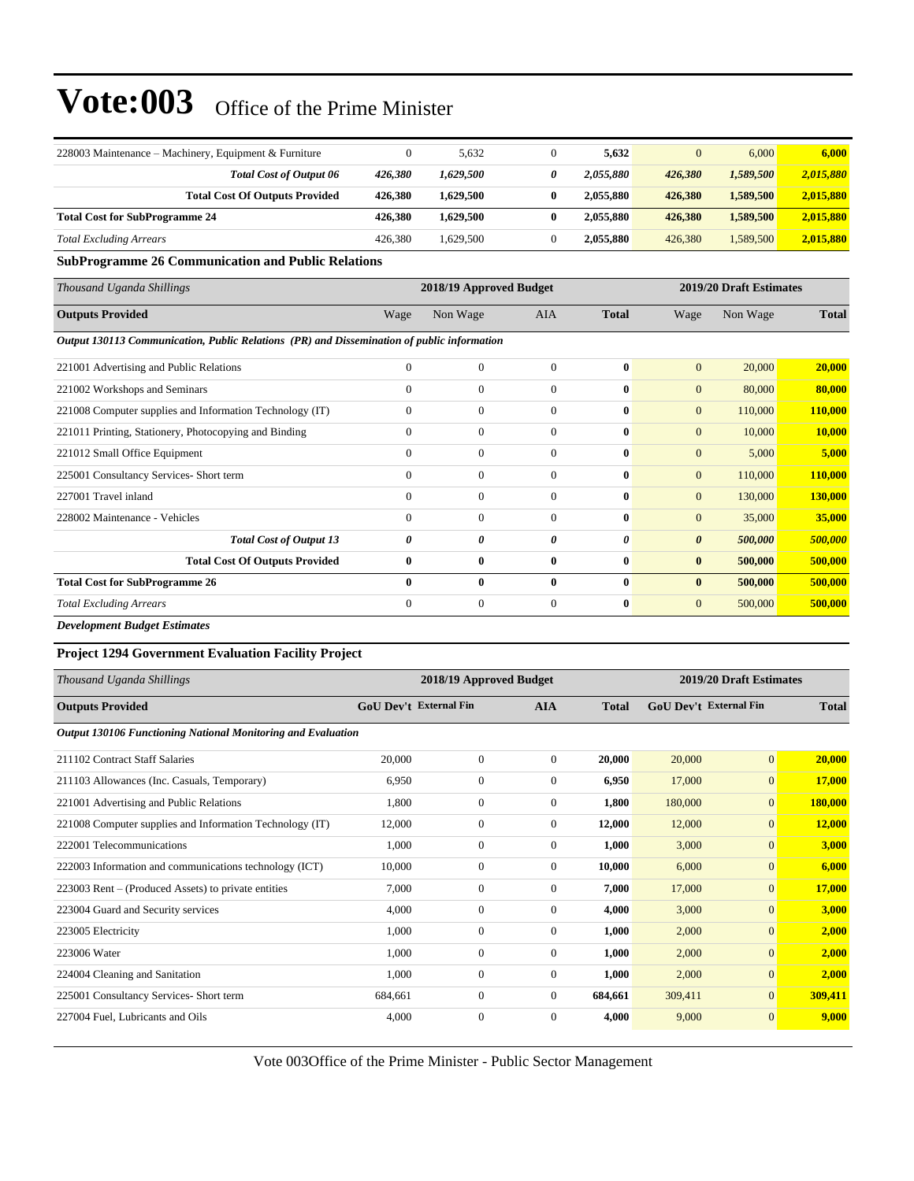| 228003 Maintenance – Machinery, Equipment & Furniture |         | 5.632     | 5.632     |         | 6,000     | 6,000     |
|-------------------------------------------------------|---------|-----------|-----------|---------|-----------|-----------|
| <b>Total Cost of Output 06</b>                        | 426.380 | 1.629.500 | 2.055.880 | 426,380 | 1,589,500 | 2,015,880 |
| <b>Total Cost Of Outputs Provided</b>                 | 426.380 | 1.629.500 | 2.055.880 | 426,380 | 1,589,500 | 2,015,880 |
| <b>Total Cost for SubProgramme 24</b>                 | 426.380 | 1.629.500 | 2.055.880 | 426,380 | 1.589.500 | 2,015,880 |
| <b>Total Excluding Arrears</b>                        | 426,380 | 1.629.500 | 2.055.880 | 426,380 | 1,589,500 | 2,015,880 |

**SubProgramme 26 Communication and Public Relations**

| Thousand Uganda Shillings                                                                  |              | 2018/19 Approved Budget |              |              |                       | 2019/20 Draft Estimates |              |  |
|--------------------------------------------------------------------------------------------|--------------|-------------------------|--------------|--------------|-----------------------|-------------------------|--------------|--|
| <b>Outputs Provided</b>                                                                    | Wage         | Non Wage                | AIA          | <b>Total</b> | Wage                  | Non Wage                | <b>Total</b> |  |
| Output 130113 Communication, Public Relations (PR) and Dissemination of public information |              |                         |              |              |                       |                         |              |  |
| 221001 Advertising and Public Relations                                                    | $\mathbf{0}$ | $\mathbf{0}$            | $\theta$     | $\mathbf{0}$ | $\mathbf{0}$          | 20,000                  | 20,000       |  |
| 221002 Workshops and Seminars                                                              | $\Omega$     | $\mathbf{0}$            | $\theta$     | $\mathbf{0}$ | $\mathbf{0}$          | 80,000                  | 80,000       |  |
| 221008 Computer supplies and Information Technology (IT)                                   | $\mathbf{0}$ | $\boldsymbol{0}$        | $\mathbf{0}$ | $\bf{0}$     | $\mathbf{0}$          | 110,000                 | 110,000      |  |
| 221011 Printing, Stationery, Photocopying and Binding                                      | $\mathbf{0}$ | $\boldsymbol{0}$        | $\theta$     | $\mathbf{0}$ | $\mathbf{0}$          | 10,000                  | 10,000       |  |
| 221012 Small Office Equipment                                                              | $\Omega$     | $\mathbf{0}$            | $\Omega$     | $\mathbf{0}$ | $\mathbf{0}$          | 5,000                   | 5,000        |  |
| 225001 Consultancy Services- Short term                                                    | $\mathbf{0}$ | $\overline{0}$          | $\Omega$     | $\mathbf{0}$ | $\overline{0}$        | 110,000                 | 110,000      |  |
| 227001 Travel inland                                                                       | $\mathbf{0}$ | $\overline{0}$          | $\theta$     | $\mathbf{0}$ | $\overline{0}$        | 130,000                 | 130,000      |  |
| 228002 Maintenance - Vehicles                                                              | $\Omega$     | $\mathbf{0}$            | $\Omega$     | $\mathbf{0}$ | $\overline{0}$        | 35,000                  | 35,000       |  |
| <b>Total Cost of Output 13</b>                                                             | 0            | 0                       | 0            | 0            | $\boldsymbol{\theta}$ | 500,000                 | 500,000      |  |
| <b>Total Cost Of Outputs Provided</b>                                                      | $\bf{0}$     | $\bf{0}$                | $\bf{0}$     | $\mathbf{0}$ | $\bf{0}$              | 500,000                 | 500,000      |  |
| <b>Total Cost for SubProgramme 26</b>                                                      | $\mathbf{0}$ | $\bf{0}$                | $\mathbf{0}$ | $\mathbf{0}$ | $\bf{0}$              | 500,000                 | 500,000      |  |
| <b>Total Excluding Arrears</b>                                                             | $\mathbf{0}$ | $\mathbf{0}$            | $\theta$     | $\bf{0}$     | $\overline{0}$        | 500,000                 | 500,000      |  |

*Development Budget Estimates*

#### **Project 1294 Government Evaluation Facility Project**

| Thousand Uganda Shillings                                    |                               | 2018/19 Approved Budget |                |              | 2019/20 Draft Estimates       |                |              |
|--------------------------------------------------------------|-------------------------------|-------------------------|----------------|--------------|-------------------------------|----------------|--------------|
| <b>Outputs Provided</b>                                      | <b>GoU Dev't External Fin</b> |                         | <b>AIA</b>     | <b>Total</b> | <b>GoU</b> Dev't External Fin |                | <b>Total</b> |
| Output 130106 Functioning National Monitoring and Evaluation |                               |                         |                |              |                               |                |              |
| 211102 Contract Staff Salaries                               | 20,000                        | $\overline{0}$          | $\overline{0}$ | 20,000       | 20,000                        | $\mathbf{0}$   | 20,000       |
| 211103 Allowances (Inc. Casuals, Temporary)                  | 6,950                         | 0                       | $\overline{0}$ | 6,950        | 17,000                        | $\mathbf{0}$   | 17,000       |
| 221001 Advertising and Public Relations                      | 1,800                         | $\mathbf{0}$            | $\overline{0}$ | 1,800        | 180,000                       | $\mathbf{0}$   | 180,000      |
| 221008 Computer supplies and Information Technology (IT)     | 12,000                        | $\overline{0}$          | $\overline{0}$ | 12,000       | 12,000                        | $\overline{0}$ | 12,000       |
| 222001 Telecommunications                                    | 1,000                         | $\overline{0}$          | $\overline{0}$ | 1,000        | 3,000                         | $\mathbf{0}$   | 3,000        |
| 222003 Information and communications technology (ICT)       | 10.000                        | $\mathbf{0}$            | $\overline{0}$ | 10,000       | 6,000                         | $\mathbf{0}$   | 6,000        |
| 223003 Rent – (Produced Assets) to private entities          | 7,000                         | $\overline{0}$          | $\Omega$       | 7,000        | 17,000                        | $\overline{0}$ | 17,000       |
| 223004 Guard and Security services                           | 4,000                         | $\boldsymbol{0}$        | $\overline{0}$ | 4,000        | 3,000                         | $\overline{0}$ | 3,000        |
| 223005 Electricity                                           | 1,000                         | 0                       | $\overline{0}$ | 1,000        | 2,000                         | $\mathbf{0}$   | 2,000        |
| 223006 Water                                                 | 1,000                         | $\overline{0}$          | $\overline{0}$ | 1,000        | 2,000                         | $\mathbf{0}$   | 2,000        |
| 224004 Cleaning and Sanitation                               | 1,000                         | $\boldsymbol{0}$        | $\overline{0}$ | 1,000        | 2,000                         | $\mathbf{0}$   | 2,000        |
| 225001 Consultancy Services- Short term                      | 684,661                       | $\overline{0}$          | $\overline{0}$ | 684,661      | 309,411                       | $\overline{0}$ | 309,411      |
| 227004 Fuel, Lubricants and Oils                             | 4,000                         | $\overline{0}$          | $\Omega$       | 4,000        | 9,000                         | $\mathbf{0}$   | 9,000        |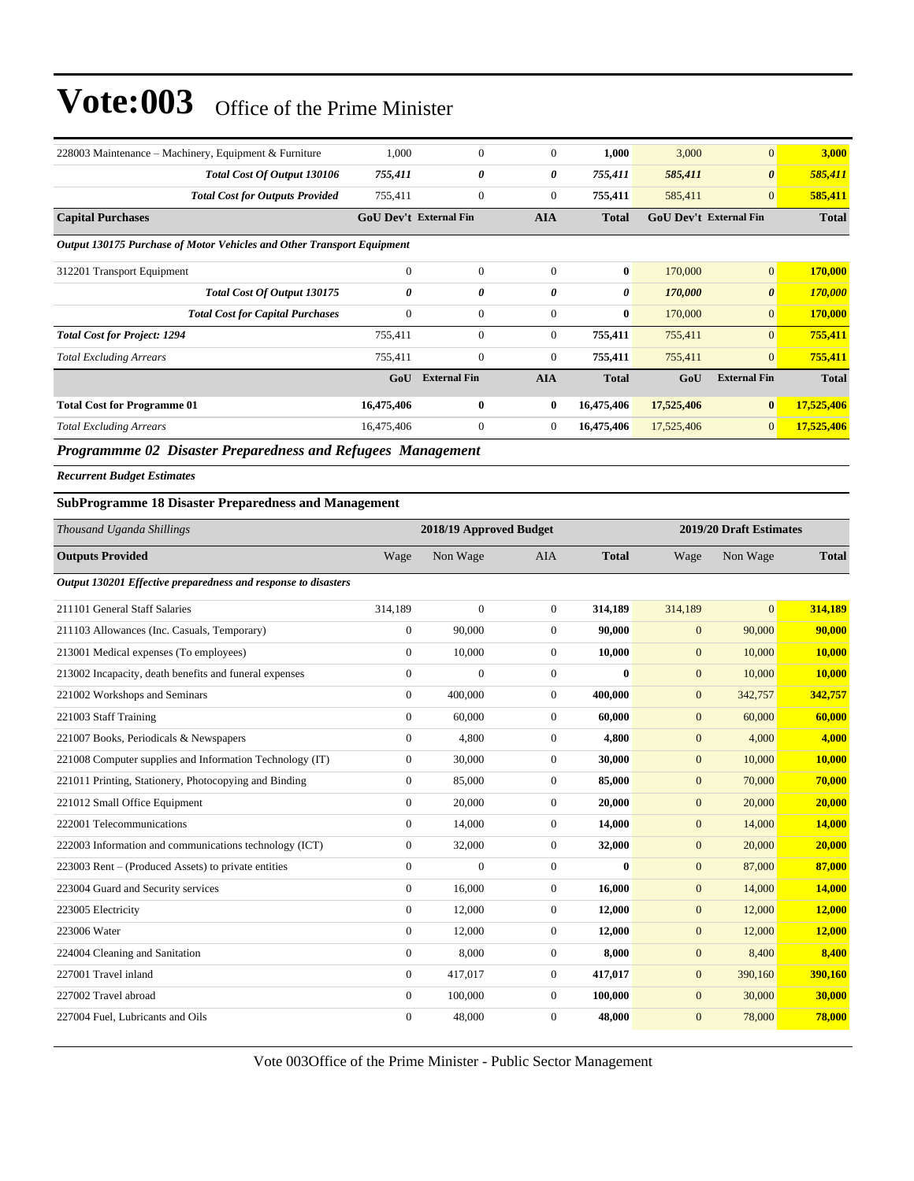| 228003 Maintenance – Machinery, Equipment & Furniture                                      | 1,000                         | $\boldsymbol{0}$    | $\mathbf{0}$   | 1,000        | 3,000                         | $\mathbf{0}$          | 3,000        |
|--------------------------------------------------------------------------------------------|-------------------------------|---------------------|----------------|--------------|-------------------------------|-----------------------|--------------|
| Total Cost Of Output 130106                                                                | 755,411                       | 0                   | 0              | 755,411      | 585,411                       | $\boldsymbol{\theta}$ | 585,411      |
| <b>Total Cost for Outputs Provided</b>                                                     | 755,411                       | $\boldsymbol{0}$    | $\overline{0}$ | 755,411      | 585,411                       | $\overline{0}$        | 585,411      |
| <b>Capital Purchases</b>                                                                   | <b>GoU Dev't External Fin</b> |                     | <b>AIA</b>     | <b>Total</b> | <b>GoU Dev't External Fin</b> |                       | <b>Total</b> |
| Output 130175 Purchase of Motor Vehicles and Other Transport Equipment                     |                               |                     |                |              |                               |                       |              |
| 312201 Transport Equipment                                                                 | $\mathbf{0}$                  | $\overline{0}$      | $\mathbf{0}$   | $\bf{0}$     | 170,000                       | $\overline{0}$        | 170,000      |
| Total Cost Of Output 130175                                                                | 0                             | 0                   | 0              | 0            | 170,000                       | $\boldsymbol{\theta}$ | 170,000      |
| <b>Total Cost for Capital Purchases</b>                                                    | $\mathbf{0}$                  | $\boldsymbol{0}$    | $\Omega$       | $\bf{0}$     | 170,000                       | $\overline{0}$        | 170,000      |
| <b>Total Cost for Project: 1294</b>                                                        | 755,411                       | $\mathbf{0}$        | $\overline{0}$ | 755,411      | 755,411                       | $\overline{0}$        | 755,411      |
| <b>Total Excluding Arrears</b>                                                             | 755,411                       | $\boldsymbol{0}$    | $\Omega$       | 755,411      | 755,411                       | $\overline{0}$        | 755,411      |
|                                                                                            | GoU                           | <b>External Fin</b> | <b>AIA</b>     | <b>Total</b> | GoU                           | <b>External Fin</b>   | <b>Total</b> |
| <b>Total Cost for Programme 01</b>                                                         | 16,475,406                    | $\bf{0}$            | $\bf{0}$       | 16,475,406   | 17,525,406                    | $\bf{0}$              | 17,525,406   |
| <b>Total Excluding Arrears</b>                                                             | 16,475,406                    | $\mathbf{0}$        | $\overline{0}$ | 16,475,406   | 17,525,406                    | $\overline{0}$        | 17,525,406   |
| $\mathbf{a}$<br>$\mathbf{r}$ $\mathbf{r}$<br>$\sim$ $\sim$<br>$\mathbf{r}$<br>$\mathbf{r}$ | $\mathbf{r}$                  |                     |                |              |                               |                       |              |

*Programmme 02 Disaster Preparedness and Refugees Management*

*Recurrent Budget Estimates*

#### **SubProgramme 18 Disaster Preparedness and Management**

| Thousand Uganda Shillings                                      |                  | 2018/19 Approved Budget |                  |              |              | 2019/20 Draft Estimates |              |  |
|----------------------------------------------------------------|------------------|-------------------------|------------------|--------------|--------------|-------------------------|--------------|--|
| <b>Outputs Provided</b>                                        | Wage             | Non Wage                | <b>AIA</b>       | <b>Total</b> | Wage         | Non Wage                | <b>Total</b> |  |
| Output 130201 Effective preparedness and response to disasters |                  |                         |                  |              |              |                         |              |  |
| 211101 General Staff Salaries                                  | 314,189          | $\mathbf{0}$            | $\overline{0}$   | 314,189      | 314,189      | $\overline{0}$          | 314,189      |  |
| 211103 Allowances (Inc. Casuals, Temporary)                    | $\boldsymbol{0}$ | 90,000                  | $\mathbf{0}$     | 90,000       | $\mathbf{0}$ | 90,000                  | 90,000       |  |
| 213001 Medical expenses (To employees)                         | $\overline{0}$   | 10,000                  | $\overline{0}$   | 10,000       | $\mathbf{0}$ | 10,000                  | 10,000       |  |
| 213002 Incapacity, death benefits and funeral expenses         | $\mathbf{0}$     | $\overline{0}$          | $\overline{0}$   | $\bf{0}$     | $\mathbf{0}$ | 10,000                  | 10,000       |  |
| 221002 Workshops and Seminars                                  | $\mathbf{0}$     | 400,000                 | $\overline{0}$   | 400.000      | $\mathbf{0}$ | 342,757                 | 342,757      |  |
| 221003 Staff Training                                          | $\mathbf{0}$     | 60,000                  | $\overline{0}$   | 60,000       | $\mathbf{0}$ | 60,000                  | 60,000       |  |
| 221007 Books, Periodicals & Newspapers                         | $\overline{0}$   | 4,800                   | $\boldsymbol{0}$ | 4,800        | $\mathbf{0}$ | 4,000                   | 4,000        |  |
| 221008 Computer supplies and Information Technology (IT)       | $\overline{0}$   | 30,000                  | $\overline{0}$   | 30,000       | $\mathbf{0}$ | 10,000                  | 10,000       |  |
| 221011 Printing, Stationery, Photocopying and Binding          | $\boldsymbol{0}$ | 85,000                  | $\boldsymbol{0}$ | 85,000       | $\mathbf{0}$ | 70,000                  | 70,000       |  |
| 221012 Small Office Equipment                                  | $\mathbf{0}$     | 20,000                  | $\overline{0}$   | 20,000       | $\mathbf{0}$ | 20,000                  | 20,000       |  |
| 222001 Telecommunications                                      | $\mathbf{0}$     | 14,000                  | $\boldsymbol{0}$ | 14,000       | $\mathbf{0}$ | 14,000                  | 14,000       |  |
| 222003 Information and communications technology (ICT)         | $\overline{0}$   | 32,000                  | $\overline{0}$   | 32,000       | $\mathbf{0}$ | 20,000                  | 20,000       |  |
| 223003 Rent – (Produced Assets) to private entities            | $\mathbf{0}$     | $\overline{0}$          | $\overline{0}$   | $\mathbf{0}$ | $\mathbf{0}$ | 87,000                  | 87,000       |  |
| 223004 Guard and Security services                             | $\mathbf{0}$     | 16,000                  | $\overline{0}$   | 16,000       | $\mathbf{0}$ | 14,000                  | 14,000       |  |
| 223005 Electricity                                             | $\mathbf{0}$     | 12,000                  | $\overline{0}$   | 12,000       | $\mathbf{0}$ | 12,000                  | 12,000       |  |
| 223006 Water                                                   | $\mathbf{0}$     | 12,000                  | $\boldsymbol{0}$ | 12,000       | $\mathbf{0}$ | 12,000                  | 12,000       |  |
| 224004 Cleaning and Sanitation                                 | $\overline{0}$   | 8,000                   | $\overline{0}$   | 8.000        | $\mathbf{0}$ | 8,400                   | 8,400        |  |
| 227001 Travel inland                                           | $\overline{0}$   | 417,017                 | $\overline{0}$   | 417,017      | $\mathbf{0}$ | 390,160                 | 390,160      |  |
| 227002 Travel abroad                                           | $\mathbf{0}$     | 100,000                 | $\overline{0}$   | 100,000      | $\mathbf{0}$ | 30,000                  | 30,000       |  |
| 227004 Fuel, Lubricants and Oils                               | $\Omega$         | 48,000                  | $\overline{0}$   | 48,000       | $\mathbf{0}$ | 78,000                  | 78,000       |  |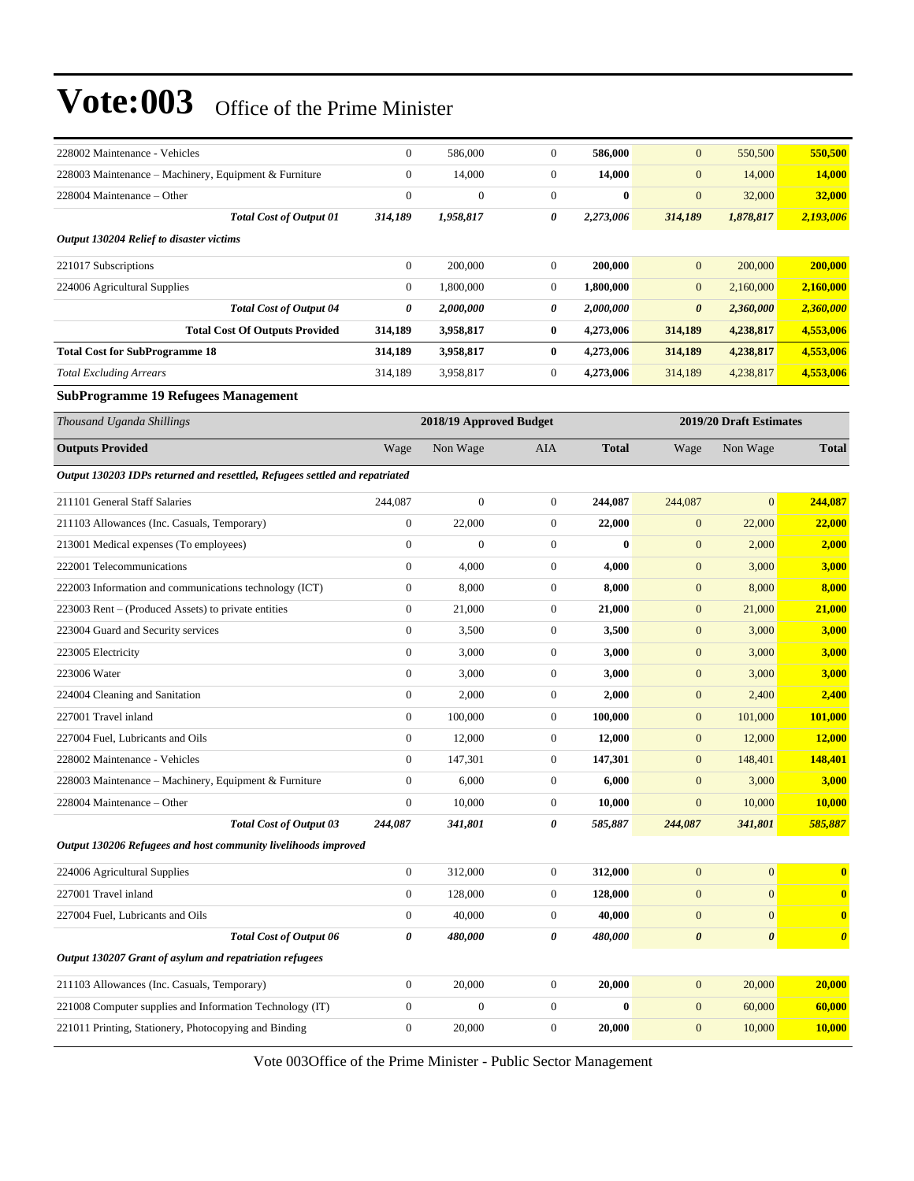| 228002 Maintenance - Vehicles                                               | $\mathbf{0}$     | 586,000                 | $\boldsymbol{0}$ | 586,000      | $\mathbf{0}$          | 550,500                 | 550,500               |
|-----------------------------------------------------------------------------|------------------|-------------------------|------------------|--------------|-----------------------|-------------------------|-----------------------|
| 228003 Maintenance - Machinery, Equipment & Furniture                       | $\boldsymbol{0}$ | 14,000                  | $\boldsymbol{0}$ | 14,000       | $\mathbf{0}$          | 14,000                  | 14,000                |
| 228004 Maintenance – Other                                                  | $\boldsymbol{0}$ | $\boldsymbol{0}$        | $\boldsymbol{0}$ | $\bf{0}$     | $\mathbf{0}$          | 32,000                  | 32,000                |
| <b>Total Cost of Output 01</b>                                              | 314,189          | 1,958,817               | 0                | 2,273,006    | 314,189               | 1,878,817               | 2,193,006             |
| <b>Output 130204 Relief to disaster victims</b>                             |                  |                         |                  |              |                       |                         |                       |
| 221017 Subscriptions                                                        | $\boldsymbol{0}$ | 200,000                 | $\boldsymbol{0}$ | 200,000      | $\mathbf{0}$          | 200,000                 | 200,000               |
| 224006 Agricultural Supplies                                                | $\mathbf{0}$     | 1,800,000               | $\boldsymbol{0}$ | 1,800,000    | $\mathbf{0}$          | 2,160,000               | 2,160,000             |
| <b>Total Cost of Output 04</b>                                              | 0                | 2,000,000               | 0                | 2,000,000    | $\boldsymbol{\theta}$ | 2,360,000               | 2,360,000             |
| <b>Total Cost Of Outputs Provided</b>                                       | 314,189          | 3,958,817               | 0                | 4,273,006    | 314,189               | 4,238,817               | 4,553,006             |
| <b>Total Cost for SubProgramme 18</b>                                       | 314,189          | 3,958,817               | 0                | 4,273,006    | 314,189               | 4,238,817               | 4,553,006             |
| <b>Total Excluding Arrears</b>                                              | 314,189          | 3,958,817               | $\boldsymbol{0}$ | 4,273,006    | 314,189               | 4,238,817               | 4,553,006             |
| <b>SubProgramme 19 Refugees Management</b>                                  |                  |                         |                  |              |                       |                         |                       |
| Thousand Uganda Shillings                                                   |                  | 2018/19 Approved Budget |                  |              |                       | 2019/20 Draft Estimates |                       |
| <b>Outputs Provided</b>                                                     | Wage             | Non Wage                | AIA              | <b>Total</b> | Wage                  | Non Wage                | <b>Total</b>          |
| Output 130203 IDPs returned and resettled, Refugees settled and repatriated |                  |                         |                  |              |                       |                         |                       |
| 211101 General Staff Salaries                                               | 244,087          | $\overline{0}$          | $\boldsymbol{0}$ | 244,087      | 244,087               | $\overline{0}$          | 244,087               |
| 211103 Allowances (Inc. Casuals, Temporary)                                 | $\boldsymbol{0}$ | 22,000                  | $\boldsymbol{0}$ | 22,000       | $\mathbf{0}$          | 22,000                  | 22,000                |
| 213001 Medical expenses (To employees)                                      | $\boldsymbol{0}$ | $\mathbf{0}$            | $\boldsymbol{0}$ | $\bf{0}$     | $\mathbf{0}$          | 2,000                   | 2,000                 |
| 222001 Telecommunications                                                   | $\boldsymbol{0}$ | 4,000                   | $\boldsymbol{0}$ | 4,000        | $\mathbf{0}$          | 3,000                   | 3,000                 |
| 222003 Information and communications technology (ICT)                      | $\boldsymbol{0}$ | 8,000                   | $\boldsymbol{0}$ | 8,000        | $\boldsymbol{0}$      | 8,000                   | 8,000                 |
| 223003 Rent – (Produced Assets) to private entities                         | $\boldsymbol{0}$ | 21,000                  | $\boldsymbol{0}$ | 21,000       | $\mathbf{0}$          | 21,000                  | 21,000                |
| 223004 Guard and Security services                                          | $\boldsymbol{0}$ | 3,500                   | $\boldsymbol{0}$ | 3,500        | $\mathbf{0}$          | 3,000                   | 3,000                 |
| 223005 Electricity                                                          | $\boldsymbol{0}$ | 3,000                   | $\boldsymbol{0}$ | 3,000        | $\mathbf{0}$          | 3,000                   | 3,000                 |
| 223006 Water                                                                | $\boldsymbol{0}$ | 3,000                   | $\boldsymbol{0}$ | 3,000        | $\mathbf{0}$          | 3,000                   | 3,000                 |
| 224004 Cleaning and Sanitation                                              | $\boldsymbol{0}$ | 2,000                   | $\boldsymbol{0}$ | 2,000        | $\boldsymbol{0}$      | 2,400                   | 2,400                 |
| 227001 Travel inland                                                        | $\boldsymbol{0}$ | 100,000                 | $\boldsymbol{0}$ | 100,000      | $\mathbf{0}$          | 101,000                 | 101,000               |
| 227004 Fuel, Lubricants and Oils                                            | $\boldsymbol{0}$ | 12,000                  | $\boldsymbol{0}$ | 12,000       | $\mathbf{0}$          | 12,000                  | 12,000                |
| 228002 Maintenance - Vehicles                                               | $\boldsymbol{0}$ | 147,301                 | $\boldsymbol{0}$ | 147,301      | $\mathbf{0}$          | 148,401                 | 148,401               |
| 228003 Maintenance – Machinery, Equipment & Furniture                       | $\boldsymbol{0}$ | 6,000                   | $\boldsymbol{0}$ | 6,000        | $\mathbf{0}$          | 3,000                   | 3,000                 |
| 228004 Maintenance – Other                                                  | $\overline{0}$   | 10,000                  | $\Omega$         | 10,000       | $\boldsymbol{0}$      | 10,000                  | 10,000                |
| <b>Total Cost of Output 03</b>                                              | 244,087          | 341,801                 | 0                | 585,887      | 244,087               | 341,801                 | 585,887               |
| Output 130206 Refugees and host community livelihoods improved              |                  |                         |                  |              |                       |                         |                       |
| 224006 Agricultural Supplies                                                | $\boldsymbol{0}$ | 312,000                 | $\boldsymbol{0}$ | 312,000      | $\mathbf{0}$          | $\mathbf{0}$            | $\bf{0}$              |
| 227001 Travel inland                                                        | $\boldsymbol{0}$ | 128,000                 | 0                | 128,000      | $\boldsymbol{0}$      | $\boldsymbol{0}$        | $\bf{0}$              |
| 227004 Fuel, Lubricants and Oils                                            | $\boldsymbol{0}$ | 40,000                  | 0                | 40,000       | $\mathbf{0}$          | $\mathbf{0}$            | $\boldsymbol{0}$      |
| <b>Total Cost of Output 06</b>                                              | 0                | 480,000                 | 0                | 480,000      | $\pmb{\theta}$        | $\pmb{\theta}$          | $\boldsymbol{\theta}$ |
| Output 130207 Grant of asylum and repatriation refugees                     |                  |                         |                  |              |                       |                         |                       |
| 211103 Allowances (Inc. Casuals, Temporary)                                 | $\boldsymbol{0}$ | 20,000                  | $\boldsymbol{0}$ | 20,000       | $\boldsymbol{0}$      | 20,000                  | 20,000                |
| 221008 Computer supplies and Information Technology (IT)                    | $\boldsymbol{0}$ | $\boldsymbol{0}$        | $\boldsymbol{0}$ | $\bf{0}$     | $\mathbf{0}$          | 60,000                  | 60,000                |
| 221011 Printing, Stationery, Photocopying and Binding                       | $\boldsymbol{0}$ | 20,000                  | $\boldsymbol{0}$ | 20,000       | $\boldsymbol{0}$      | 10,000                  | 10,000                |
|                                                                             |                  |                         |                  |              |                       |                         |                       |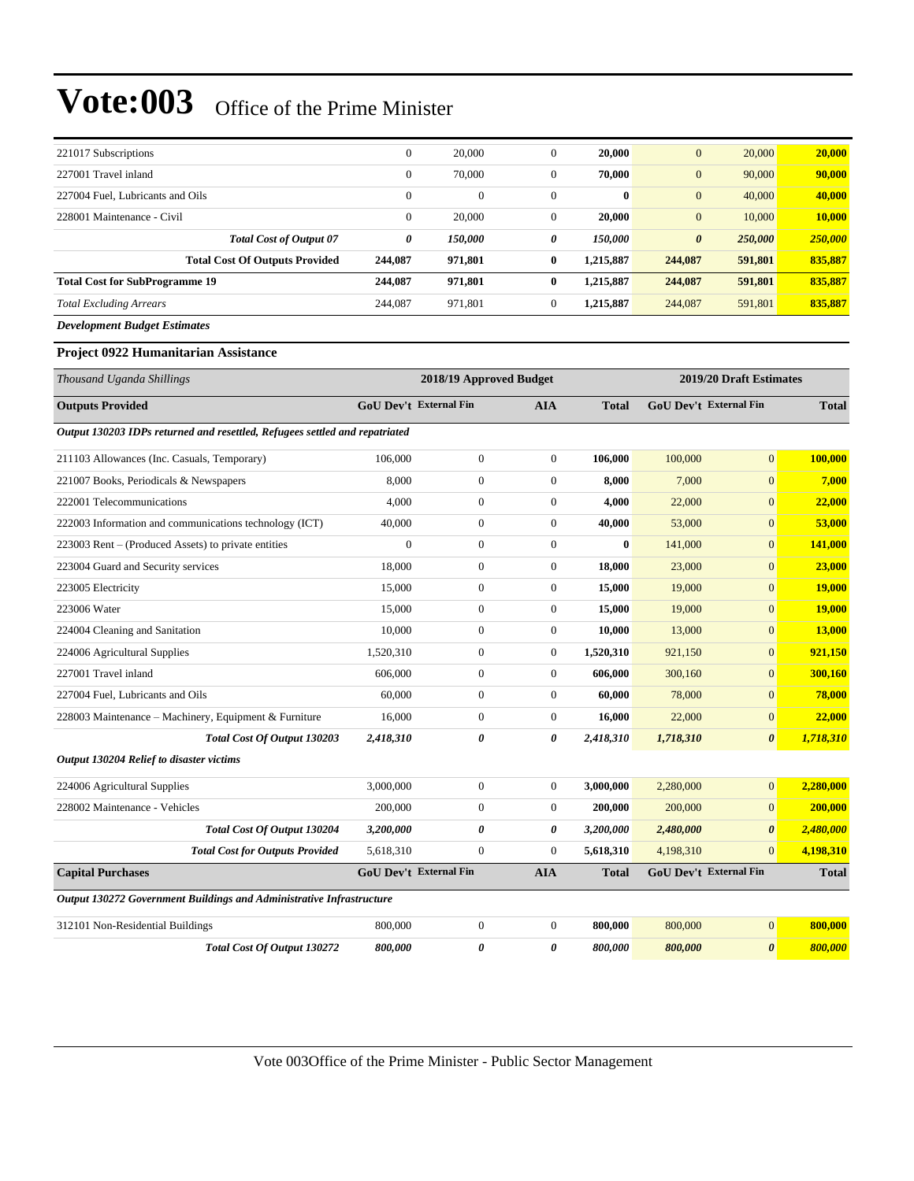| 221017 Subscriptions                  | $\mathbf{0}$ | 20,000       | $\mathbf{0}$ | 20.000       | $\mathbf{0}$          | 20,000  | 20,000  |
|---------------------------------------|--------------|--------------|--------------|--------------|-----------------------|---------|---------|
| 227001 Travel inland                  | $\mathbf{0}$ | 70,000       | $\mathbf{0}$ | 70.000       | $\mathbf{0}$          | 90,000  | 90,000  |
| 227004 Fuel. Lubricants and Oils      | $\mathbf{0}$ | $\mathbf{0}$ | $\mathbf{0}$ | $\mathbf{0}$ | $\mathbf{0}$          | 40,000  | 40,000  |
| 228001 Maintenance - Civil            | $\mathbf{0}$ | 20,000       | $\mathbf{0}$ | 20,000       | $\mathbf{0}$          | 10,000  | 10,000  |
| <b>Total Cost of Output 07</b>        | 0            | 150,000      | 0            | 150,000      | $\boldsymbol{\theta}$ | 250,000 | 250,000 |
| <b>Total Cost Of Outputs Provided</b> | 244,087      | 971,801      | $\bf{0}$     | 1.215,887    | 244,087               | 591,801 | 835,887 |
| <b>Total Cost for SubProgramme 19</b> | 244,087      | 971,801      | 0            | 1,215,887    | 244,087               | 591,801 | 835,887 |
| <b>Total Excluding Arrears</b>        | 244,087      | 971,801      | 0            | 1.215,887    | 244,087               | 591,801 | 835,887 |
| <b>Development Budget Estimates</b>   |              |              |              |              |                       |         |         |

#### **Project 0922 Humanitarian Assistance**

| Thousand Uganda Shillings                                                   |                               | 2018/19 Approved Budget |                |              |                               | 2019/20 Draft Estimates |              |
|-----------------------------------------------------------------------------|-------------------------------|-------------------------|----------------|--------------|-------------------------------|-------------------------|--------------|
| <b>Outputs Provided</b>                                                     | <b>GoU Dev't External Fin</b> |                         | <b>AIA</b>     | <b>Total</b> | GoU Dev't External Fin        |                         | <b>Total</b> |
| Output 130203 IDPs returned and resettled, Refugees settled and repatriated |                               |                         |                |              |                               |                         |              |
| 211103 Allowances (Inc. Casuals, Temporary)                                 | 106,000                       | $\boldsymbol{0}$        | $\overline{0}$ | 106,000      | 100,000                       | $\overline{0}$          | 100,000      |
| 221007 Books, Periodicals & Newspapers                                      | 8,000                         | $\boldsymbol{0}$        | $\overline{0}$ | 8,000        | 7,000                         | $\overline{0}$          | 7,000        |
| 222001 Telecommunications                                                   | 4.000                         | $\overline{0}$          | $\overline{0}$ | 4,000        | 22,000                        | $\overline{0}$          | 22,000       |
| 222003 Information and communications technology (ICT)                      | 40,000                        | $\boldsymbol{0}$        | $\mathbf{0}$   | 40,000       | 53,000                        | $\overline{0}$          | 53,000       |
| 223003 Rent – (Produced Assets) to private entities                         | $\overline{0}$                | $\boldsymbol{0}$        | $\overline{0}$ | $\bf{0}$     | 141,000                       | $\overline{0}$          | 141,000      |
| 223004 Guard and Security services                                          | 18,000                        | $\mathbf{0}$            | $\overline{0}$ | 18.000       | 23,000                        | $\overline{0}$          | 23,000       |
| 223005 Electricity                                                          | 15,000                        | $\boldsymbol{0}$        | $\overline{0}$ | 15,000       | 19,000                        | $\overline{0}$          | 19,000       |
| 223006 Water                                                                | 15,000                        | $\boldsymbol{0}$        | $\mathbf{0}$   | 15,000       | 19,000                        | $\overline{0}$          | 19,000       |
| 224004 Cleaning and Sanitation                                              | 10.000                        | $\mathbf{0}$            | $\overline{0}$ | 10.000       | 13,000                        | $\overline{0}$          | 13,000       |
| 224006 Agricultural Supplies                                                | 1,520,310                     | $\boldsymbol{0}$        | $\overline{0}$ | 1,520,310    | 921,150                       | $\overline{0}$          | 921,150      |
| 227001 Travel inland                                                        | 606,000                       | $\boldsymbol{0}$        | $\overline{0}$ | 606,000      | 300,160                       | $\overline{0}$          | 300,160      |
| 227004 Fuel, Lubricants and Oils                                            | 60,000                        | $\boldsymbol{0}$        | $\mathbf{0}$   | 60,000       | 78,000                        | $\overline{0}$          | 78,000       |
| 228003 Maintenance - Machinery, Equipment & Furniture                       | 16,000                        | $\overline{0}$          | $\overline{0}$ | 16,000       | 22,000                        | $\overline{0}$          | 22,000       |
| Total Cost Of Output 130203                                                 | 2,418,310                     | 0                       | 0              | 2,418,310    | 1,718,310                     | $\boldsymbol{\theta}$   | 1,718,310    |
| <b>Output 130204 Relief to disaster victims</b>                             |                               |                         |                |              |                               |                         |              |
| 224006 Agricultural Supplies                                                | 3,000,000                     | $\boldsymbol{0}$        | $\overline{0}$ | 3,000,000    | 2,280,000                     | $\overline{0}$          | 2,280,000    |
| 228002 Maintenance - Vehicles                                               | 200,000                       | $\boldsymbol{0}$        | $\mathbf{0}$   | 200,000      | 200,000                       | $\mathbf{0}$            | 200,000      |
| Total Cost Of Output 130204                                                 | 3,200,000                     | 0                       | 0              | 3,200,000    | 2,480,000                     | $\boldsymbol{\theta}$   | 2,480,000    |
| <b>Total Cost for Outputs Provided</b>                                      | 5,618,310                     | $\overline{0}$          | $\overline{0}$ | 5,618,310    | 4,198,310                     | $\Omega$                | 4,198,310    |
| <b>Capital Purchases</b>                                                    | <b>GoU Dev't External Fin</b> |                         | <b>AIA</b>     | <b>Total</b> | <b>GoU Dev't External Fin</b> |                         | <b>Total</b> |
| Output 130272 Government Buildings and Administrative Infrastructure        |                               |                         |                |              |                               |                         |              |
| 312101 Non-Residential Buildings                                            | 800,000                       | $\boldsymbol{0}$        | $\overline{0}$ | 800,000      | 800,000                       | $\overline{0}$          | 800,000      |
| <b>Total Cost Of Output 130272</b>                                          | 800,000                       | 0                       | 0              | 800.000      | 800,000                       | $\boldsymbol{\theta}$   | 800,000      |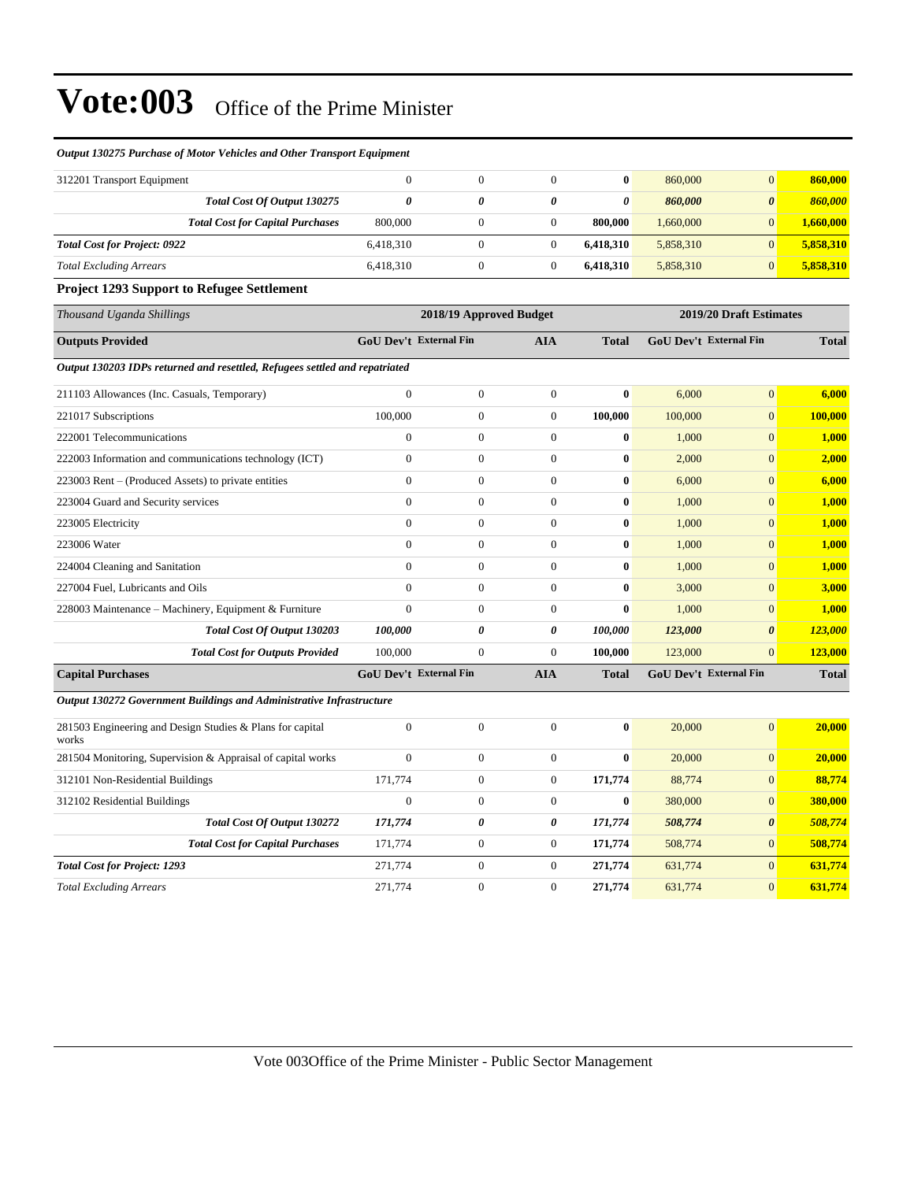#### *Output 130275 Purchase of Motor Vehicles and Other Transport Equipment*

| 312201 Transport Equipment              |           |   | 0         | 860,000   |                       | 860,000   |
|-----------------------------------------|-----------|---|-----------|-----------|-----------------------|-----------|
| Total Cost Of Output 130275             |           | 0 | 0         | 860,000   | $\boldsymbol{\theta}$ | 860.000   |
| <b>Total Cost for Capital Purchases</b> | 800,000   |   | 800,000   | 1.660,000 |                       | 1,660,000 |
| <b>Total Cost for Project: 0922</b>     | 6,418,310 |   | 6.418.310 | 5,858,310 |                       | 5,858,310 |
| <b>Total Excluding Arrears</b>          | 6,418,310 |   | 6.418.310 | 5,858,310 |                       | 5,858,310 |

#### **Project 1293 Support to Refugee Settlement**

|                                                                                                                                                                                                                                                                                                                                                                       |                                                                                                                                                                                                                                                                                                                                                                        |                         |         |                       | 2019/20 Draft Estimates                                        |
|-----------------------------------------------------------------------------------------------------------------------------------------------------------------------------------------------------------------------------------------------------------------------------------------------------------------------------------------------------------------------|------------------------------------------------------------------------------------------------------------------------------------------------------------------------------------------------------------------------------------------------------------------------------------------------------------------------------------------------------------------------|-------------------------|---------|-----------------------|----------------------------------------------------------------|
|                                                                                                                                                                                                                                                                                                                                                                       | <b>AIA</b>                                                                                                                                                                                                                                                                                                                                                             | Total                   |         |                       | <b>Total</b>                                                   |
|                                                                                                                                                                                                                                                                                                                                                                       |                                                                                                                                                                                                                                                                                                                                                                        |                         |         |                       |                                                                |
| $\mathbf{0}$                                                                                                                                                                                                                                                                                                                                                          | $\overline{0}$                                                                                                                                                                                                                                                                                                                                                         | $\bf{0}$                | 6,000   | $\overline{0}$        | 6,000                                                          |
| $\boldsymbol{0}$                                                                                                                                                                                                                                                                                                                                                      | $\overline{0}$                                                                                                                                                                                                                                                                                                                                                         | 100,000                 | 100,000 | $\mathbf{0}$          | 100,000                                                        |
| $\boldsymbol{0}$                                                                                                                                                                                                                                                                                                                                                      | $\mathbf{0}$                                                                                                                                                                                                                                                                                                                                                           | 0                       | 1,000   | $\mathbf{0}$          | 1,000                                                          |
| $\boldsymbol{0}$                                                                                                                                                                                                                                                                                                                                                      | $\overline{0}$                                                                                                                                                                                                                                                                                                                                                         | $\bf{0}$                | 2,000   | $\mathbf{0}$          | 2,000                                                          |
| $\boldsymbol{0}$                                                                                                                                                                                                                                                                                                                                                      | $\overline{0}$                                                                                                                                                                                                                                                                                                                                                         | 0                       | 6,000   | $\mathbf{0}$          | 6,000                                                          |
| $\boldsymbol{0}$                                                                                                                                                                                                                                                                                                                                                      | $\boldsymbol{0}$                                                                                                                                                                                                                                                                                                                                                       | $\bf{0}$                | 1,000   | $\mathbf{0}$          | 1,000                                                          |
| $\mathbf{0}$                                                                                                                                                                                                                                                                                                                                                          | $\overline{0}$                                                                                                                                                                                                                                                                                                                                                         | $\bf{0}$                | 1,000   | $\mathbf{0}$          | 1.000                                                          |
| $\mathbf{0}$                                                                                                                                                                                                                                                                                                                                                          | $\overline{0}$                                                                                                                                                                                                                                                                                                                                                         | $\bf{0}$                | 1,000   | $\mathbf{0}$          | 1,000                                                          |
| $\mathbf{0}$                                                                                                                                                                                                                                                                                                                                                          | $\overline{0}$                                                                                                                                                                                                                                                                                                                                                         | $\bf{0}$                | 1,000   | $\overline{0}$        | 1,000                                                          |
| $\mathbf{0}$                                                                                                                                                                                                                                                                                                                                                          | $\overline{0}$                                                                                                                                                                                                                                                                                                                                                         | $\bf{0}$                | 3,000   | $\Omega$              | 3,000                                                          |
| $\boldsymbol{0}$                                                                                                                                                                                                                                                                                                                                                      | $\overline{0}$                                                                                                                                                                                                                                                                                                                                                         | $\bf{0}$                | 1,000   | $\overline{0}$        | 1,000                                                          |
| $\boldsymbol{\theta}$                                                                                                                                                                                                                                                                                                                                                 | 0                                                                                                                                                                                                                                                                                                                                                                      | 100.000                 | 123,000 | $\boldsymbol{\theta}$ | 123,000                                                        |
| $\boldsymbol{0}$                                                                                                                                                                                                                                                                                                                                                      | $\overline{0}$                                                                                                                                                                                                                                                                                                                                                         | 100,000                 | 123,000 | $\overline{0}$        | 123,000                                                        |
|                                                                                                                                                                                                                                                                                                                                                                       | <b>AIA</b>                                                                                                                                                                                                                                                                                                                                                             | <b>Total</b>            |         |                       | <b>Total</b>                                                   |
|                                                                                                                                                                                                                                                                                                                                                                       |                                                                                                                                                                                                                                                                                                                                                                        |                         |         |                       |                                                                |
| $\mathbf{0}$                                                                                                                                                                                                                                                                                                                                                          | $\overline{0}$                                                                                                                                                                                                                                                                                                                                                         | $\bf{0}$                | 20,000  | $\overline{0}$        | 20,000                                                         |
| $\mathbf{0}$                                                                                                                                                                                                                                                                                                                                                          | $\overline{0}$                                                                                                                                                                                                                                                                                                                                                         | $\bf{0}$                | 20,000  | $\mathbf{0}$          | 20,000                                                         |
| $\boldsymbol{0}$                                                                                                                                                                                                                                                                                                                                                      | $\overline{0}$                                                                                                                                                                                                                                                                                                                                                         | 171,774                 | 88,774  | $\overline{0}$        | 88,774                                                         |
| $\boldsymbol{0}$                                                                                                                                                                                                                                                                                                                                                      | $\overline{0}$                                                                                                                                                                                                                                                                                                                                                         | $\bf{0}$                | 380,000 | $\mathbf{0}$          | 380,000                                                        |
| 0                                                                                                                                                                                                                                                                                                                                                                     | 0                                                                                                                                                                                                                                                                                                                                                                      | 171,774                 | 508,774 | $\boldsymbol{\theta}$ | 508,774                                                        |
| $\boldsymbol{0}$                                                                                                                                                                                                                                                                                                                                                      | $\overline{0}$                                                                                                                                                                                                                                                                                                                                                         | 171,774                 | 508,774 | $\overline{0}$        | 508,774                                                        |
| $\boldsymbol{0}$                                                                                                                                                                                                                                                                                                                                                      | $\mathbf{0}$                                                                                                                                                                                                                                                                                                                                                           | 271,774                 | 631,774 | $\mathbf{0}$          | 631,774                                                        |
| $\boldsymbol{0}$                                                                                                                                                                                                                                                                                                                                                      | $\overline{0}$                                                                                                                                                                                                                                                                                                                                                         | 271,774                 | 631,774 | $\mathbf{0}$          | 631,774                                                        |
| Output 130203 IDPs returned and resettled, Refugees settled and repatriated<br>Total Cost Of Output 130203<br><b>Total Cost for Outputs Provided</b><br>Output 130272 Government Buildings and Administrative Infrastructure<br>281504 Monitoring, Supervision & Appraisal of capital works<br>Total Cost Of Output 130272<br><b>Total Cost for Capital Purchases</b> | <b>GoU Dev't External Fin</b><br>$\overline{0}$<br>100,000<br>$\boldsymbol{0}$<br>$\overline{0}$<br>$\overline{0}$<br>$\boldsymbol{0}$<br>$\overline{0}$<br>$\overline{0}$<br>$\Omega$<br>$\Omega$<br>$\Omega$<br>100,000<br>100,000<br><b>GoU Dev't External Fin</b><br>$\Omega$<br>$\theta$<br>171,774<br>$\overline{0}$<br>171,774<br>171,774<br>271,774<br>271,774 | 2018/19 Approved Budget |         |                       | <b>GoU Dev't External Fin</b><br><b>GoU Dev't External Fin</b> |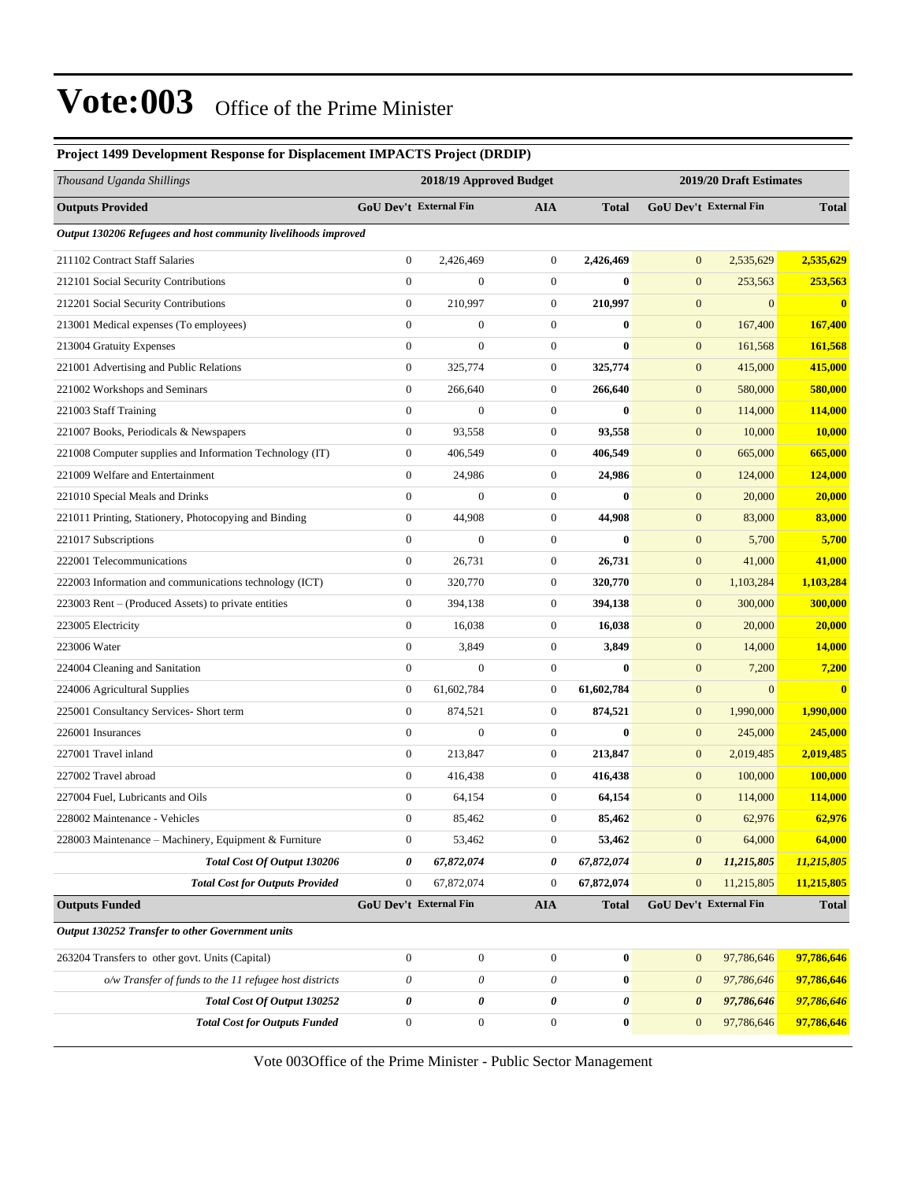#### **Project 1499 Development Response for Displacement IMPACTS Project (DRDIP)** *Thousand Uganda Shillings* **2018/19 Approved Budget 2019/20 Draft Estimates Outputs Provided GoU Dev't External Fin AIA Total GoU Dev't External Fin Total** *Output 130206 Refugees and host community livelihoods improved* 211102 Contract Staff Salaries 0 2,426,469 0 **2,426,469** 0 2,535,629 **2,535,629** 212101 Social Security Contributions 0 0 0 **0** 0 253,563 **253,563** 212201 Social Security Contributions 0 210,997 0 **210,997** 0 0 **0** 213001 Medical expenses (To employees) 0 0 0 **0** 0 167,400 **167,400** 213004 Gratuity Expenses 0 0 0 **0** 0 161,568 **161,568** 221001 Advertising and Public Relations 0 325,774 0 **325,774** 0 415,000 **415,000** 221002 Workshops and Seminars 0 266,640 0 **266,640** 0 580,000 **580,000** 221003 Staff Training 0 0 0 **0** 0 114,000 **114,000** 221007 Books, Periodicals & Newspapers 0 93,558 0 **93,558** 0 10,000 **10,000** 221008 Computer supplies and Information Technology (IT) 0 406,549 0 **406,549** 0 665,000 **665,000** 221009 Welfare and Entertainment 0 24,986 0 **24,986** 0 124,000 **124,000** 221010 Special Meals and Drinks 0 0 0 **0** 0 20,000 **20,000** 221011 Printing, Stationery, Photocopying and Binding 0 44,908 0 **44,908** 0 83,000 **83,000** 221017 Subscriptions 0 0 0 **0** 0 5,700 **5,700** 222001 Telecommunications 0 26,731 0 **26,731** 0 41,000 **41,000** 222003 Information and communications technology (ICT) 0 320,770 0 **320,770** 0 1,103,284 **1,103,284** 223003 Rent – (Produced Assets) to private entities 0 394,138 0 394,138 0 394,138 0 300,000 **300,000** 223005 Electricity 0 16,038 0 **16,038** 0 20,000 **20,000** 223006 Water 0 3,849 0 **3,849** 0 14,000 **14,000** 224004 Cleaning and Sanitation 0 0 0 **0** 0 7,200 **7,200** 224006 Agricultural Supplies 0 61,602,784 0 **61,602,784** 0 0 **0** 225001 Consultancy Services- Short term 0 874,521 0 **874,521** 0 1,990,000 **1,990,000** 226001 Insurances 0 0 0 **0** 0 245,000 **245,000** 227001 Travel inland 0 213,847 0 **213,847** 0 2,019,485 **2,019,485** 227002 Travel abroad 0 416,438 0 **416,438** 0 100,000 **100,000** 227004 Fuel, Lubricants and Oils 0 64,154 0 **64,154** 0 114,000 **114,000** 228002 Maintenance - Vehicles 0 85,462 0 **85,462** 0 62,976 **62,976** 228003 Maintenance ±Machinery, Equipment & Furniture 0 53,462 0 **53,462** 0 64,000 **64,000** *Total Cost Of Output 130206 0 67,872,074 0 67,872,074 0 11,215,805 11,215,805 Total Cost for Outputs Provided* 0 67,872,074 0 **67,872,074** 0 11,215,805 **11,215,805 Outputs Funded GoU Dev't External Fin AIA Total GoU Dev't External Fin Total** *Output 130252 Transfer to other Government units* 263204 Transfers to other govt. Units (Capital) 0 0 0 **0** 0 97,786,646 **97,786,646** *o/w Transfer of funds to the 11 refugee host districts 0 0 0* **0** *0 97,786,646* **97,786,646** *Total Cost Of Output 130252 0 0 0 0 0 97,786,646 97,786,646 Total Cost for Outputs Funded* 0 0 0 **0** 0 97,786,646 **97,786,646**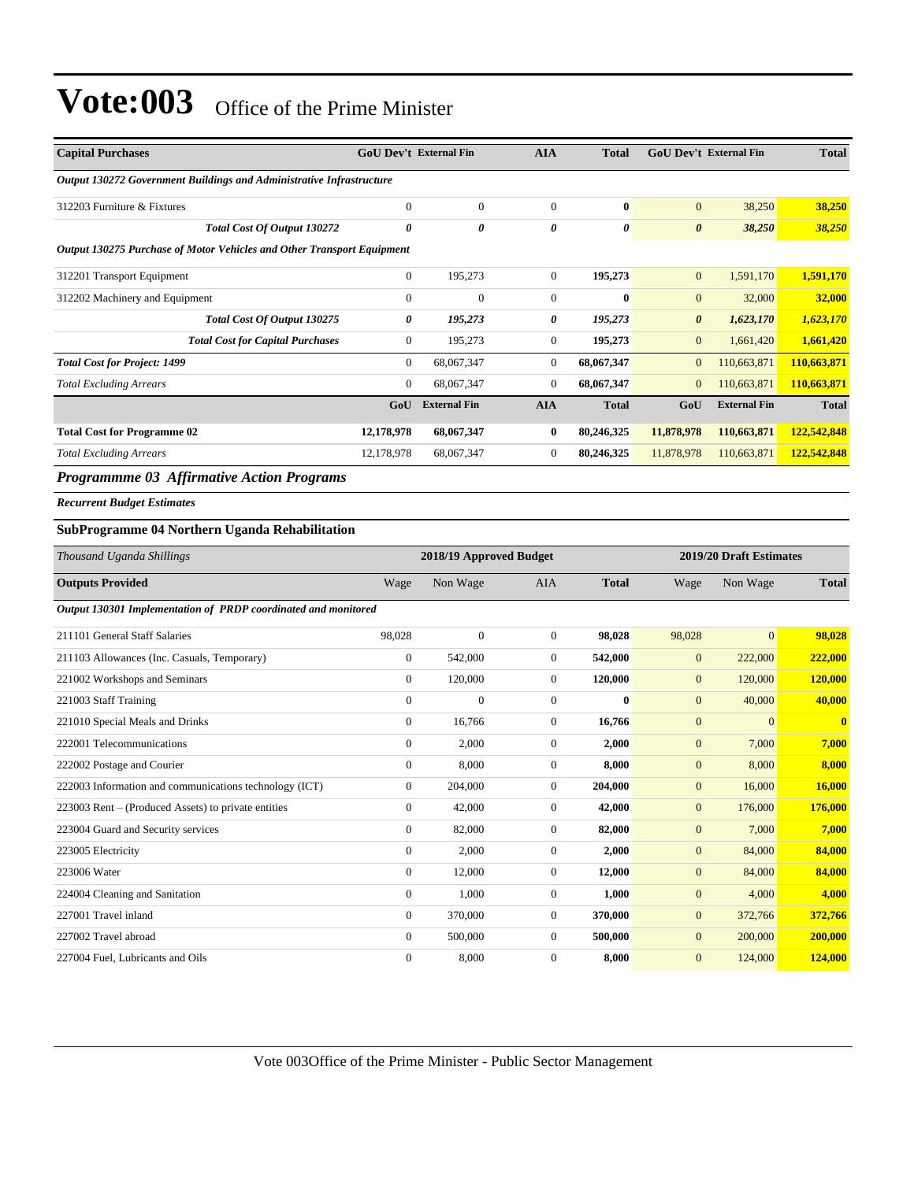| Output 130272 Government Buildings and Administrative Infrastructure |              |  |  |  |  |  |  |  |
|----------------------------------------------------------------------|--------------|--|--|--|--|--|--|--|
| 38,250                                                               | 38,250       |  |  |  |  |  |  |  |
| 38,250                                                               | 38,250       |  |  |  |  |  |  |  |
|                                                                      |              |  |  |  |  |  |  |  |
| 1,591,170                                                            | 1,591,170    |  |  |  |  |  |  |  |
| 32,000                                                               | 32,000       |  |  |  |  |  |  |  |
| 1,623,170                                                            | 1,623,170    |  |  |  |  |  |  |  |
| 1,661,420                                                            | 1,661,420    |  |  |  |  |  |  |  |
| 110,663,871                                                          | 110,663,871  |  |  |  |  |  |  |  |
| 110,663,871                                                          | 110,663,871  |  |  |  |  |  |  |  |
| <b>External Fin</b>                                                  | <b>Total</b> |  |  |  |  |  |  |  |
| 110,663,871                                                          | 122,542,848  |  |  |  |  |  |  |  |
| 110,663,871                                                          | 122,542,848  |  |  |  |  |  |  |  |
|                                                                      |              |  |  |  |  |  |  |  |

*Programmme 03 Affirmative Action Programs*

*Recurrent Budget Estimates*

#### **SubProgramme 04 Northern Uganda Rehabilitation**

| Thousand Uganda Shillings                                      |                | 2018/19 Approved Budget |                | 2019/20 Draft Estimates |              |                |              |
|----------------------------------------------------------------|----------------|-------------------------|----------------|-------------------------|--------------|----------------|--------------|
| <b>Outputs Provided</b>                                        | Wage           | Non Wage                | <b>AIA</b>     | <b>Total</b>            | Wage         | Non Wage       | <b>Total</b> |
| Output 130301 Implementation of PRDP coordinated and monitored |                |                         |                |                         |              |                |              |
| 211101 General Staff Salaries                                  | 98,028         | $\mathbf{0}$            | $\overline{0}$ | 98,028                  | 98,028       | $\overline{0}$ | 98,028       |
| 211103 Allowances (Inc. Casuals, Temporary)                    | $\mathbf{0}$   | 542,000                 | $\overline{0}$ | 542,000                 | $\mathbf{0}$ | 222,000        | 222,000      |
| 221002 Workshops and Seminars                                  | $\overline{0}$ | 120,000                 | 0              | 120,000                 | $\mathbf{0}$ | 120,000        | 120,000      |
| 221003 Staff Training                                          | $\overline{0}$ | $\mathbf{0}$            | $\overline{0}$ | $\bf{0}$                | $\mathbf{0}$ | 40,000         | 40,000       |
| 221010 Special Meals and Drinks                                | $\overline{0}$ | 16,766                  | $\overline{0}$ | 16,766                  | $\mathbf{0}$ | $\overline{0}$ | $\bf{0}$     |
| 222001 Telecommunications                                      | $\mathbf{0}$   | 2,000                   | $\overline{0}$ | 2,000                   | $\mathbf{0}$ | 7,000          | 7,000        |
| 222002 Postage and Courier                                     | $\mathbf{0}$   | 8,000                   | $\overline{0}$ | 8,000                   | $\mathbf{0}$ | 8,000          | 8,000        |
| 222003 Information and communications technology (ICT)         | $\mathbf{0}$   | 204,000                 | $\overline{0}$ | 204,000                 | $\mathbf{0}$ | 16,000         | 16,000       |
| 223003 Rent – (Produced Assets) to private entities            | $\mathbf{0}$   | 42,000                  | $\overline{0}$ | 42,000                  | $\mathbf{0}$ | 176,000        | 176,000      |
| 223004 Guard and Security services                             | $\overline{0}$ | 82,000                  | $\overline{0}$ | 82,000                  | $\mathbf{0}$ | 7,000          | 7,000        |
| 223005 Electricity                                             | $\overline{0}$ | 2,000                   | $\overline{0}$ | 2,000                   | $\mathbf{0}$ | 84,000         | 84,000       |
| 223006 Water                                                   | $\overline{0}$ | 12,000                  | $\overline{0}$ | 12,000                  | $\mathbf{0}$ | 84,000         | 84,000       |
| 224004 Cleaning and Sanitation                                 | $\overline{0}$ | 1,000                   | $\overline{0}$ | 1,000                   | $\mathbf{0}$ | 4,000          | 4,000        |
| 227001 Travel inland                                           | $\mathbf{0}$   | 370,000                 | $\overline{0}$ | 370,000                 | $\mathbf{0}$ | 372,766        | 372,766      |
| 227002 Travel abroad                                           | $\mathbf{0}$   | 500,000                 | $\overline{0}$ | 500,000                 | $\mathbf{0}$ | 200,000        | 200,000      |
| 227004 Fuel, Lubricants and Oils                               | $\mathbf{0}$   | 8,000                   | $\overline{0}$ | 8,000                   | $\mathbf{0}$ | 124,000        | 124,000      |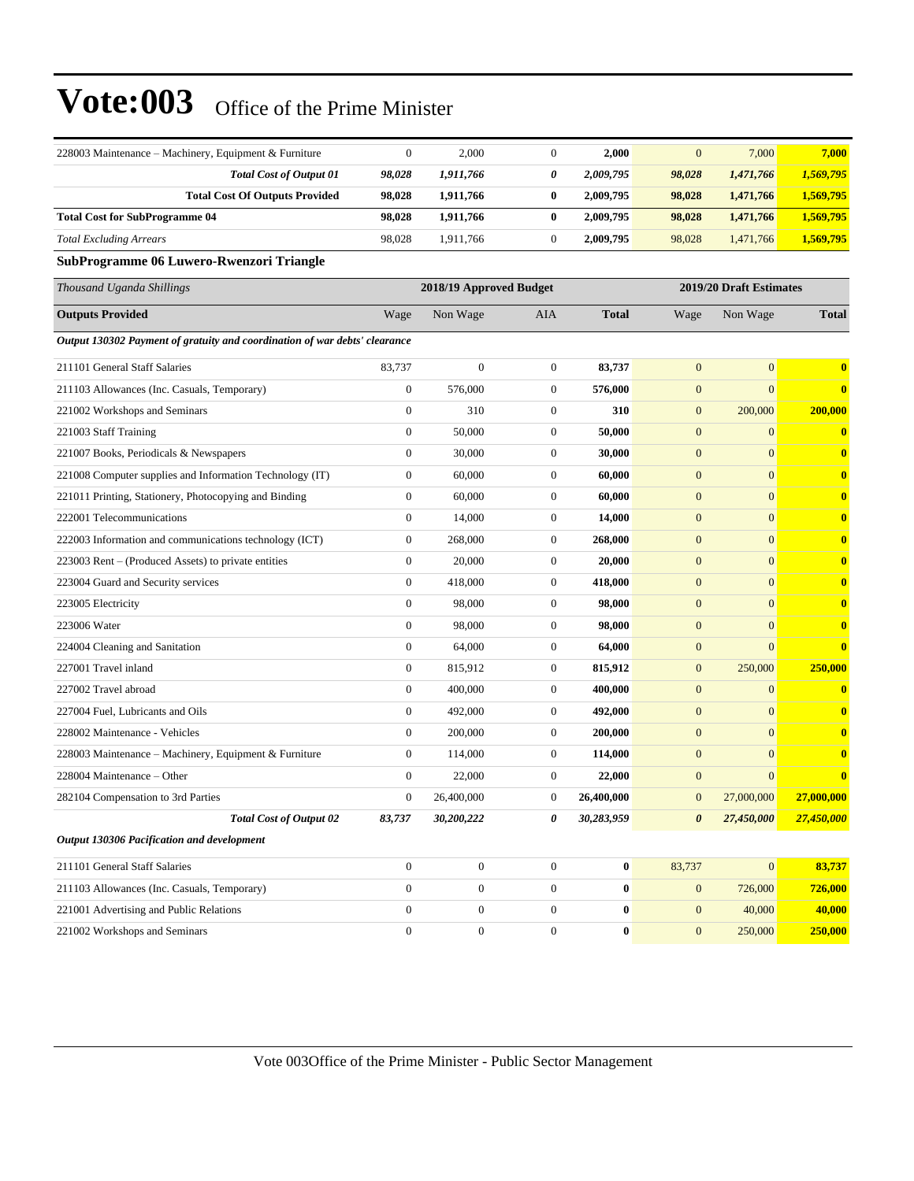| 228003 Maintenance - Machinery, Equipment & Furniture                      | $\mathbf{0}$     | 2,000                   | $\mathbf{0}$     | 2,000            | $\mathbf{0}$          | 7,000                   | 7,000        |
|----------------------------------------------------------------------------|------------------|-------------------------|------------------|------------------|-----------------------|-------------------------|--------------|
| <b>Total Cost of Output 01</b>                                             | 98,028           | 1,911,766               | 0                | 2,009,795        | 98,028                | 1,471,766               | 1,569,795    |
| <b>Total Cost Of Outputs Provided</b>                                      | 98.028           | 1,911,766               | 0                | 2,009,795        | 98,028                | 1,471,766               | 1,569,795    |
| <b>Total Cost for SubProgramme 04</b>                                      | 98,028           | 1,911,766               | $\bf{0}$         | 2,009,795        | 98,028                | 1,471,766               | 1,569,795    |
| <b>Total Excluding Arrears</b>                                             | 98,028           | 1,911,766               | $\boldsymbol{0}$ | 2,009,795        | 98,028                | 1,471,766               | 1,569,795    |
| SubProgramme 06 Luwero-Rwenzori Triangle                                   |                  |                         |                  |                  |                       |                         |              |
| Thousand Uganda Shillings                                                  |                  | 2018/19 Approved Budget |                  |                  |                       | 2019/20 Draft Estimates |              |
| <b>Outputs Provided</b>                                                    | Wage             | Non Wage                | AIA              | <b>Total</b>     | Wage                  | Non Wage                | <b>Total</b> |
| Output 130302 Payment of gratuity and coordination of war debts' clearance |                  |                         |                  |                  |                       |                         |              |
| 211101 General Staff Salaries                                              | 83,737           | $\boldsymbol{0}$        | $\mathbf{0}$     | 83,737           | $\mathbf{0}$          | $\mathbf{0}$            | $\bf{0}$     |
| 211103 Allowances (Inc. Casuals, Temporary)                                | $\mathbf{0}$     | 576,000                 | 0                | 576,000          | $\mathbf{0}$          | $\boldsymbol{0}$        | $\bf{0}$     |
| 221002 Workshops and Seminars                                              | $\theta$         | 310                     | $\mathbf{0}$     | 310              | $\mathbf{0}$          | 200,000                 | 200,000      |
| 221003 Staff Training                                                      | $\boldsymbol{0}$ | 50,000                  | $\boldsymbol{0}$ | 50,000           | $\boldsymbol{0}$      | $\boldsymbol{0}$        | $\bf{0}$     |
| 221007 Books, Periodicals & Newspapers                                     | $\mathbf{0}$     | 30,000                  | $\boldsymbol{0}$ | 30,000           | $\mathbf{0}$          | $\mathbf{0}$            | $\bf{0}$     |
| 221008 Computer supplies and Information Technology (IT)                   | $\theta$         | 60,000                  | $\boldsymbol{0}$ | 60,000           | $\mathbf{0}$          | $\mathbf{0}$            | $\bf{0}$     |
| 221011 Printing, Stationery, Photocopying and Binding                      | $\boldsymbol{0}$ | 60,000                  | $\boldsymbol{0}$ | 60,000           | $\mathbf{0}$          | $\mathbf{0}$            | $\bf{0}$     |
| 222001 Telecommunications                                                  | $\mathbf{0}$     | 14,000                  | $\mathbf{0}$     | 14,000           | $\mathbf{0}$          | $\boldsymbol{0}$        | $\bf{0}$     |
| 222003 Information and communications technology (ICT)                     | $\boldsymbol{0}$ | 268,000                 | $\boldsymbol{0}$ | 268,000          | $\mathbf{0}$          | $\overline{0}$          | $\bf{0}$     |
| 223003 Rent – (Produced Assets) to private entities                        | $\mathbf{0}$     | 20,000                  | $\boldsymbol{0}$ | 20,000           | $\mathbf{0}$          | $\mathbf{0}$            | $\bf{0}$     |
| 223004 Guard and Security services                                         | $\mathbf{0}$     | 418,000                 | 0                | 418,000          | $\mathbf{0}$          | $\mathbf{0}$            | $\bf{0}$     |
| 223005 Electricity                                                         | $\boldsymbol{0}$ | 98,000                  | $\boldsymbol{0}$ | 98,000           | $\mathbf{0}$          | $\mathbf{0}$            | $\bf{0}$     |
| 223006 Water                                                               | $\mathbf{0}$     | 98,000                  | $\mathbf{0}$     | 98,000           | $\mathbf{0}$          | $\mathbf{0}$            | $\bf{0}$     |
| 224004 Cleaning and Sanitation                                             | $\boldsymbol{0}$ | 64,000                  | $\mathbf{0}$     | 64,000           | $\mathbf{0}$          | $\overline{0}$          | $\bf{0}$     |
| 227001 Travel inland                                                       | $\boldsymbol{0}$ | 815,912                 | $\boldsymbol{0}$ | 815,912          | $\boldsymbol{0}$      | 250,000                 | 250,000      |
| 227002 Travel abroad                                                       | $\theta$         | 400,000                 | $\boldsymbol{0}$ | 400,000          | $\mathbf{0}$          | $\mathbf{0}$            | $\bf{0}$     |
| 227004 Fuel, Lubricants and Oils                                           | $\boldsymbol{0}$ | 492,000                 | $\boldsymbol{0}$ | 492,000          | $\mathbf{0}$          | $\mathbf{0}$            | $\bf{0}$     |
| 228002 Maintenance - Vehicles                                              | $\theta$         | 200,000                 | $\mathbf{0}$     | 200,000          | $\mathbf{0}$          | $\mathbf{0}$            | $\bf{0}$     |
| 228003 Maintenance – Machinery, Equipment & Furniture                      | $\boldsymbol{0}$ | 114,000                 | 0                | 114,000          | $\mathbf{0}$          | $\mathbf{0}$            | $\bf{0}$     |
| 228004 Maintenance – Other                                                 | $\theta$         | 22,000                  | $\overline{0}$   | 22,000           | $\boldsymbol{0}$      | $\overline{0}$          | $\bf{0}$     |
| 282104 Compensation to 3rd Parties                                         | $\theta$         | 26,400,000              | $\overline{0}$   | 26,400,000       | $\mathbf{0}$          | 27,000,000              | 27,000,000   |
| <b>Total Cost of Output 02</b>                                             | 83,737           | 30,200,222              | 0                | 30,283,959       | $\boldsymbol{\theta}$ | 27,450,000              | 27,450,000   |
| Output 130306 Pacification and development                                 |                  |                         |                  |                  |                       |                         |              |
| 211101 General Staff Salaries                                              | $\boldsymbol{0}$ | $\boldsymbol{0}$        | $\boldsymbol{0}$ | $\bf{0}$         | 83,737                | $\mathbf{0}$            | 83,737       |
| 211103 Allowances (Inc. Casuals, Temporary)                                | $\overline{0}$   | $\boldsymbol{0}$        | $\boldsymbol{0}$ | $\bf{0}$         | $\mathbf{0}$          | 726,000                 | 726,000      |
| 221001 Advertising and Public Relations                                    | $\mathbf{0}$     | $\boldsymbol{0}$        | $\boldsymbol{0}$ | $\boldsymbol{0}$ | $\mathbf{0}$          | 40,000                  | 40,000       |
| 221002 Workshops and Seminars                                              | $\boldsymbol{0}$ | $\boldsymbol{0}$        | $\boldsymbol{0}$ | $\boldsymbol{0}$ | $\boldsymbol{0}$      | 250,000                 | 250,000      |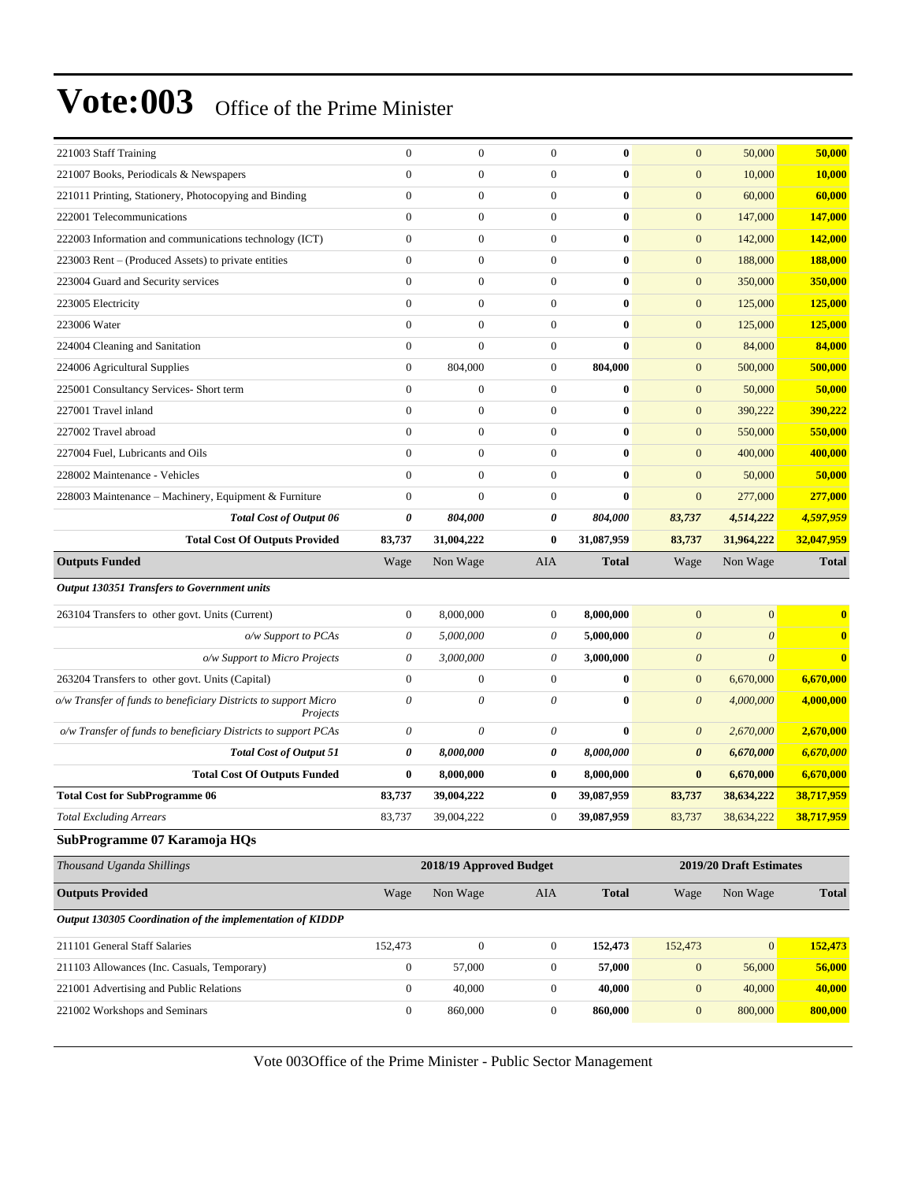| 221003 Staff Training                                                       | $\mathbf{0}$     | $\overline{0}$          | $\mathbf{0}$     | $\bf{0}$     | $\mathbf{0}$          | 50,000                  | 50,000         |
|-----------------------------------------------------------------------------|------------------|-------------------------|------------------|--------------|-----------------------|-------------------------|----------------|
| 221007 Books, Periodicals & Newspapers                                      | $\mathbf{0}$     | $\boldsymbol{0}$        | $\theta$         | $\bf{0}$     | $\mathbf{0}$          | 10,000                  | 10,000         |
| 221011 Printing, Stationery, Photocopying and Binding                       | $\boldsymbol{0}$ | $\boldsymbol{0}$        | $\boldsymbol{0}$ | $\bf{0}$     | $\boldsymbol{0}$      | 60,000                  | 60,000         |
| 222001 Telecommunications                                                   | $\boldsymbol{0}$ | $\boldsymbol{0}$        | $\boldsymbol{0}$ | $\bf{0}$     | $\boldsymbol{0}$      | 147,000                 | 147,000        |
| 222003 Information and communications technology (ICT)                      | $\boldsymbol{0}$ | $\boldsymbol{0}$        | $\boldsymbol{0}$ | $\bf{0}$     | $\boldsymbol{0}$      | 142,000                 | <b>142,000</b> |
| 223003 Rent – (Produced Assets) to private entities                         | $\boldsymbol{0}$ | $\boldsymbol{0}$        | $\boldsymbol{0}$ | $\bf{0}$     | $\mathbf{0}$          | 188,000                 | 188,000        |
| 223004 Guard and Security services                                          | $\mathbf{0}$     | $\boldsymbol{0}$        | $\theta$         | $\bf{0}$     | $\mathbf{0}$          | 350,000                 | 350,000        |
| 223005 Electricity                                                          | $\overline{0}$   | $\boldsymbol{0}$        | $\boldsymbol{0}$ | $\bf{0}$     | $\boldsymbol{0}$      | 125,000                 | 125,000        |
| 223006 Water                                                                | $\boldsymbol{0}$ | $\boldsymbol{0}$        | $\boldsymbol{0}$ | $\bf{0}$     | $\mathbf{0}$          | 125,000                 | 125,000        |
| 224004 Cleaning and Sanitation                                              | $\boldsymbol{0}$ | $\boldsymbol{0}$        | $\boldsymbol{0}$ | $\bf{0}$     | $\mathbf{0}$          | 84,000                  | 84,000         |
| 224006 Agricultural Supplies                                                | $\boldsymbol{0}$ | 804,000                 | $\boldsymbol{0}$ | 804,000      | $\mathbf{0}$          | 500,000                 | 500,000        |
| 225001 Consultancy Services- Short term                                     | $\mathbf{0}$     | $\boldsymbol{0}$        | $\boldsymbol{0}$ | $\bf{0}$     | $\mathbf{0}$          | 50,000                  | 50,000         |
| 227001 Travel inland                                                        | $\boldsymbol{0}$ | $\boldsymbol{0}$        | $\boldsymbol{0}$ | $\bf{0}$     | $\boldsymbol{0}$      | 390,222                 | 390,222        |
| 227002 Travel abroad                                                        | $\boldsymbol{0}$ | $\boldsymbol{0}$        | $\boldsymbol{0}$ | $\bf{0}$     | $\boldsymbol{0}$      | 550,000                 | 550,000        |
| 227004 Fuel, Lubricants and Oils                                            | $\overline{0}$   | $\boldsymbol{0}$        | $\boldsymbol{0}$ | $\bf{0}$     | $\mathbf{0}$          | 400,000                 | 400,000        |
| 228002 Maintenance - Vehicles                                               | $\mathbf{0}$     | $\boldsymbol{0}$        | $\boldsymbol{0}$ | $\bf{0}$     | $\mathbf{0}$          | 50,000                  | 50,000         |
| 228003 Maintenance - Machinery, Equipment & Furniture                       | $\boldsymbol{0}$ | $\overline{0}$          | $\boldsymbol{0}$ | $\bf{0}$     | $\mathbf{0}$          | 277,000                 | 277,000        |
| <b>Total Cost of Output 06</b>                                              | 0                | 804,000                 | 0                | 804,000      | 83,737                | 4,514,222               | 4,597,959      |
| <b>Total Cost Of Outputs Provided</b>                                       | 83,737           | 31,004,222              | $\bf{0}$         | 31,087,959   | 83,737                | 31,964,222              | 32,047,959     |
| <b>Outputs Funded</b>                                                       | Wage             | Non Wage                | AIA              | <b>Total</b> | Wage                  | Non Wage                | <b>Total</b>   |
| Output 130351 Transfers to Government units                                 |                  |                         |                  |              |                       |                         |                |
| 263104 Transfers to other govt. Units (Current)                             | $\mathbf{0}$     | 8,000,000               | $\boldsymbol{0}$ | 8,000,000    | $\mathbf{0}$          | $\overline{0}$          | $\bf{0}$       |
| o/w Support to PCAs                                                         | 0                | 5,000,000               | $\theta$         | 5,000,000    | $\boldsymbol{\theta}$ | $\theta$                | $\bf{0}$       |
| o/w Support to Micro Projects                                               | 0                | 3,000,000               | $\theta$         | 3,000,000    | $\boldsymbol{\theta}$ | $\theta$                | $\bf{0}$       |
| 263204 Transfers to other govt. Units (Capital)                             | $\overline{0}$   | $\boldsymbol{0}$        | $\boldsymbol{0}$ | $\bf{0}$     | $\boldsymbol{0}$      | 6,670,000               | 6,670,000      |
| o/w Transfer of funds to beneficiary Districts to support Micro<br>Projects | 0                | 0                       | $\theta$         | $\bf{0}$     | $\boldsymbol{\theta}$ | 4,000,000               | 4,000,000      |
| o/w Transfer of funds to beneficiary Districts to support PCAs              | 0                | 0                       | $\theta$         | $\bf{0}$     | $\theta$              | 2,670,000               | 2,670,000      |
| <b>Total Cost of Output 51</b>                                              | 0                | 8,000,000               | 0                | 8,000,000    | $\boldsymbol{\theta}$ | 6,670,000               | 6,670,000      |
| <b>Total Cost Of Outputs Funded</b>                                         | $\bf{0}$         | 8,000,000               | $\bf{0}$         | 8,000,000    | $\bf{0}$              | 6,670,000               | 6,670,000      |
| <b>Total Cost for SubProgramme 06</b>                                       | 83,737           | 39,004,222              | $\bf{0}$         | 39,087,959   | 83,737                | 38,634,222              | 38,717,959     |
| <b>Total Excluding Arrears</b>                                              | 83,737           | 39,004,222              | $\boldsymbol{0}$ | 39,087,959   | 83,737                | 38,634,222              | 38,717,959     |
| SubProgramme 07 Karamoja HQs                                                |                  |                         |                  |              |                       |                         |                |
| Thousand Uganda Shillings                                                   |                  | 2018/19 Approved Budget |                  |              |                       | 2019/20 Draft Estimates |                |
| <b>Outputs Provided</b>                                                     | Wage             | Non Wage                | <b>AIA</b>       | <b>Total</b> | Wage                  | Non Wage                | <b>Total</b>   |
| Output 130305 Coordination of the implementation of KIDDP                   |                  |                         |                  |              |                       |                         |                |
| 211101 General Staff Salaries                                               | 152,473          | $\boldsymbol{0}$        | $\boldsymbol{0}$ | 152,473      | 152,473               | $\boldsymbol{0}$        | 152,473        |
| 211103 Allowances (Inc. Casuals, Temporary)                                 | $\boldsymbol{0}$ | 57,000                  | $\boldsymbol{0}$ | 57,000       | $\boldsymbol{0}$      | 56,000                  | 56,000         |
| 221001 Advertising and Public Relations                                     | $\boldsymbol{0}$ | 40,000                  | $\boldsymbol{0}$ | 40,000       | $\boldsymbol{0}$      | 40,000                  | 40,000         |
| 221002 Workshops and Seminars                                               | $\boldsymbol{0}$ | 860,000                 | $\boldsymbol{0}$ | 860,000      | $\mathbf{0}$          | 800,000                 | 800,000        |
|                                                                             |                  |                         |                  |              |                       |                         |                |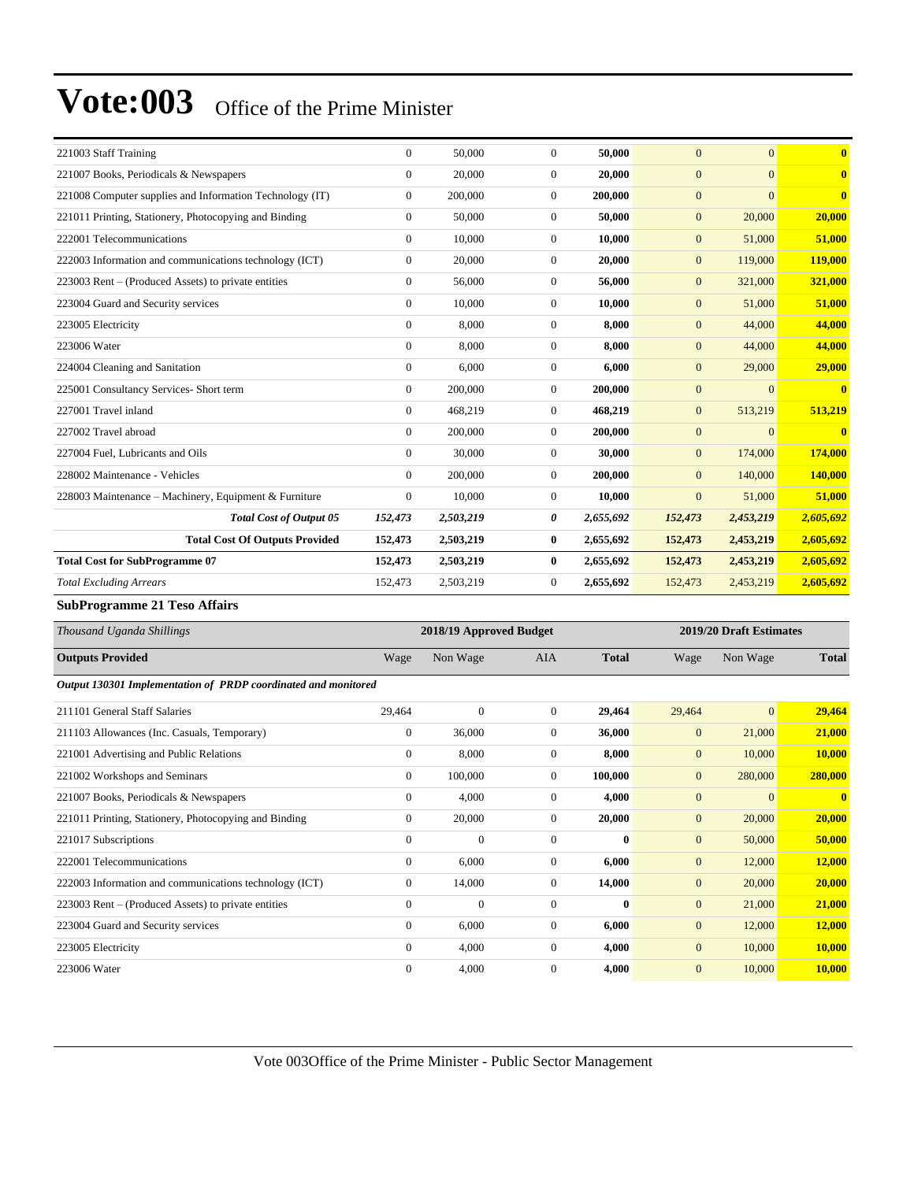| 221003 Staff Training                                    | $\overline{0}$ | 50,000    | $\mathbf{0}$   | 50,000    | $\Omega$       | $\overline{0}$ | $\bf{0}$     |
|----------------------------------------------------------|----------------|-----------|----------------|-----------|----------------|----------------|--------------|
| 221007 Books, Periodicals & Newspapers                   | $\overline{0}$ | 20,000    | $\mathbf{0}$   | 20,000    | $\overline{0}$ | $\Omega$       | $\bf{0}$     |
| 221008 Computer supplies and Information Technology (IT) | $\overline{0}$ | 200,000   | $\overline{0}$ | 200,000   | $\overline{0}$ | $\Omega$       | $\bf{0}$     |
| 221011 Printing, Stationery, Photocopying and Binding    | $\overline{0}$ | 50,000    | $\Omega$       | 50,000    | $\overline{0}$ | 20,000         | 20,000       |
| 222001 Telecommunications                                | $\overline{0}$ | 10.000    | $\Omega$       | 10.000    | $\overline{0}$ | 51,000         | 51,000       |
| 222003 Information and communications technology (ICT)   | $\overline{0}$ | 20,000    | $\mathbf{0}$   | 20,000    | $\mathbf{0}$   | 119,000        | 119,000      |
| 223003 Rent – (Produced Assets) to private entities      | $\overline{0}$ | 56,000    | $\overline{0}$ | 56,000    | $\overline{0}$ | 321,000        | 321,000      |
| 223004 Guard and Security services                       | $\Omega$       | 10,000    | $\Omega$       | 10,000    | $\overline{0}$ | 51,000         | 51,000       |
| 223005 Electricity                                       | $\overline{0}$ | 8.000     | $\Omega$       | 8.000     | $\overline{0}$ | 44,000         | 44,000       |
| 223006 Water                                             | $\overline{0}$ | 8,000     | $\mathbf{0}$   | 8,000     | $\mathbf{0}$   | 44,000         | 44,000       |
| 224004 Cleaning and Sanitation                           | $\overline{0}$ | 6,000     | $\Omega$       | 6,000     | $\mathbf{0}$   | 29,000         | 29,000       |
| 225001 Consultancy Services- Short term                  | $\overline{0}$ | 200,000   | $\Omega$       | 200,000   | $\mathbf{0}$   | $\Omega$       | $\bf{0}$     |
| 227001 Travel inland                                     | $\Omega$       | 468,219   | $\Omega$       | 468,219   | $\mathbf{0}$   | 513,219        | 513,219      |
| 227002 Travel abroad                                     | $\overline{0}$ | 200,000   | $\mathbf{0}$   | 200,000   | $\mathbf{0}$   | $\Omega$       | $\mathbf{0}$ |
| 227004 Fuel, Lubricants and Oils                         | $\Omega$       | 30,000    | $\Omega$       | 30,000    | $\mathbf{0}$   | 174,000        | 174,000      |
| 228002 Maintenance - Vehicles                            | $\overline{0}$ | 200,000   | $\mathbf{0}$   | 200,000   | $\overline{0}$ | 140,000        | 140,000      |
| 228003 Maintenance - Machinery, Equipment & Furniture    | $\theta$       | 10,000    | $\Omega$       | 10,000    | $\overline{0}$ | 51,000         | 51,000       |
| <b>Total Cost of Output 05</b>                           | 152,473        | 2,503,219 | 0              | 2,655,692 | 152,473        | 2,453,219      | 2,605,692    |
| <b>Total Cost Of Outputs Provided</b>                    | 152,473        | 2,503,219 | $\bf{0}$       | 2,655,692 | 152,473        | 2,453,219      | 2,605,692    |
| <b>Total Cost for SubProgramme 07</b>                    | 152,473        | 2,503,219 | $\bf{0}$       | 2,655,692 | 152,473        | 2,453,219      | 2,605,692    |
| <b>Total Excluding Arrears</b>                           | 152,473        | 2,503,219 | $\mathbf{0}$   | 2,655,692 | 152,473        | 2,453,219      | 2,605,692    |

**SubProgramme 21 Teso Affairs**

| Thousand Uganda Shillings                                      |                | 2018/19 Approved Budget |              |              | 2019/20 Draft Estimates |                |              |
|----------------------------------------------------------------|----------------|-------------------------|--------------|--------------|-------------------------|----------------|--------------|
| <b>Outputs Provided</b>                                        | Wage           | Non Wage                | <b>AIA</b>   | <b>Total</b> | Wage                    | Non Wage       | <b>Total</b> |
| Output 130301 Implementation of PRDP coordinated and monitored |                |                         |              |              |                         |                |              |
| 211101 General Staff Salaries                                  | 29,464         | $\mathbf{0}$            | $\mathbf{0}$ | 29,464       | 29,464                  | $\overline{0}$ | 29,464       |
| 211103 Allowances (Inc. Casuals, Temporary)                    | $\mathbf{0}$   | 36,000                  | $\mathbf{0}$ | 36,000       | $\mathbf{0}$            | 21,000         | 21,000       |
| 221001 Advertising and Public Relations                        | 0              | 8,000                   | $\mathbf{0}$ | 8,000        | $\mathbf{0}$            | 10,000         | 10,000       |
| 221002 Workshops and Seminars                                  | $\overline{0}$ | 100,000                 | $\mathbf{0}$ | 100,000      | $\mathbf{0}$            | 280,000        | 280,000      |
| 221007 Books, Periodicals & Newspapers                         | $\Omega$       | 4,000                   | $\Omega$     | 4,000        | $\mathbf{0}$            | $\Omega$       | $\mathbf{0}$ |
| 221011 Printing, Stationery, Photocopying and Binding          | $\overline{0}$ | 20,000                  | $\Omega$     | 20,000       | $\mathbf{0}$            | 20,000         | 20,000       |
| 221017 Subscriptions                                           | $\mathbf{0}$   | $\theta$                | $\mathbf{0}$ | $\bf{0}$     | $\mathbf{0}$            | 50,000         | 50,000       |
| 222001 Telecommunications                                      | $\mathbf{0}$   | 6,000                   | $\mathbf{0}$ | 6,000        | $\mathbf{0}$            | 12,000         | 12,000       |
| 222003 Information and communications technology (ICT)         | $\overline{0}$ | 14,000                  | $\mathbf{0}$ | 14,000       | $\mathbf{0}$            | 20,000         | 20,000       |
| 223003 Rent – (Produced Assets) to private entities            | $\Omega$       | $\overline{0}$          | $\Omega$     | $\mathbf{0}$ | $\mathbf{0}$            | 21,000         | 21,000       |
| 223004 Guard and Security services                             | $\overline{0}$ | 6,000                   | $\mathbf{0}$ | 6,000        | $\mathbf{0}$            | 12,000         | 12,000       |
| 223005 Electricity                                             | $\overline{0}$ | 4,000                   | 0            | 4,000        | $\mathbf{0}$            | 10,000         | 10,000       |
| 223006 Water                                                   | $\overline{0}$ | 4,000                   | $\mathbf{0}$ | 4,000        | $\mathbf{0}$            | 10,000         | 10,000       |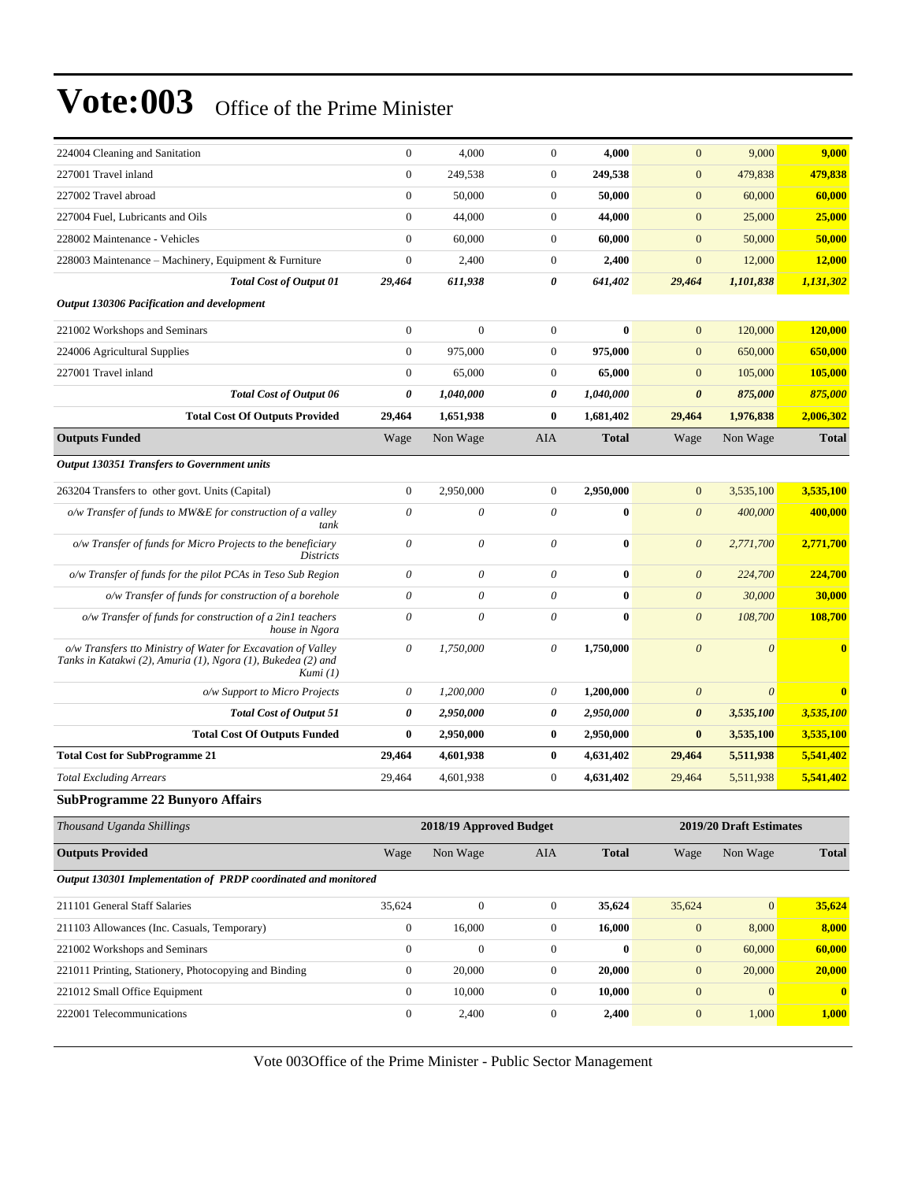| 224004 Cleaning and Sanitation                                                                                                           | $\boldsymbol{0}$          | 4,000                     | $\boldsymbol{0}$ | 4,000            | $\mathbf{0}$          | 9,000                   | 9,000        |
|------------------------------------------------------------------------------------------------------------------------------------------|---------------------------|---------------------------|------------------|------------------|-----------------------|-------------------------|--------------|
| 227001 Travel inland                                                                                                                     | $\boldsymbol{0}$          | 249,538                   | $\boldsymbol{0}$ | 249,538          | $\boldsymbol{0}$      | 479,838                 | 479,838      |
| 227002 Travel abroad                                                                                                                     | $\mathbf{0}$              | 50,000                    | $\boldsymbol{0}$ | 50,000           | $\mathbf{0}$          | 60,000                  | 60,000       |
| 227004 Fuel, Lubricants and Oils                                                                                                         | $\mathbf{0}$              | 44,000                    | $\boldsymbol{0}$ | 44,000           | $\mathbf{0}$          | 25,000                  | 25,000       |
| 228002 Maintenance - Vehicles                                                                                                            | $\mathbf{0}$              | 60,000                    | $\boldsymbol{0}$ | 60,000           | $\mathbf{0}$          | 50,000                  | 50,000       |
| 228003 Maintenance – Machinery, Equipment & Furniture                                                                                    | $\boldsymbol{0}$          | 2,400                     | $\boldsymbol{0}$ | 2,400            | $\boldsymbol{0}$      | 12,000                  | 12,000       |
| <b>Total Cost of Output 01</b>                                                                                                           | 29,464                    | 611,938                   | 0                | 641,402          | 29,464                | 1,101,838               | 1,131,302    |
| Output 130306 Pacification and development                                                                                               |                           |                           |                  |                  |                       |                         |              |
| 221002 Workshops and Seminars                                                                                                            | $\mathbf{0}$              | $\overline{0}$            | $\mathbf{0}$     | $\bf{0}$         | $\mathbf{0}$          | 120,000                 | 120,000      |
| 224006 Agricultural Supplies                                                                                                             | $\boldsymbol{0}$          | 975,000                   | $\boldsymbol{0}$ | 975,000          | $\mathbf{0}$          | 650,000                 | 650,000      |
| 227001 Travel inland                                                                                                                     | $\boldsymbol{0}$          | 65,000                    | $\boldsymbol{0}$ | 65,000           | $\mathbf{0}$          | 105,000                 | 105,000      |
| <b>Total Cost of Output 06</b>                                                                                                           | 0                         | 1,040,000                 | 0                | 1,040,000        | $\boldsymbol{\theta}$ | 875,000                 | 875,000      |
| <b>Total Cost Of Outputs Provided</b>                                                                                                    | 29,464                    | 1,651,938                 | $\bf{0}$         | 1,681,402        | 29,464                | 1,976,838               | 2,006,302    |
| <b>Outputs Funded</b>                                                                                                                    | Wage                      | Non Wage                  | AIA              | <b>Total</b>     | Wage                  | Non Wage                | <b>Total</b> |
| <b>Output 130351 Transfers to Government units</b>                                                                                       |                           |                           |                  |                  |                       |                         |              |
| 263204 Transfers to other govt. Units (Capital)                                                                                          | $\mathbf{0}$              | 2,950,000                 | $\boldsymbol{0}$ | 2,950,000        | $\mathbf{0}$          | 3,535,100               | 3,535,100    |
| $o/w$ Transfer of funds to MW&E for construction of a valley<br>tank                                                                     | $\theta$                  | $\boldsymbol{\mathit{0}}$ | 0                | $\bf{0}$         | $\boldsymbol{\theta}$ | 400,000                 | 400,000      |
| o/w Transfer of funds for Micro Projects to the beneficiary<br><i>Districts</i>                                                          | $\boldsymbol{\mathit{0}}$ | 0                         | 0                | $\bf{0}$         | $\boldsymbol{\theta}$ | 2,771,700               | 2,771,700    |
| o/w Transfer of funds for the pilot PCAs in Teso Sub Region                                                                              | $\boldsymbol{\theta}$     | 0                         | 0                | $\bf{0}$         | $\boldsymbol{\theta}$ | 224,700                 | 224,700      |
| o/w Transfer of funds for construction of a borehole                                                                                     | $\boldsymbol{\mathit{0}}$ | 0                         | 0                | $\bf{0}$         | $\boldsymbol{\theta}$ | 30,000                  | 30,000       |
| o/w Transfer of funds for construction of a 2in1 teachers<br>house in Ngora                                                              | $\theta$                  | $\theta$                  | 0                | $\bf{0}$         | $\boldsymbol{\theta}$ | 108,700                 | 108,700      |
| o/w Transfers tto Ministry of Water for Excavation of Valley<br>Tanks in Katakwi (2), Amuria (1), Ngora (1), Bukedea (2) and<br>Kumi (1) | $\boldsymbol{\mathit{0}}$ | 1,750,000                 | 0                | 1,750,000        | $\boldsymbol{\theta}$ | $\theta$                | $\mathbf{0}$ |
| o/w Support to Micro Projects                                                                                                            | $\theta$                  | 1,200,000                 | 0                | 1,200,000        | $\boldsymbol{\theta}$ | $\boldsymbol{\theta}$   | $\mathbf{0}$ |
| <b>Total Cost of Output 51</b>                                                                                                           | 0                         | 2,950,000                 | 0                | 2,950,000        | $\boldsymbol{\theta}$ | 3,535,100               | 3,535,100    |
| <b>Total Cost Of Outputs Funded</b>                                                                                                      | $\bf{0}$                  | 2,950,000                 | $\bf{0}$         | 2,950,000        | $\bf{0}$              | 3,535,100               | 3,535,100    |
| <b>Total Cost for SubProgramme 21</b>                                                                                                    | 29,464                    | 4,601,938                 | $\bf{0}$         | 4,631,402        | 29,464                | 5,511,938               | 5,541,402    |
| <b>Total Excluding Arrears</b>                                                                                                           | 29,464                    | 4,601,938                 | $\boldsymbol{0}$ | 4,631,402        | 29,464                | 5,511,938               | 5,541,402    |
| <b>SubProgramme 22 Bunyoro Affairs</b>                                                                                                   |                           |                           |                  |                  |                       |                         |              |
| Thousand Uganda Shillings                                                                                                                |                           | 2018/19 Approved Budget   |                  |                  |                       | 2019/20 Draft Estimates |              |
| <b>Outputs Provided</b>                                                                                                                  | Wage                      | Non Wage                  | AIA              | <b>Total</b>     | Wage                  | Non Wage                | <b>Total</b> |
| Output 130301 Implementation of PRDP coordinated and monitored                                                                           |                           |                           |                  |                  |                       |                         |              |
| 211101 General Staff Salaries                                                                                                            | 35,624                    | $\mathbf{0}$              | $\boldsymbol{0}$ | 35,624           | 35,624                | $\boldsymbol{0}$        | 35,624       |
| 211103 Allowances (Inc. Casuals, Temporary)                                                                                              | $\boldsymbol{0}$          | 16,000                    | $\boldsymbol{0}$ | 16,000           | $\mathbf{0}$          | 8,000                   | 8,000        |
| 221002 Workshops and Seminars                                                                                                            | $\boldsymbol{0}$          | $\boldsymbol{0}$          | $\boldsymbol{0}$ | $\boldsymbol{0}$ | $\boldsymbol{0}$      | 60,000                  | 60,000       |
| 221011 Printing, Stationery, Photocopying and Binding                                                                                    | $\boldsymbol{0}$          | 20,000                    | $\boldsymbol{0}$ | 20,000           | $\mathbf{0}$          | 20,000                  | 20,000       |

Vote 003Office of the Prime Minister - Public Sector Management

221012 Small Office Equipment 0 10,000 0 **10,000** 0 0 **0** 222001 Telecommunications 0 2,400 0 **2,400** 0 1,000 **1,000**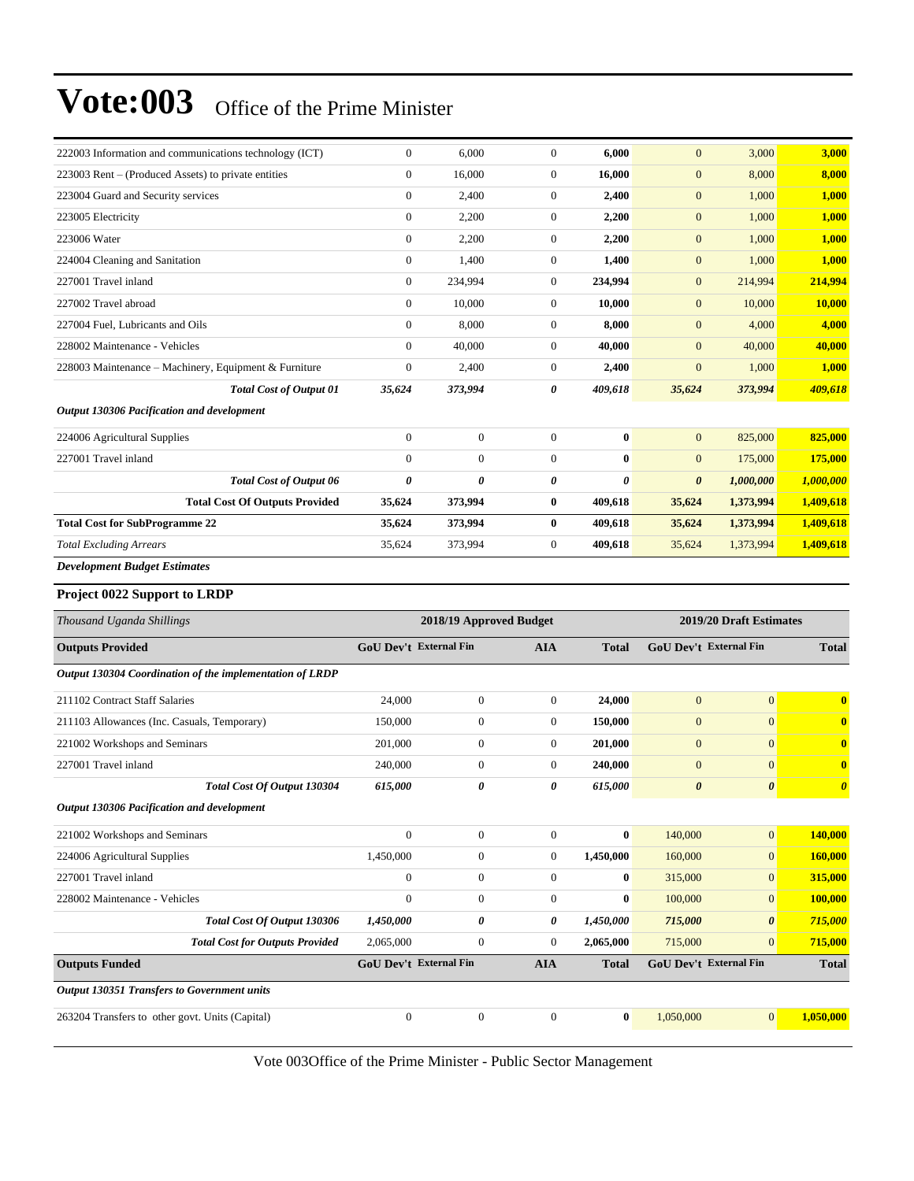| 222003 Information and communications technology (ICT)   | $\mathbf{0}$           | 6,000                   | $\boldsymbol{0}$ | 6,000        | $\mathbf{0}$                  | 3,000                         | 3,000                 |  |
|----------------------------------------------------------|------------------------|-------------------------|------------------|--------------|-------------------------------|-------------------------------|-----------------------|--|
| 223003 Rent - (Produced Assets) to private entities      | $\mathbf{0}$           | 16,000                  | $\boldsymbol{0}$ | 16,000       | $\mathbf{0}$                  | 8,000                         | 8,000                 |  |
| 223004 Guard and Security services                       | $\mathbf{0}$           | 2,400                   | $\boldsymbol{0}$ | 2,400        | $\mathbf{0}$                  | 1,000                         | 1,000                 |  |
| 223005 Electricity                                       | $\mathbf{0}$           | 2,200                   | $\mathbf{0}$     | 2,200        | $\mathbf{0}$                  | 1,000                         | 1,000                 |  |
| 223006 Water                                             | $\boldsymbol{0}$       | 2,200                   | $\mathbf{0}$     | 2,200        | $\boldsymbol{0}$              | 1,000                         | 1,000                 |  |
| 224004 Cleaning and Sanitation                           | $\boldsymbol{0}$       | 1,400                   | $\mathbf{0}$     | 1,400        | $\boldsymbol{0}$              | 1,000                         | 1,000                 |  |
| 227001 Travel inland                                     | $\mathbf{0}$           | 234,994                 | $\mathbf{0}$     | 234,994      | $\mathbf{0}$                  | 214,994                       | 214,994               |  |
| 227002 Travel abroad                                     | $\boldsymbol{0}$       | 10,000                  | $\boldsymbol{0}$ | 10,000       | $\mathbf{0}$                  | 10,000                        | 10,000                |  |
| 227004 Fuel, Lubricants and Oils                         | $\mathbf{0}$           | 8,000                   | $\mathbf{0}$     | 8,000        | $\mathbf{0}$                  | 4,000                         | 4,000                 |  |
| 228002 Maintenance - Vehicles                            | $\mathbf{0}$           | 40,000                  | $\mathbf{0}$     | 40,000       | $\boldsymbol{0}$              | 40,000                        | 40,000                |  |
| 228003 Maintenance – Machinery, Equipment & Furniture    | $\boldsymbol{0}$       | 2,400                   | $\mathbf{0}$     | 2,400        | $\mathbf{0}$                  | 1,000                         | 1,000                 |  |
| <b>Total Cost of Output 01</b>                           | 35,624                 | 373,994                 | 0                | 409,618      | 35,624                        | 373,994                       | 409,618               |  |
| Output 130306 Pacification and development               |                        |                         |                  |              |                               |                               |                       |  |
| 224006 Agricultural Supplies                             | $\boldsymbol{0}$       | $\boldsymbol{0}$        | $\boldsymbol{0}$ | $\bf{0}$     | $\mathbf{0}$                  | 825,000                       | 825,000               |  |
| 227001 Travel inland                                     | $\theta$               | $\boldsymbol{0}$        | $\boldsymbol{0}$ | $\bf{0}$     | $\mathbf{0}$                  | 175,000                       | 175,000               |  |
| <b>Total Cost of Output 06</b>                           | 0                      | 0                       | 0                | 0            | $\boldsymbol{\theta}$         | 1,000,000                     | 1,000,000             |  |
| <b>Total Cost Of Outputs Provided</b>                    | 35,624                 | 373,994                 | $\bf{0}$         | 409,618      | 35,624                        | 1,373,994                     | 1,409,618             |  |
| <b>Total Cost for SubProgramme 22</b>                    | 35,624                 | 373,994                 | $\bf{0}$         | 409,618      | 35,624                        | 1,373,994                     | 1,409,618             |  |
| <b>Total Excluding Arrears</b>                           | 35,624                 | 373,994                 | $\boldsymbol{0}$ | 409,618      | 35,624                        | 1,373,994                     | 1,409,618             |  |
| <b>Development Budget Estimates</b>                      |                        |                         |                  |              |                               |                               |                       |  |
| Project 0022 Support to LRDP                             |                        |                         |                  |              |                               |                               |                       |  |
|                                                          |                        |                         |                  |              |                               |                               |                       |  |
| Thousand Uganda Shillings                                |                        | 2018/19 Approved Budget |                  |              | 2019/20 Draft Estimates       |                               |                       |  |
| <b>Outputs Provided</b>                                  | GoU Dev't External Fin |                         | <b>AIA</b>       | <b>Total</b> |                               | <b>GoU Dev't External Fin</b> | <b>Total</b>          |  |
| Output 130304 Coordination of the implementation of LRDP |                        |                         |                  |              |                               |                               |                       |  |
| 211102 Contract Staff Salaries                           | 24,000                 | $\boldsymbol{0}$        | $\mathbf{0}$     | 24,000       | $\mathbf{0}$                  | $\mathbf{0}$                  | $\bf{0}$              |  |
| 211103 Allowances (Inc. Casuals, Temporary)              | 150,000                | $\boldsymbol{0}$        | $\mathbf{0}$     | 150,000      | $\boldsymbol{0}$              | $\mathbf{0}$                  | $\bf{0}$              |  |
| 221002 Workshops and Seminars                            | 201,000                | $\boldsymbol{0}$        | $\mathbf{0}$     | 201,000      | $\mathbf{0}$                  | $\mathbf{0}$                  | $\mathbf{0}$          |  |
| 227001 Travel inland                                     | 240,000                | $\boldsymbol{0}$        | $\mathbf{0}$     | 240,000      | $\mathbf{0}$                  | $\mathbf{0}$                  | $\bf{0}$              |  |
| Total Cost Of Output 130304                              | 615,000                | 0                       | 0                | 615,000      | $\boldsymbol{\theta}$         | $\boldsymbol{\theta}$         | $\boldsymbol{\theta}$ |  |
| Output 130306 Pacification and development               |                        |                         |                  |              |                               |                               |                       |  |
| 221002 Workshops and Seminars                            | $\mathbf{0}$           | $\boldsymbol{0}$        | $\boldsymbol{0}$ | $\bf{0}$     | 140,000                       | $\boldsymbol{0}$              | 140,000               |  |
| 224006 Agricultural Supplies                             | 1,450,000              | $\boldsymbol{0}$        | $\boldsymbol{0}$ | 1,450,000    | 160,000                       | $\mathbf{0}$                  | 160,000               |  |
| 227001 Travel inland                                     | $\mathbf{0}$           | $\boldsymbol{0}$        | $\boldsymbol{0}$ | $\bf{0}$     | 315,000                       | $\boldsymbol{0}$              | 315,000               |  |
| 228002 Maintenance - Vehicles                            | $\boldsymbol{0}$       | $\boldsymbol{0}$        | $\boldsymbol{0}$ | $\bf{0}$     | 100,000                       | $\boldsymbol{0}$              | 100,000               |  |
| Total Cost Of Output 130306                              | 1,450,000              | 0                       | 0                | 1,450,000    | 715,000                       | $\boldsymbol{\theta}$         | 715,000               |  |
| <b>Total Cost for Outputs Provided</b>                   | 2,065,000              | $\boldsymbol{0}$        | $\boldsymbol{0}$ | 2,065,000    | 715,000                       | $\mathbf{0}$                  | 715,000               |  |
| <b>Outputs Funded</b>                                    |                        |                         |                  |              |                               |                               |                       |  |
|                                                          | GoU Dev't External Fin |                         | <b>AIA</b>       | <b>Total</b> | <b>GoU Dev't External Fin</b> |                               | <b>Total</b>          |  |

263204 Transfers to other govt. Units (Capital) 0 0 0 **0** 1,050,000 0 **1,050,000**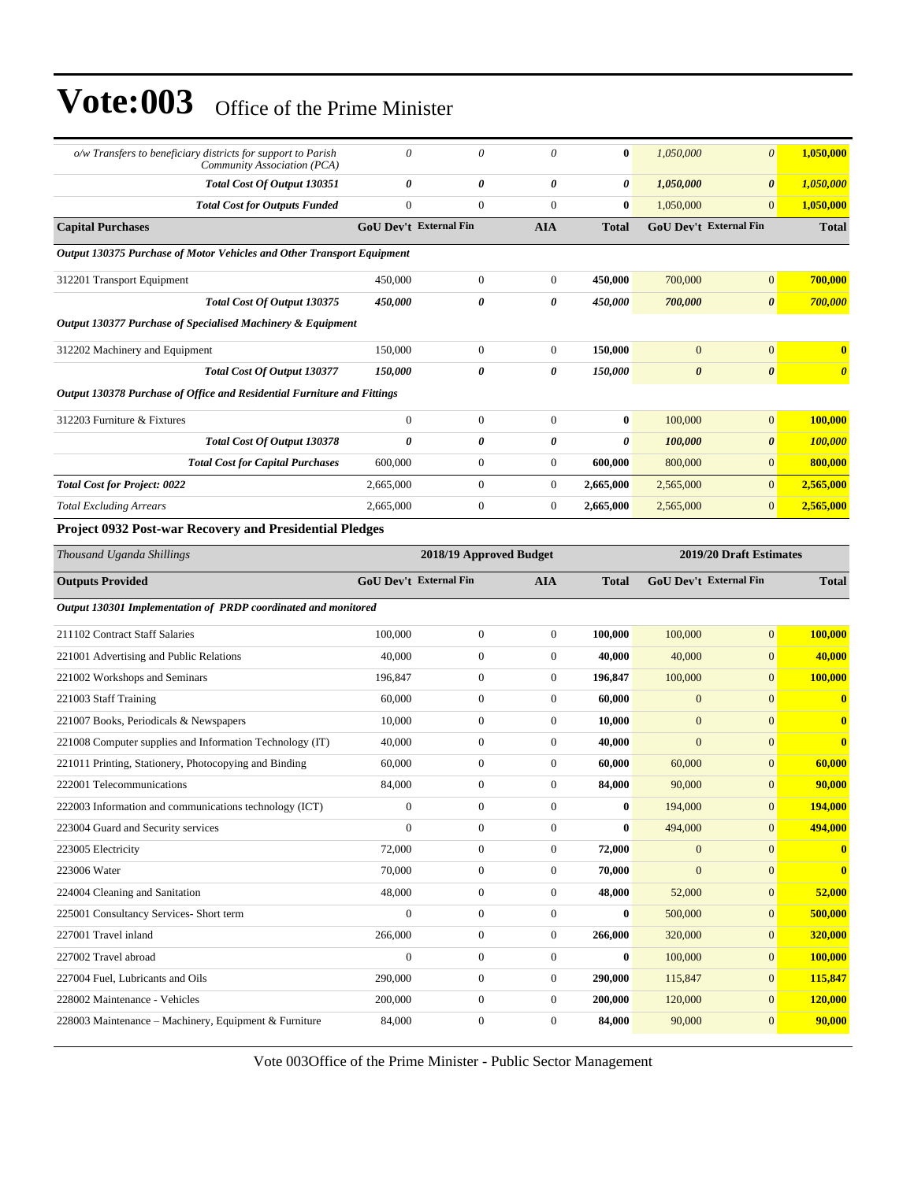| o/w Transfers to beneficiary districts for support to Parish<br>Community Association (PCA) | 0                      | 0                       | $\theta$         | $\bf{0}$     | 1,050,000               | $\boldsymbol{\theta}$         | 1,050,000             |
|---------------------------------------------------------------------------------------------|------------------------|-------------------------|------------------|--------------|-------------------------|-------------------------------|-----------------------|
| Total Cost Of Output 130351                                                                 | 0                      | 0                       | 0                | 0            | 1,050,000               | 0                             | 1,050,000             |
| <b>Total Cost for Outputs Funded</b>                                                        | $\overline{0}$         | $\overline{0}$          | $\mathbf{0}$     | $\bf{0}$     | 1,050,000               | $\overline{0}$                | 1,050,000             |
| <b>Capital Purchases</b>                                                                    | GoU Dev't External Fin |                         | <b>AIA</b>       | <b>Total</b> |                         | GoU Dev't External Fin        | <b>Total</b>          |
| Output 130375 Purchase of Motor Vehicles and Other Transport Equipment                      |                        |                         |                  |              |                         |                               |                       |
| 312201 Transport Equipment                                                                  | 450,000                | $\boldsymbol{0}$        | $\boldsymbol{0}$ | 450,000      | 700,000                 | $\boldsymbol{0}$              | 700,000               |
| Total Cost Of Output 130375                                                                 | 450,000                | 0                       | 0                | 450,000      | 700,000                 | $\boldsymbol{\theta}$         | 700,000               |
| Output 130377 Purchase of Specialised Machinery & Equipment                                 |                        |                         |                  |              |                         |                               |                       |
| 312202 Machinery and Equipment                                                              | 150,000                | $\boldsymbol{0}$        | $\mathbf{0}$     | 150,000      | $\overline{0}$          | $\overline{0}$                | $\bf{0}$              |
| Total Cost Of Output 130377                                                                 | 150,000                | 0                       | 0                | 150,000      | $\boldsymbol{\theta}$   | $\pmb{\theta}$                | $\boldsymbol{\theta}$ |
| Output 130378 Purchase of Office and Residential Furniture and Fittings                     |                        |                         |                  |              |                         |                               |                       |
| 312203 Furniture & Fixtures                                                                 | $\boldsymbol{0}$       | $\boldsymbol{0}$        | $\boldsymbol{0}$ | $\bf{0}$     | 100,000                 | $\overline{0}$                | 100,000               |
| Total Cost Of Output 130378                                                                 | $\boldsymbol{\theta}$  | 0                       | 0                | 0            | 100,000                 | 0                             | <b>100,000</b>        |
| <b>Total Cost for Capital Purchases</b>                                                     | 600,000                | $\boldsymbol{0}$        | $\mathbf{0}$     | 600,000      | 800,000                 | $\overline{0}$                | 800,000               |
| <b>Total Cost for Project: 0022</b>                                                         | 2,665,000              | $\boldsymbol{0}$        | $\mathbf{0}$     | 2,665,000    | 2,565,000               | $\overline{0}$                | 2,565,000             |
| <b>Total Excluding Arrears</b>                                                              | 2,665,000              | $\boldsymbol{0}$        | $\mathbf{0}$     | 2,665,000    | 2,565,000               | $\overline{0}$                | 2,565,000             |
| Project 0932 Post-war Recovery and Presidential Pledges                                     |                        |                         |                  |              |                         |                               |                       |
| Thousand Uganda Shillings                                                                   |                        | 2018/19 Approved Budget |                  |              | 2019/20 Draft Estimates |                               |                       |
| <b>Outputs Provided</b>                                                                     | GoU Dev't External Fin |                         | <b>AIA</b>       | <b>Total</b> |                         | <b>GoU Dev't External Fin</b> | <b>Total</b>          |
| Output 130301 Implementation of PRDP coordinated and monitored                              |                        |                         |                  |              |                         |                               |                       |
| 211102 Contract Staff Salaries                                                              | 100,000                | $\boldsymbol{0}$        | $\mathbf{0}$     | 100,000      | 100,000                 | $\boldsymbol{0}$              | 100,000               |
| 221001 Advertising and Public Relations                                                     | 40,000                 | $\boldsymbol{0}$        | $\mathbf{0}$     | 40,000       | 40,000                  | $\overline{0}$                | 40,000                |
| 221002 Workshops and Seminars                                                               | 196,847                | $\boldsymbol{0}$        | $\mathbf{0}$     | 196,847      | 100,000                 | $\overline{0}$                | 100,000               |
| 221003 Staff Training                                                                       | 60,000                 | $\boldsymbol{0}$        | $\mathbf{0}$     | 60,000       | $\mathbf{0}$            | $\overline{0}$                | $\bf{0}$              |
| 221007 Books, Periodicals & Newspapers                                                      | 10,000                 | $\boldsymbol{0}$        | $\mathbf{0}$     | 10,000       | $\mathbf{0}$            | $\overline{0}$                | $\bf{0}$              |
| 221008 Computer supplies and Information Technology (IT)                                    | 40,000                 | $\boldsymbol{0}$        | $\mathbf{0}$     | 40,000       | $\overline{0}$          | $\overline{0}$                | $\bf{0}$              |
| 221011 Printing, Stationery, Photocopying and Binding                                       | 60,000                 | $\boldsymbol{0}$        | $\mathbf{0}$     | 60,000       | 60,000                  | $\overline{0}$                | 60,000                |
| 222001 Telecommunications                                                                   | 84,000                 | $\boldsymbol{0}$        | $\boldsymbol{0}$ | 84,000       | 90,000                  | $\overline{0}$                | 90,000                |
| 222003 Information and communications technology (ICT)                                      | $\mathbf{0}$           | $\boldsymbol{0}$        | $\boldsymbol{0}$ | $\bf{0}$     | 194,000                 | $\boldsymbol{0}$              | <b>194,000</b>        |
| 223004 Guard and Security services                                                          | $\boldsymbol{0}$       | $\boldsymbol{0}$        | $\boldsymbol{0}$ | $\bf{0}$     | 494,000                 | $\mathbf{0}$                  | 494,000               |
| 223005 Electricity                                                                          | 72,000                 | $\boldsymbol{0}$        | $\boldsymbol{0}$ | 72,000       | $\mathbf{0}$            | $\mathbf{0}$                  | $\bf{0}$              |
| 223006 Water                                                                                | 70,000                 | $\boldsymbol{0}$        | $\boldsymbol{0}$ | 70,000       | $\mathbf{0}$            | $\boldsymbol{0}$              | $\bf{0}$              |
| 224004 Cleaning and Sanitation                                                              | 48,000                 | $\boldsymbol{0}$        | $\boldsymbol{0}$ | 48,000       | 52,000                  | $\overline{0}$                | 52,000                |
| 225001 Consultancy Services- Short term                                                     | $\boldsymbol{0}$       | $\boldsymbol{0}$        | $\boldsymbol{0}$ | $\bf{0}$     | 500,000                 | $\boldsymbol{0}$              | 500,000               |
| 227001 Travel inland                                                                        | 266,000                | $\boldsymbol{0}$        | $\boldsymbol{0}$ | 266,000      | 320,000                 | $\mathbf{0}$                  | 320,000               |
| 227002 Travel abroad                                                                        | $\boldsymbol{0}$       | $\boldsymbol{0}$        | $\boldsymbol{0}$ | $\bf{0}$     | 100,000                 | $\mathbf{0}$                  | 100,000               |
| 227004 Fuel, Lubricants and Oils                                                            | 290,000                | $\boldsymbol{0}$        | $\boldsymbol{0}$ | 290,000      | 115,847                 | $\mathbf{0}$                  | 115,847               |
| 228002 Maintenance - Vehicles                                                               | 200,000                | $\boldsymbol{0}$        | $\boldsymbol{0}$ | 200,000      | 120,000                 | $\boldsymbol{0}$              | 120,000               |
| 228003 Maintenance - Machinery, Equipment & Furniture                                       | 84,000                 | $\boldsymbol{0}$        | $\boldsymbol{0}$ | 84,000       | 90,000                  | $\overline{0}$                | 90,000                |
|                                                                                             |                        |                         |                  |              |                         |                               |                       |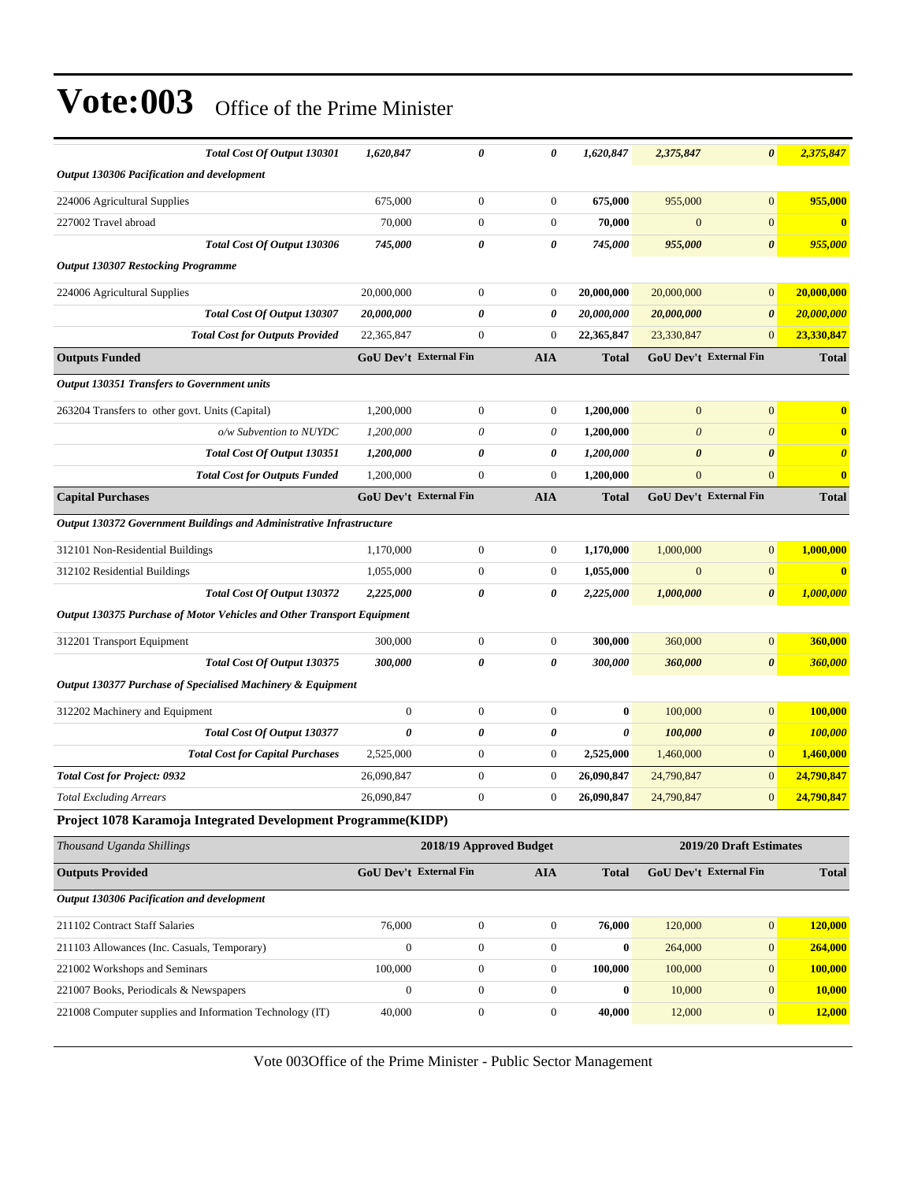| Total Cost Of Output 130301                                                   | 1,620,847              | 0                             | 0                | 1,620,847        | 2,375,847             | $\boldsymbol{\theta}$         | 2,375,847             |
|-------------------------------------------------------------------------------|------------------------|-------------------------------|------------------|------------------|-----------------------|-------------------------------|-----------------------|
| Output 130306 Pacification and development                                    |                        |                               |                  |                  |                       |                               |                       |
| 224006 Agricultural Supplies                                                  | 675,000                | $\boldsymbol{0}$              | $\mathbf{0}$     | 675,000          | 955,000               | $\mathbf{0}$                  | 955,000               |
| 227002 Travel abroad                                                          | 70,000                 | $\boldsymbol{0}$              | $\boldsymbol{0}$ | 70,000           | $\overline{0}$        | $\mathbf{0}$                  | $\bf{0}$              |
| Total Cost Of Output 130306                                                   | 745,000                | 0                             | 0                | 745,000          | 955,000               | $\boldsymbol{\theta}$         | 955,000               |
| <b>Output 130307 Restocking Programme</b>                                     |                        |                               |                  |                  |                       |                               |                       |
| 224006 Agricultural Supplies                                                  | 20,000,000             | $\mathbf{0}$                  | $\boldsymbol{0}$ | 20,000,000       | 20,000,000            | $\boldsymbol{0}$              | 20,000,000            |
| Total Cost Of Output 130307                                                   | 20,000,000             | 0                             | 0                | 20,000,000       | 20,000,000            | $\boldsymbol{\theta}$         | 20,000,000            |
| <b>Total Cost for Outputs Provided</b>                                        | 22,365,847             | $\mathbf{0}$                  | $\boldsymbol{0}$ | 22,365,847       | 23,330,847            | $\boldsymbol{0}$              | 23,330,847            |
| <b>Outputs Funded</b>                                                         |                        | <b>GoU Dev't External Fin</b> | <b>AIA</b>       | <b>Total</b>     |                       | <b>GoU Dev't External Fin</b> | <b>Total</b>          |
| <b>Output 130351 Transfers to Government units</b>                            |                        |                               |                  |                  |                       |                               |                       |
| 263204 Transfers to other govt. Units (Capital)                               | 1,200,000              | $\boldsymbol{0}$              | $\mathbf{0}$     | 1,200,000        | $\mathbf{0}$          | $\mathbf{0}$                  | $\bf{0}$              |
| o/w Subvention to NUYDC                                                       | 1,200,000              | 0                             | 0                | 1,200,000        | $\boldsymbol{\theta}$ | $\theta$                      | $\bf{0}$              |
| Total Cost Of Output 130351                                                   | 1,200,000              | 0                             | 0                | 1,200,000        | $\boldsymbol{\theta}$ | $\boldsymbol{\theta}$         | $\boldsymbol{\theta}$ |
| <b>Total Cost for Outputs Funded</b>                                          | 1,200,000              | $\boldsymbol{0}$              | $\boldsymbol{0}$ | 1,200,000        | $\boldsymbol{0}$      | $\mathbf{0}$                  | $\bf{0}$              |
| <b>Capital Purchases</b>                                                      |                        | <b>GoU Dev't External Fin</b> | <b>AIA</b>       | <b>Total</b>     |                       | GoU Dev't External Fin        | <b>Total</b>          |
| Output 130372 Government Buildings and Administrative Infrastructure          |                        |                               |                  |                  |                       |                               |                       |
| 312101 Non-Residential Buildings                                              | 1,170,000              | $\boldsymbol{0}$              | $\mathbf{0}$     | 1,170,000        | 1,000,000             | $\boldsymbol{0}$              | 1.000.000             |
| 312102 Residential Buildings                                                  | 1,055,000              | $\boldsymbol{0}$              | $\boldsymbol{0}$ | 1,055,000        | $\boldsymbol{0}$      | $\mathbf{0}$                  | $\bf{0}$              |
| Total Cost Of Output 130372                                                   | 2,225,000              | 0                             | 0                | 2,225,000        | 1,000,000             | $\boldsymbol{\theta}$         | 1,000,000             |
| <b>Output 130375 Purchase of Motor Vehicles and Other Transport Equipment</b> |                        |                               |                  |                  |                       |                               |                       |
| 312201 Transport Equipment                                                    | 300,000                | $\boldsymbol{0}$              | $\mathbf{0}$     | 300,000          | 360,000               | $\mathbf{0}$                  | 360,000               |
| Total Cost Of Output 130375                                                   | 300,000                | 0                             | 0                | 300,000          | 360,000               | $\boldsymbol{\theta}$         | 360,000               |
| Output 130377 Purchase of Specialised Machinery & Equipment                   |                        |                               |                  |                  |                       |                               |                       |
| 312202 Machinery and Equipment                                                | $\boldsymbol{0}$       | $\boldsymbol{0}$              | $\mathbf{0}$     | $\bf{0}$         | 100,000               | $\boldsymbol{0}$              | 100,000               |
| <b>Total Cost Of Output 130377</b>                                            | $\boldsymbol{\theta}$  | 0                             | 0                | 0                | 100,000               | $\boldsymbol{\theta}$         | 100,000               |
| <b>Total Cost for Capital Purchases</b>                                       | 2,525,000              | $\boldsymbol{0}$              | $\boldsymbol{0}$ | 2,525,000        | 1,460,000             | $\mathbf{0}$                  | 1,460,000             |
| <b>Total Cost for Project: 0932</b>                                           | 26,090,847             | $\boldsymbol{0}$              | $\mathbf{0}$     | 26,090,847       | 24,790,847            | $\mathbf{0}$                  | 24,790,847            |
| <b>Total Excluding Arrears</b>                                                | 26,090,847             | $\boldsymbol{0}$              | $\boldsymbol{0}$ | 26,090,847       | 24,790,847            | $\mathbf{0}$                  | 24,790,847            |
| Project 1078 Karamoja Integrated Development Programme(KIDP)                  |                        |                               |                  |                  |                       |                               |                       |
| Thousand Uganda Shillings                                                     |                        | 2018/19 Approved Budget       |                  |                  |                       | 2019/20 Draft Estimates       |                       |
| <b>Outputs Provided</b>                                                       | GoU Dev't External Fin |                               | <b>AIA</b>       | <b>Total</b>     |                       | GoU Dev't External Fin        | <b>Total</b>          |
| <b>Output 130306 Pacification and development</b>                             |                        |                               |                  |                  |                       |                               |                       |
| 211102 Contract Staff Salaries                                                | 76,000                 | $\mathbf{0}$                  | $\boldsymbol{0}$ | 76,000           | 120,000               | $\mathbf{0}$                  | 120,000               |
| 211103 Allowances (Inc. Casuals, Temporary)                                   | $\boldsymbol{0}$       | $\boldsymbol{0}$              | $\boldsymbol{0}$ | $\boldsymbol{0}$ | 264,000               | $\boldsymbol{0}$              | 264,000               |
| 221002 Workshops and Seminars                                                 | 100,000                | $\boldsymbol{0}$              | $\boldsymbol{0}$ | 100,000          | 100,000               | $\mathbf{0}$                  | 100,000               |
| 221007 Books, Periodicals & Newspapers                                        | $\boldsymbol{0}$       | $\boldsymbol{0}$              | $\boldsymbol{0}$ | $\bf{0}$         | 10,000                | $\mathbf{0}$                  | 10,000                |

Vote 003Office of the Prime Minister - Public Sector Management

221008 Computer supplies and Information Technology (IT) 40,000 0 0 **40,000** 12,000 0 **12,000**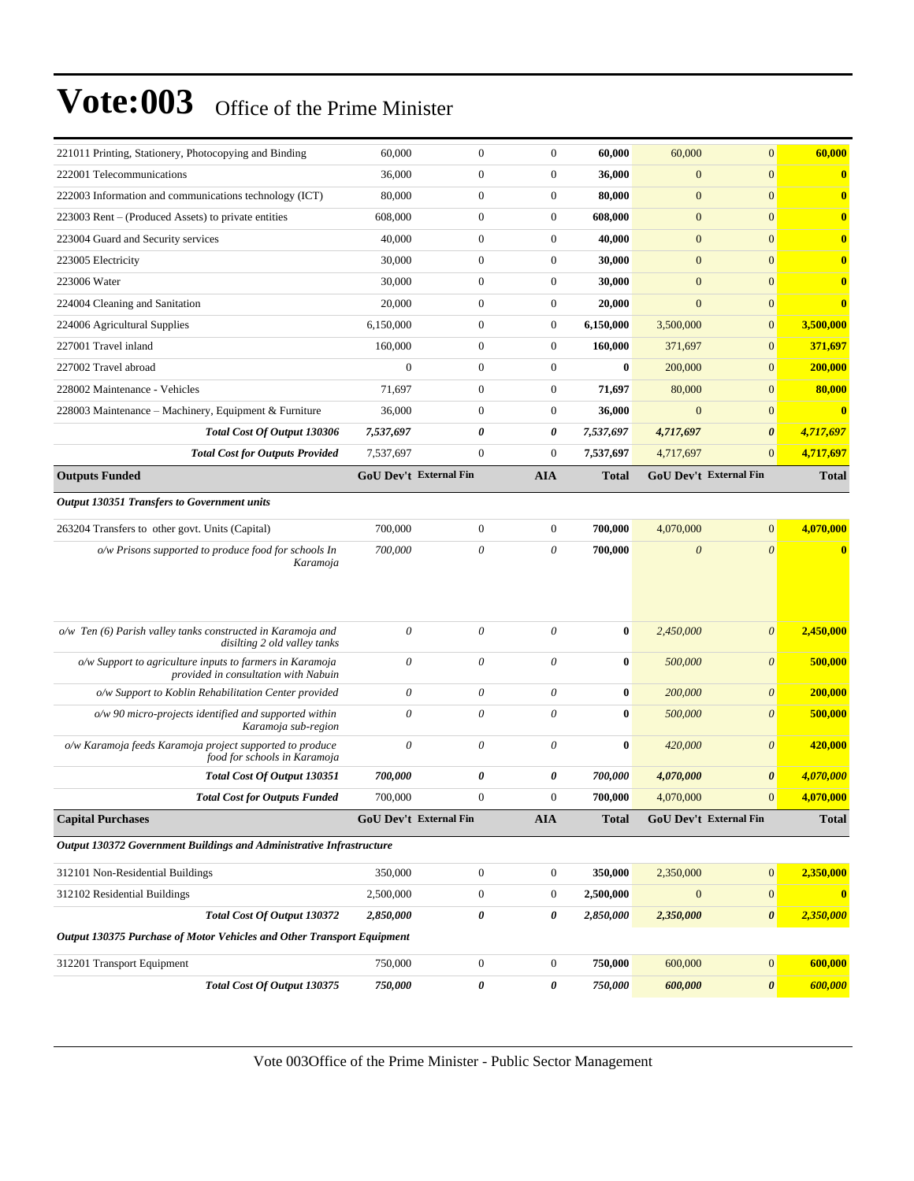| $\boldsymbol{\theta}$<br>$\mathbf{0}$<br>GoU Dev't External Fin<br>$\mathbf{0}$<br>$\boldsymbol{\theta}$<br>$\boldsymbol{\theta}$<br>$\boldsymbol{\theta}$<br>$\boldsymbol{\theta}$<br>$\boldsymbol{\theta}$<br>$\boldsymbol{\theta}$<br>$\boldsymbol{\theta}$<br>$\mathbf{0}$<br>GoU Dev't External Fin<br>$\mathbf{0}$<br>$\mathbf{0}$<br>$\boldsymbol{\theta}$<br>$\boldsymbol{0}$ | 4,717,697<br>4,717,697<br><b>Total</b><br>4,070,000<br>$\bf{0}$<br>2,450,000<br>500,000<br>200,000<br>500,000<br>420,000<br>4,070,000<br>4,070,000<br><b>Total</b><br>2,350,000<br>$\bf{0}$<br>2,350,000<br>600,000 |
|---------------------------------------------------------------------------------------------------------------------------------------------------------------------------------------------------------------------------------------------------------------------------------------------------------------------------------------------------------------------------------------|---------------------------------------------------------------------------------------------------------------------------------------------------------------------------------------------------------------------|
|                                                                                                                                                                                                                                                                                                                                                                                       |                                                                                                                                                                                                                     |
|                                                                                                                                                                                                                                                                                                                                                                                       |                                                                                                                                                                                                                     |
|                                                                                                                                                                                                                                                                                                                                                                                       |                                                                                                                                                                                                                     |
|                                                                                                                                                                                                                                                                                                                                                                                       |                                                                                                                                                                                                                     |
|                                                                                                                                                                                                                                                                                                                                                                                       |                                                                                                                                                                                                                     |
|                                                                                                                                                                                                                                                                                                                                                                                       |                                                                                                                                                                                                                     |
|                                                                                                                                                                                                                                                                                                                                                                                       |                                                                                                                                                                                                                     |
|                                                                                                                                                                                                                                                                                                                                                                                       |                                                                                                                                                                                                                     |
|                                                                                                                                                                                                                                                                                                                                                                                       |                                                                                                                                                                                                                     |
|                                                                                                                                                                                                                                                                                                                                                                                       |                                                                                                                                                                                                                     |
|                                                                                                                                                                                                                                                                                                                                                                                       |                                                                                                                                                                                                                     |
|                                                                                                                                                                                                                                                                                                                                                                                       |                                                                                                                                                                                                                     |
|                                                                                                                                                                                                                                                                                                                                                                                       |                                                                                                                                                                                                                     |
|                                                                                                                                                                                                                                                                                                                                                                                       |                                                                                                                                                                                                                     |
|                                                                                                                                                                                                                                                                                                                                                                                       |                                                                                                                                                                                                                     |
|                                                                                                                                                                                                                                                                                                                                                                                       |                                                                                                                                                                                                                     |
|                                                                                                                                                                                                                                                                                                                                                                                       |                                                                                                                                                                                                                     |
|                                                                                                                                                                                                                                                                                                                                                                                       |                                                                                                                                                                                                                     |
|                                                                                                                                                                                                                                                                                                                                                                                       |                                                                                                                                                                                                                     |
|                                                                                                                                                                                                                                                                                                                                                                                       |                                                                                                                                                                                                                     |
|                                                                                                                                                                                                                                                                                                                                                                                       |                                                                                                                                                                                                                     |
| $\mathbf{0}$                                                                                                                                                                                                                                                                                                                                                                          | $\bf{0}$                                                                                                                                                                                                            |
| $\mathbf{0}$                                                                                                                                                                                                                                                                                                                                                                          | 80,000                                                                                                                                                                                                              |
| $\mathbf{0}$<br>$\mathbf{0}$                                                                                                                                                                                                                                                                                                                                                          | 371,697<br>200,000                                                                                                                                                                                                  |
|                                                                                                                                                                                                                                                                                                                                                                                       | 3,500,000                                                                                                                                                                                                           |
|                                                                                                                                                                                                                                                                                                                                                                                       | $\bf{0}$                                                                                                                                                                                                            |
|                                                                                                                                                                                                                                                                                                                                                                                       | $\mathbf{0}$                                                                                                                                                                                                        |
| $\mathbf{0}$                                                                                                                                                                                                                                                                                                                                                                          | $\mathbf{0}$                                                                                                                                                                                                        |
| $\overline{0}$                                                                                                                                                                                                                                                                                                                                                                        | $\mathbf{0}$                                                                                                                                                                                                        |
| $\mathbf{0}$                                                                                                                                                                                                                                                                                                                                                                          | $\bf{0}$                                                                                                                                                                                                            |
| $\mathbf{0}$                                                                                                                                                                                                                                                                                                                                                                          | $\mathbf{0}$                                                                                                                                                                                                        |
| $\boldsymbol{0}$                                                                                                                                                                                                                                                                                                                                                                      | $\mathbf{0}$                                                                                                                                                                                                        |
| $\mathbf{0}$                                                                                                                                                                                                                                                                                                                                                                          | 60,000                                                                                                                                                                                                              |
|                                                                                                                                                                                                                                                                                                                                                                                       | $\mathbf{0}$<br>$\mathbf{0}$<br>$\mathbf{0}$                                                                                                                                                                        |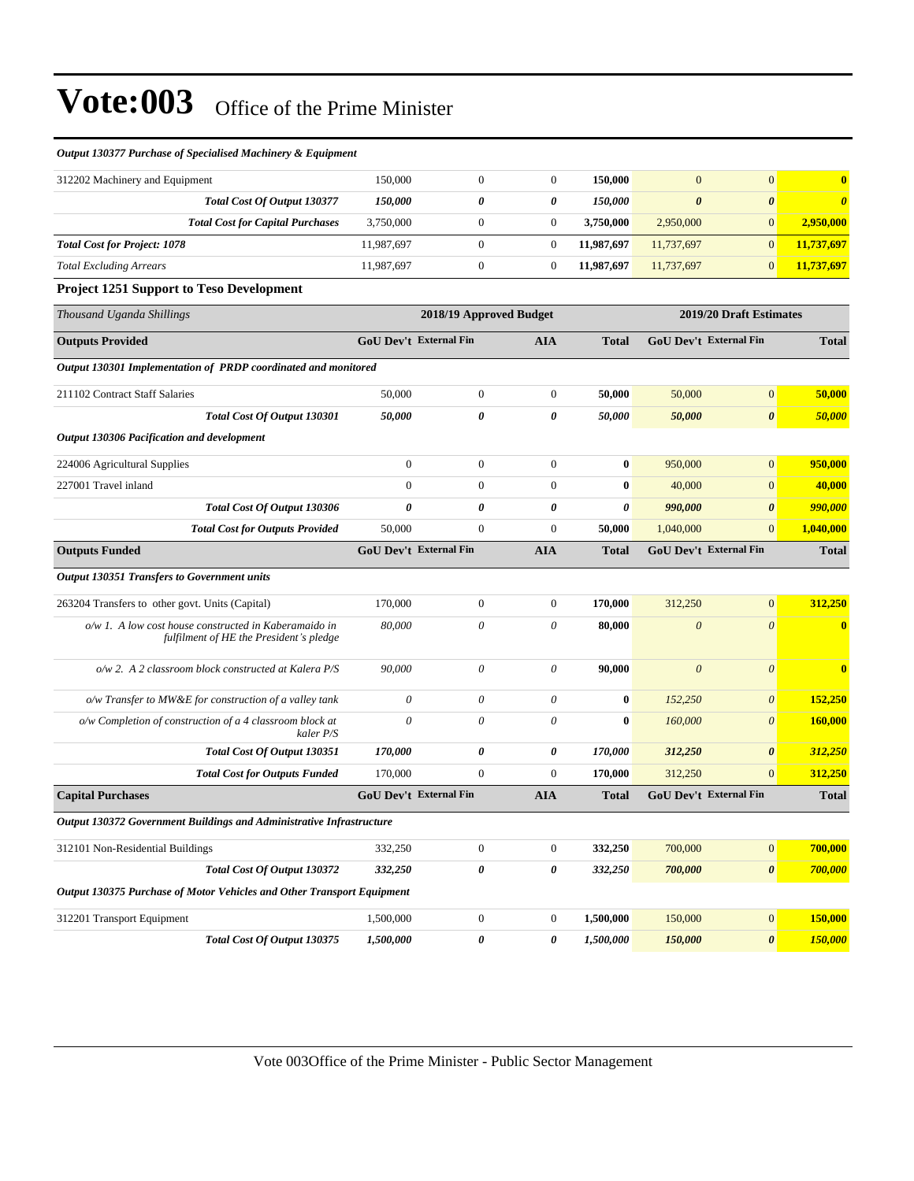| Output 130377 Purchase of Specialised Machinery & Equipment                                      |                  |                               |                       |              |                       |                               |                       |
|--------------------------------------------------------------------------------------------------|------------------|-------------------------------|-----------------------|--------------|-----------------------|-------------------------------|-----------------------|
| 312202 Machinery and Equipment                                                                   | 150,000          | $\boldsymbol{0}$              | $\boldsymbol{0}$      | 150,000      | $\mathbf{0}$          | $\mathbf{0}$                  | $\mathbf{0}$          |
| Total Cost Of Output 130377                                                                      | 150,000          | 0                             | 0                     | 150,000      | $\boldsymbol{\theta}$ | $\boldsymbol{\theta}$         | $\boldsymbol{\theta}$ |
| <b>Total Cost for Capital Purchases</b>                                                          | 3,750,000        | $\boldsymbol{0}$              | $\overline{0}$        | 3,750,000    | 2,950,000             | $\mathbf{0}$                  | 2,950,000             |
| <b>Total Cost for Project: 1078</b>                                                              | 11,987,697       | $\boldsymbol{0}$              | $\mathbf{0}$          | 11,987,697   | 11,737,697            | $\mathbf{0}$                  | 11,737,697            |
| <b>Total Excluding Arrears</b>                                                                   | 11,987,697       | $\boldsymbol{0}$              | $\overline{0}$        | 11,987,697   | 11,737,697            | $\mathbf{0}$                  | 11,737,697            |
| <b>Project 1251 Support to Teso Development</b>                                                  |                  |                               |                       |              |                       |                               |                       |
| Thousand Uganda Shillings                                                                        |                  | 2018/19 Approved Budget       |                       |              |                       | 2019/20 Draft Estimates       |                       |
| <b>Outputs Provided</b>                                                                          |                  | <b>GoU Dev't External Fin</b> | <b>AIA</b>            | <b>Total</b> |                       | <b>GoU Dev't External Fin</b> | <b>Total</b>          |
| Output 130301 Implementation of PRDP coordinated and monitored                                   |                  |                               |                       |              |                       |                               |                       |
| 211102 Contract Staff Salaries                                                                   | 50,000           | $\boldsymbol{0}$              | $\boldsymbol{0}$      | 50,000       | 50,000                | $\boldsymbol{0}$              | 50,000                |
| Total Cost Of Output 130301                                                                      | 50,000           | 0                             | $\boldsymbol{\theta}$ | 50,000       | 50,000                | $\boldsymbol{\theta}$         | 50,000                |
| Output 130306 Pacification and development                                                       |                  |                               |                       |              |                       |                               |                       |
| 224006 Agricultural Supplies                                                                     | $\boldsymbol{0}$ | $\mathbf{0}$                  | $\mathbf{0}$          | $\bf{0}$     | 950,000               | $\mathbf{0}$                  | 950,000               |
| 227001 Travel inland                                                                             | $\overline{0}$   | $\boldsymbol{0}$              | $\boldsymbol{0}$      | 0            | 40,000                | $\mathbf{0}$                  | 40,000                |
| Total Cost Of Output 130306                                                                      | 0                | 0                             | 0                     | 0            | 990,000               | $\boldsymbol{\theta}$         | <b>990,000</b>        |
| <b>Total Cost for Outputs Provided</b>                                                           | 50,000           | $\boldsymbol{0}$              | $\boldsymbol{0}$      | 50,000       | 1,040,000             | $\mathbf{0}$                  | 1,040,000             |
| <b>Outputs Funded</b>                                                                            |                  | GoU Dev't External Fin        | <b>AIA</b>            | Total        |                       | GoU Dev't External Fin        | <b>Total</b>          |
| Output 130351 Transfers to Government units                                                      |                  |                               |                       |              |                       |                               |                       |
| 263204 Transfers to other govt. Units (Capital)                                                  | 170,000          | $\boldsymbol{0}$              | $\boldsymbol{0}$      | 170,000      | 312,250               | $\boldsymbol{0}$              | 312,250               |
| o/w 1. A low cost house constructed in Kaberamaido in<br>fulfilment of HE the President's pledge | 80,000           | $\theta$                      | $\theta$              | 80,000       | $\boldsymbol{\theta}$ | $\boldsymbol{\theta}$         | $\bf{0}$              |
| o/w 2. A 2 classroom block constructed at Kalera P/S                                             | 90,000           | $\theta$                      | $\theta$              | 90,000       | $\theta$              | $\theta$                      | $\mathbf{0}$          |
| $o/w$ Transfer to MW&E for construction of a valley tank                                         | 0                | $\boldsymbol{\mathit{0}}$     | $\theta$              | 0            | 152,250               | $\boldsymbol{\theta}$         | 152,250               |
| o/w Completion of construction of a 4 classroom block at<br>kaler P/S                            | 0                | $\theta$                      | $\theta$              | $\bf{0}$     | 160,000               | $\boldsymbol{\theta}$         | 160,000               |
| Total Cost Of Output 130351                                                                      | 170,000          | 0                             | 0                     | 170,000      | 312,250               | $\boldsymbol{\theta}$         | 312,250               |
| <b>Total Cost for Outputs Funded</b>                                                             | 170,000          | $\boldsymbol{0}$              | $\overline{0}$        | 170,000      | 312,250               | $\mathbf{0}$                  | 312,250               |
| <b>Capital Purchases</b>                                                                         |                  | <b>GoU Dev't External Fin</b> | <b>AIA</b>            | <b>Total</b> |                       | <b>GoU Dev't External Fin</b> | <b>Total</b>          |
| Output 130372 Government Buildings and Administrative Infrastructure                             |                  |                               |                       |              |                       |                               |                       |
| 312101 Non-Residential Buildings                                                                 | 332,250          | $\boldsymbol{0}$              | $\boldsymbol{0}$      | 332,250      | 700,000               | $\boldsymbol{0}$              | 700,000               |
| Total Cost Of Output 130372                                                                      | 332,250          | $\pmb{\theta}$                | 0                     | 332,250      | 700,000               | $\pmb{\theta}$                | 700,000               |
| Output 130375 Purchase of Motor Vehicles and Other Transport Equipment                           |                  |                               |                       |              |                       |                               |                       |
| 312201 Transport Equipment                                                                       | 1,500,000        | $\boldsymbol{0}$              | $\mathbf{0}$          | 1,500,000    | 150,000               | $\boldsymbol{0}$              | 150,000               |
| Total Cost Of Output 130375                                                                      | 1,500,000        | $\pmb{\theta}$                | 0                     | 1,500,000    | 150,000               | $\pmb{\theta}$                | 150,000               |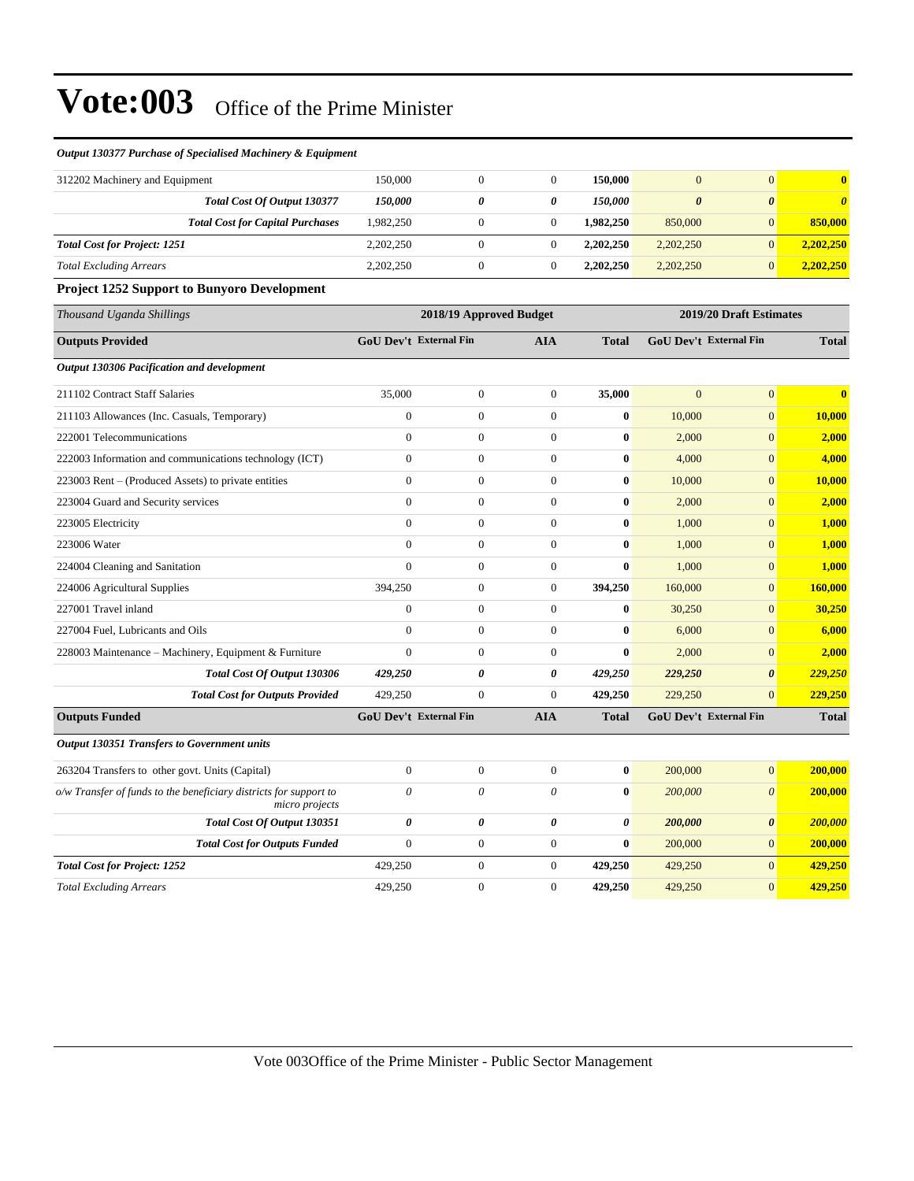#### *Output 130377 Purchase of Specialised Machinery & Equipment*

| 312202 Machinery and Equipment      |                                         | 150.000               |   | 150,000               |           |   |           |
|-------------------------------------|-----------------------------------------|-----------------------|---|-----------------------|-----------|---|-----------|
|                                     | Total Cost Of Output 130377             | <i><b>150.000</b></i> | 0 | <i><b>150.000</b></i> |           | 0 |           |
|                                     | <b>Total Cost for Capital Purchases</b> | 1.982.250             |   | 1.982.250             | 850,000   |   | 850,000   |
| <b>Total Cost for Project: 1251</b> |                                         | 2,202,250             |   | 2,202,250             | 2,202,250 |   | 2.202.250 |
| <b>Total Excluding Arrears</b>      |                                         | 2,202,250             |   | 2,202,250             | 2,202,250 |   | 2.202.250 |

#### **Project 1252 Support to Bunyoro Development**

| Thousand Uganda Shillings                                                           |                               | 2018/19 Approved Budget |                  |              |                | 2019/20 Draft Estimates       |                         |  |
|-------------------------------------------------------------------------------------|-------------------------------|-------------------------|------------------|--------------|----------------|-------------------------------|-------------------------|--|
| <b>Outputs Provided</b>                                                             | <b>GoU Dev't External Fin</b> |                         | <b>AIA</b>       | <b>Total</b> |                | <b>GoU Dev't External Fin</b> | <b>Total</b>            |  |
| Output 130306 Pacification and development                                          |                               |                         |                  |              |                |                               |                         |  |
| 211102 Contract Staff Salaries                                                      | 35,000                        | $\boldsymbol{0}$        | $\theta$         | 35,000       | $\overline{0}$ | $\overline{0}$                | $\overline{\mathbf{0}}$ |  |
| 211103 Allowances (Inc. Casuals, Temporary)                                         | $\overline{0}$                | $\overline{0}$          | $\theta$         | $\bf{0}$     | 10,000         | $\overline{0}$                | 10,000                  |  |
| 222001 Telecommunications                                                           | $\Omega$                      | $\overline{0}$          | $\theta$         | $\bf{0}$     | 2,000          | $\overline{0}$                | 2,000                   |  |
| 222003 Information and communications technology (ICT)                              | $\overline{0}$                | $\boldsymbol{0}$        | $\theta$         | $\bf{0}$     | 4,000          | $\overline{0}$                | 4,000                   |  |
| 223003 Rent – (Produced Assets) to private entities                                 | $\overline{0}$                | $\boldsymbol{0}$        | $\boldsymbol{0}$ | $\bf{0}$     | 10,000         | $\boldsymbol{0}$              | 10,000                  |  |
| 223004 Guard and Security services                                                  | $\overline{0}$                | $\boldsymbol{0}$        | $\overline{0}$   | $\bf{0}$     | 2,000          | $\overline{0}$                | 2,000                   |  |
| 223005 Electricity                                                                  | $\Omega$                      | $\overline{0}$          | $\theta$         | $\mathbf{0}$ | 1,000          | $\overline{0}$                | 1,000                   |  |
| 223006 Water                                                                        | $\overline{0}$                | $\boldsymbol{0}$        | $\theta$         | $\mathbf{0}$ | 1,000          | $\overline{0}$                | 1,000                   |  |
| 224004 Cleaning and Sanitation                                                      | $\Omega$                      | $\boldsymbol{0}$        | $\theta$         | $\bf{0}$     | 1,000          | $\boldsymbol{0}$              | 1,000                   |  |
| 224006 Agricultural Supplies                                                        | 394,250                       | $\boldsymbol{0}$        | $\theta$         | 394,250      | 160,000        | $\overline{0}$                | 160,000                 |  |
| 227001 Travel inland                                                                | $\mathbf{0}$                  | $\mathbf{0}$            | $\theta$         | $\bf{0}$     | 30,250         | $\overline{0}$                | 30,250                  |  |
| 227004 Fuel, Lubricants and Oils                                                    | $\overline{0}$                | $\overline{0}$          | $\theta$         | $\bf{0}$     | 6,000          | $\overline{0}$                | 6,000                   |  |
| 228003 Maintenance - Machinery, Equipment & Furniture                               | $\overline{0}$                | $\boldsymbol{0}$        | $\theta$         | $\bf{0}$     | 2,000          | $\overline{0}$                | 2,000                   |  |
| <b>Total Cost Of Output 130306</b>                                                  | 429,250                       | 0                       | 0                | 429,250      | 229,250        | $\boldsymbol{\theta}$         | 229,250                 |  |
| <b>Total Cost for Outputs Provided</b>                                              | 429,250                       | $\mathbf{0}$            | $\theta$         | 429,250      | 229,250        | $\overline{0}$                | 229,250                 |  |
| <b>Outputs Funded</b>                                                               | <b>GoU Dev't External Fin</b> |                         | <b>AIA</b>       | <b>Total</b> |                | <b>GoU Dev't External Fin</b> | <b>Total</b>            |  |
| <b>Output 130351 Transfers to Government units</b>                                  |                               |                         |                  |              |                |                               |                         |  |
| 263204 Transfers to other govt. Units (Capital)                                     | $\overline{0}$                | $\overline{0}$          | $\overline{0}$   | $\bf{0}$     | 200,000        | $\overline{0}$                | 200,000                 |  |
| o/w Transfer of funds to the beneficiary districts for support to<br>micro projects | $\theta$                      | $\theta$                | $\theta$         | $\bf{0}$     | 200,000        | $\theta$                      | 200,000                 |  |
| Total Cost Of Output 130351                                                         | 0                             | 0                       | 0                | 0            | 200,000        | $\boldsymbol{\theta}$         | 200,000                 |  |
| <b>Total Cost for Outputs Funded</b>                                                | $\overline{0}$                | $\boldsymbol{0}$        | $\theta$         | $\mathbf{0}$ | 200,000        | $\overline{0}$                | 200,000                 |  |
| <b>Total Cost for Project: 1252</b>                                                 | 429,250                       | $\boldsymbol{0}$        | $\overline{0}$   | 429,250      | 429,250        | $\overline{0}$                | 429,250                 |  |
| <b>Total Excluding Arrears</b>                                                      | 429,250                       | $\overline{0}$          | $\theta$         | 429,250      | 429,250        | $\overline{0}$                | 429,250                 |  |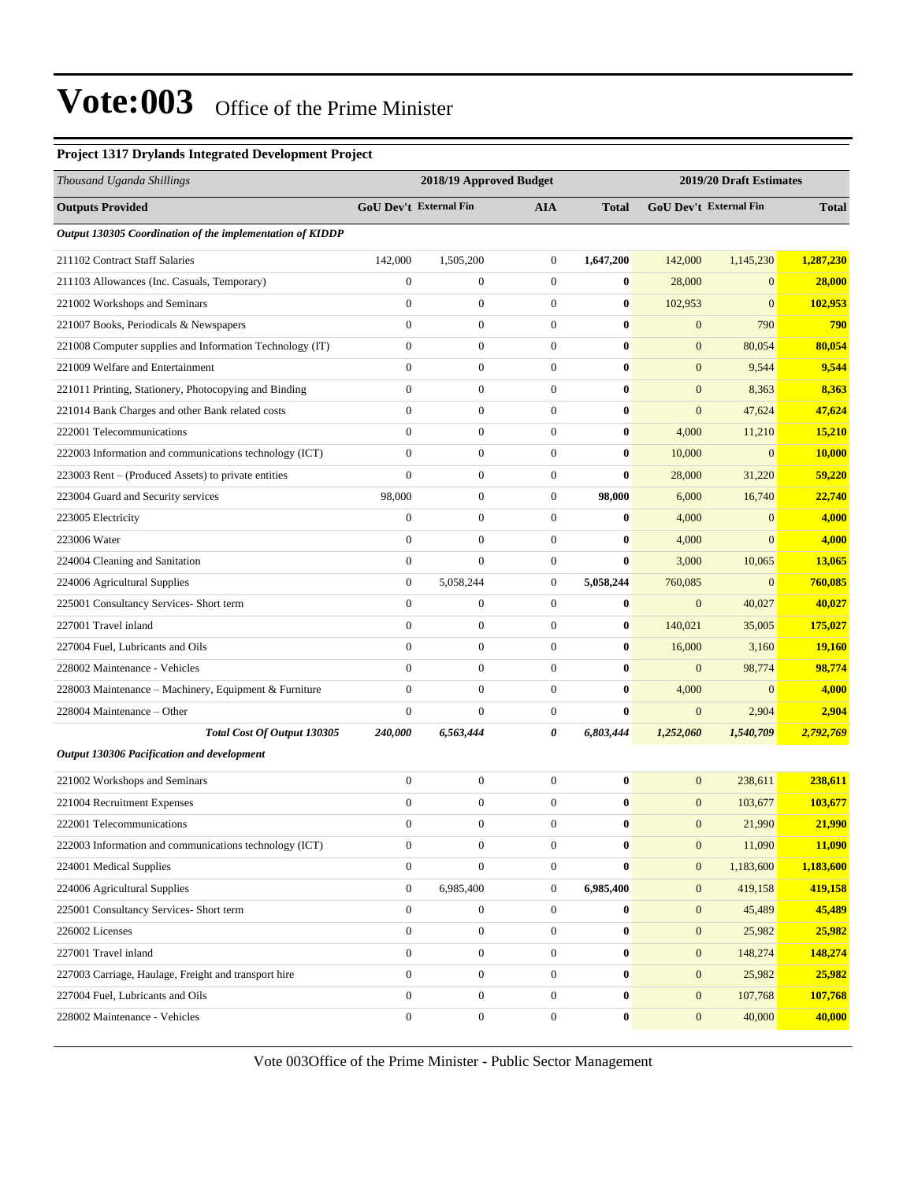#### **Project 1317 Drylands Integrated Development Project**

| Thousand Uganda Shillings                                 |                        | 2018/19 Approved Budget |                  |              | 2019/20 Draft Estimates |                        |               |
|-----------------------------------------------------------|------------------------|-------------------------|------------------|--------------|-------------------------|------------------------|---------------|
| <b>Outputs Provided</b>                                   | GoU Dev't External Fin |                         | <b>AIA</b>       | <b>Total</b> |                         | GoU Dev't External Fin | <b>Total</b>  |
| Output 130305 Coordination of the implementation of KIDDP |                        |                         |                  |              |                         |                        |               |
| 211102 Contract Staff Salaries                            | 142,000                | 1,505,200               | $\boldsymbol{0}$ | 1,647,200    | 142,000                 | 1,145,230              | 1,287,230     |
| 211103 Allowances (Inc. Casuals, Temporary)               | $\mathbf{0}$           | $\boldsymbol{0}$        | $\boldsymbol{0}$ | $\bf{0}$     | 28,000                  | $\mathbf{0}$           | 28,000        |
| 221002 Workshops and Seminars                             | $\mathbf{0}$           | $\boldsymbol{0}$        | $\boldsymbol{0}$ | $\bf{0}$     | 102,953                 | $\mathbf{0}$           | 102,953       |
| 221007 Books, Periodicals & Newspapers                    | $\mathbf{0}$           | $\boldsymbol{0}$        | $\boldsymbol{0}$ | $\bf{0}$     | $\mathbf{0}$            | 790                    | 790           |
| 221008 Computer supplies and Information Technology (IT)  | $\overline{0}$         | $\boldsymbol{0}$        | $\overline{0}$   | $\bf{0}$     | $\mathbf{0}$            | 80,054                 | 80,054        |
| 221009 Welfare and Entertainment                          | $\mathbf{0}$           | $\boldsymbol{0}$        | $\boldsymbol{0}$ | $\bf{0}$     | $\mathbf{0}$            | 9,544                  | 9,544         |
| 221011 Printing, Stationery, Photocopying and Binding     | $\mathbf{0}$           | $\boldsymbol{0}$        | $\boldsymbol{0}$ | $\bf{0}$     | $\mathbf{0}$            | 8,363                  | 8,363         |
| 221014 Bank Charges and other Bank related costs          | $\mathbf{0}$           | $\boldsymbol{0}$        | $\boldsymbol{0}$ | $\bf{0}$     | $\boldsymbol{0}$        | 47,624                 | 47,624        |
| 222001 Telecommunications                                 | $\mathbf{0}$           | $\boldsymbol{0}$        | $\boldsymbol{0}$ | $\bf{0}$     | 4,000                   | 11,210                 | 15,210        |
| 222003 Information and communications technology (ICT)    | $\mathbf{0}$           | $\boldsymbol{0}$        | $\boldsymbol{0}$ | $\bf{0}$     | 10,000                  | $\mathbf{0}$           | <b>10,000</b> |
| 223003 Rent - (Produced Assets) to private entities       | $\mathbf{0}$           | $\boldsymbol{0}$        | $\boldsymbol{0}$ | $\bf{0}$     | 28,000                  | 31,220                 | 59,220        |
| 223004 Guard and Security services                        | 98,000                 | $\boldsymbol{0}$        | $\boldsymbol{0}$ | 98,000       | 6,000                   | 16,740                 | 22,740        |
| 223005 Electricity                                        | $\boldsymbol{0}$       | $\boldsymbol{0}$        | $\boldsymbol{0}$ | $\bf{0}$     | 4,000                   | $\mathbf{0}$           | 4,000         |
| 223006 Water                                              | $\mathbf{0}$           | $\boldsymbol{0}$        | $\boldsymbol{0}$ | $\bf{0}$     | 4,000                   | $\overline{0}$         | 4,000         |
| 224004 Cleaning and Sanitation                            | $\overline{0}$         | $\mathbf{0}$            | $\boldsymbol{0}$ | $\bf{0}$     | 3,000                   | 10,065                 | 13,065        |
| 224006 Agricultural Supplies                              | $\mathbf{0}$           | 5,058,244               | $\boldsymbol{0}$ | 5,058,244    | 760,085                 | $\mathbf{0}$           | 760,085       |
| 225001 Consultancy Services- Short term                   | $\boldsymbol{0}$       | $\boldsymbol{0}$        | $\boldsymbol{0}$ | $\bf{0}$     | $\mathbf{0}$            | 40,027                 | 40,027        |
| 227001 Travel inland                                      | $\mathbf{0}$           | $\boldsymbol{0}$        | $\boldsymbol{0}$ | $\bf{0}$     | 140,021                 | 35,005                 | 175,027       |
| 227004 Fuel, Lubricants and Oils                          | $\mathbf{0}$           | $\boldsymbol{0}$        | $\boldsymbol{0}$ | $\bf{0}$     | 16,000                  | 3,160                  | <b>19,160</b> |
| 228002 Maintenance - Vehicles                             | $\overline{0}$         | $\boldsymbol{0}$        | $\overline{0}$   | $\bf{0}$     | $\mathbf{0}$            | 98,774                 | 98,774        |
| 228003 Maintenance - Machinery, Equipment & Furniture     | $\mathbf{0}$           | $\boldsymbol{0}$        | $\boldsymbol{0}$ | $\bf{0}$     | 4,000                   | $\mathbf{0}$           | 4,000         |
| 228004 Maintenance - Other                                | $\boldsymbol{0}$       | $\boldsymbol{0}$        | $\boldsymbol{0}$ | $\bf{0}$     | $\mathbf{0}$            | 2,904                  | 2,904         |
| Total Cost Of Output 130305                               | 240,000                | 6,563,444               | 0                | 6,803,444    | 1,252,060               | 1,540,709              | 2,792,769     |
| Output 130306 Pacification and development                |                        |                         |                  |              |                         |                        |               |
| 221002 Workshops and Seminars                             | $\boldsymbol{0}$       | $\boldsymbol{0}$        | $\boldsymbol{0}$ | $\bf{0}$     | $\mathbf{0}$            | 238,611                | 238,611       |
| 221004 Recruitment Expenses                               | $\mathbf{0}$           | $\boldsymbol{0}$        | $\boldsymbol{0}$ | $\bf{0}$     | $\mathbf{0}$            | 103,677                | 103,677       |
| 222001 Telecommunications                                 | $\Omega$               | $\mathbf{0}$            | $\Omega$         | $\bf{0}$     | $\mathbf{0}$            | 21,990                 | 21,990        |
| 222003 Information and communications technology (ICT)    | $\boldsymbol{0}$       | $\boldsymbol{0}$        | $\boldsymbol{0}$ | $\bf{0}$     | $\mathbf{0}$            | 11,090                 | 11,090        |
| 224001 Medical Supplies                                   | $\mathbf{0}$           | $\boldsymbol{0}$        | $\boldsymbol{0}$ | $\bf{0}$     | $\mathbf{0}$            | 1,183,600              | 1,183,600     |
| 224006 Agricultural Supplies                              | $\mathbf{0}$           | 6,985,400               | $\boldsymbol{0}$ | 6,985,400    | $\mathbf{0}$            | 419,158                | 419,158       |
| 225001 Consultancy Services- Short term                   | $\overline{0}$         | $\boldsymbol{0}$        | $\boldsymbol{0}$ | $\bf{0}$     | $\boldsymbol{0}$        | 45,489                 | 45,489        |
| 226002 Licenses                                           | $\mathbf{0}$           | $\boldsymbol{0}$        | $\boldsymbol{0}$ | $\bf{0}$     | $\mathbf{0}$            | 25,982                 | 25,982        |
| 227001 Travel inland                                      | $\boldsymbol{0}$       | $\boldsymbol{0}$        | $\boldsymbol{0}$ | $\bf{0}$     | $\mathbf{0}$            | 148,274                | 148,274       |
| 227003 Carriage, Haulage, Freight and transport hire      | $\mathbf{0}$           | $\boldsymbol{0}$        | $\boldsymbol{0}$ | $\bf{0}$     | $\boldsymbol{0}$        | 25,982                 | 25,982        |
| 227004 Fuel, Lubricants and Oils                          | $\mathbf{0}$           | $\boldsymbol{0}$        | $\boldsymbol{0}$ | $\bf{0}$     | $\mathbf{0}$            | 107,768                | 107,768       |
| 228002 Maintenance - Vehicles                             | $\boldsymbol{0}$       | $\boldsymbol{0}$        | $\boldsymbol{0}$ | $\bf{0}$     | $\boldsymbol{0}$        | 40,000                 | 40,000        |
|                                                           |                        |                         |                  |              |                         |                        |               |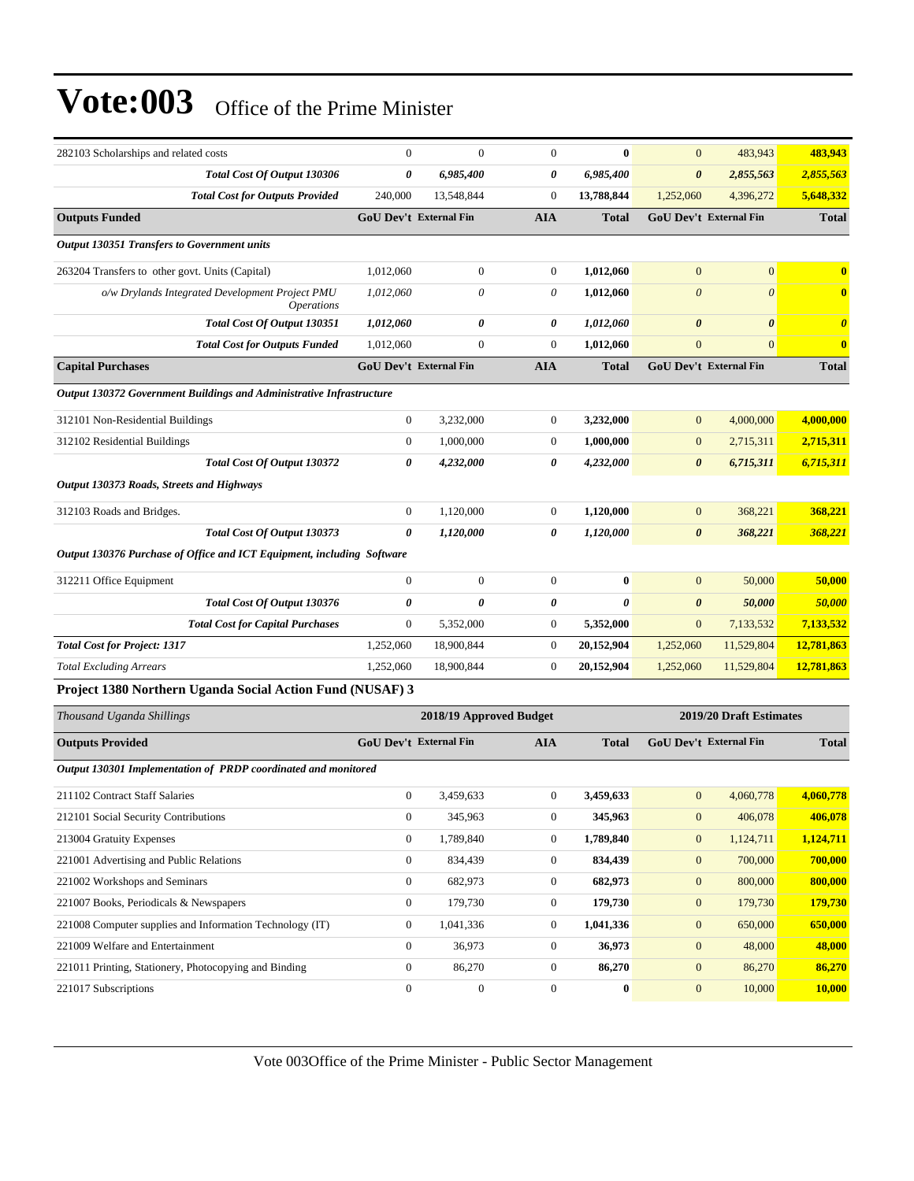| 282103 Scholarships and related costs                                       | $\mathbf{0}$     | $\mathbf{0}$                  | $\mathbf{0}$     | $\bf{0}$     | $\overline{0}$        | 483,943                       | 483,943               |
|-----------------------------------------------------------------------------|------------------|-------------------------------|------------------|--------------|-----------------------|-------------------------------|-----------------------|
| Total Cost Of Output 130306                                                 | 0                | 6,985,400                     | 0                | 6,985,400    | 0                     | 2,855,563                     | 2,855,563             |
| <b>Total Cost for Outputs Provided</b>                                      | 240,000          | 13,548,844                    | $\boldsymbol{0}$ | 13,788,844   | 1,252,060             | 4,396,272                     | 5,648,332             |
| <b>Outputs Funded</b>                                                       |                  | <b>GoU Dev't External Fin</b> | <b>AIA</b>       | <b>Total</b> |                       | <b>GoU Dev't External Fin</b> | <b>Total</b>          |
| Output 130351 Transfers to Government units                                 |                  |                               |                  |              |                       |                               |                       |
| 263204 Transfers to other govt. Units (Capital)                             | 1,012,060        | $\boldsymbol{0}$              | $\mathbf{0}$     | 1,012,060    | $\mathbf{0}$          | $\boldsymbol{0}$              | $\bf{0}$              |
| o/w Drylands Integrated Development Project PMU<br><i><b>Operations</b></i> | 1,012,060        | 0                             | $\theta$         | 1,012,060    | $\boldsymbol{\theta}$ | $\theta$                      | $\bf{0}$              |
| Total Cost Of Output 130351                                                 | 1,012,060        | 0                             | 0                | 1,012,060    | $\boldsymbol{\theta}$ | $\boldsymbol{\theta}$         | $\boldsymbol{\theta}$ |
| <b>Total Cost for Outputs Funded</b>                                        | 1,012,060        | $\boldsymbol{0}$              | $\mathbf{0}$     | 1,012,060    | $\boldsymbol{0}$      | $\overline{0}$                | $\bf{0}$              |
| <b>Capital Purchases</b>                                                    |                  | GoU Dev't External Fin        | <b>AIA</b>       | <b>Total</b> |                       | GoU Dev't External Fin        | <b>Total</b>          |
| Output 130372 Government Buildings and Administrative Infrastructure        |                  |                               |                  |              |                       |                               |                       |
| 312101 Non-Residential Buildings                                            | $\boldsymbol{0}$ | 3,232,000                     | $\boldsymbol{0}$ | 3,232,000    | $\mathbf{0}$          | 4,000,000                     | 4,000,000             |
| 312102 Residential Buildings                                                | $\boldsymbol{0}$ | 1,000,000                     | $\boldsymbol{0}$ | 1,000,000    | $\mathbf{0}$          | 2,715,311                     | 2,715,311             |
| Total Cost Of Output 130372                                                 | 0                | 4,232,000                     | 0                | 4,232,000    | $\boldsymbol{\theta}$ | 6,715,311                     | 6,715,311             |
| Output 130373 Roads, Streets and Highways                                   |                  |                               |                  |              |                       |                               |                       |
| 312103 Roads and Bridges.                                                   | $\boldsymbol{0}$ | 1,120,000                     | $\mathbf{0}$     | 1,120,000    | $\mathbf{0}$          | 368,221                       | 368,221               |
| Total Cost Of Output 130373                                                 | $\theta$         | 1,120,000                     | 0                | 1,120,000    | $\boldsymbol{\theta}$ | 368,221                       | 368,221               |
| Output 130376 Purchase of Office and ICT Equipment, including Software      |                  |                               |                  |              |                       |                               |                       |
| 312211 Office Equipment                                                     | $\boldsymbol{0}$ | $\boldsymbol{0}$              | $\boldsymbol{0}$ | $\bf{0}$     | $\overline{0}$        | 50,000                        | 50,000                |
| Total Cost Of Output 130376                                                 | 0                | 0                             | 0                | 0            | $\boldsymbol{\theta}$ | 50,000                        | 50,000                |
| <b>Total Cost for Capital Purchases</b>                                     | $\boldsymbol{0}$ | 5,352,000                     | $\boldsymbol{0}$ | 5,352,000    | $\boldsymbol{0}$      | 7,133,532                     | 7,133,532             |
| <b>Total Cost for Project: 1317</b>                                         | 1,252,060        | 18,900,844                    | $\boldsymbol{0}$ | 20,152,904   | 1,252,060             | 11,529,804                    | 12,781,863            |
| <b>Total Excluding Arrears</b>                                              | 1,252,060        | 18,900,844                    | $\boldsymbol{0}$ | 20,152,904   | 1,252,060             | 11,529,804                    | 12,781,863            |
| Project 1380 Northern Uganda Social Action Fund (NUSAF) 3                   |                  |                               |                  |              |                       |                               |                       |
| Thousand Uganda Shillings                                                   |                  | 2018/19 Approved Budget       |                  |              |                       | 2019/20 Draft Estimates       |                       |
| <b>Outputs Provided</b>                                                     |                  | GoU Dev't External Fin        | <b>AIA</b>       | <b>Total</b> |                       | GoU Dev't External Fin        | <b>Total</b>          |
| Output 130301 Implementation of PRDP coordinated and monitored              |                  |                               |                  |              |                       |                               |                       |
| 211102 Contract Staff Salaries                                              | $\boldsymbol{0}$ | 3,459,633                     | $\boldsymbol{0}$ | 3,459,633    | $\boldsymbol{0}$      | 4,060,778                     | 4,060,778             |
| 212101 Social Security Contributions                                        | $\boldsymbol{0}$ | 345,963                       | $\boldsymbol{0}$ | 345,963      | $\mathbf{0}$          | 406,078                       | 406,078               |
| 213004 Gratuity Expenses                                                    | 0                | 1,789,840                     | $\mathbf{0}$     | 1,789,840    | $\boldsymbol{0}$      | 1,124,711                     | 1,124,711             |
| 221001 Advertising and Public Relations                                     | $\boldsymbol{0}$ | 834,439                       | $\boldsymbol{0}$ | 834,439      | $\boldsymbol{0}$      | 700,000                       | 700,000               |
| 221002 Workshops and Seminars                                               | $\boldsymbol{0}$ | 682,973                       | $\boldsymbol{0}$ | 682,973      | $\mathbf{0}$          | 800,000                       | 800,000               |
| 221007 Books, Periodicals & Newspapers                                      | $\boldsymbol{0}$ | 179,730                       | $\boldsymbol{0}$ | 179,730      | $\mathbf{0}$          | 179,730                       | 179,730               |
| 221008 Computer supplies and Information Technology (IT)                    | $\boldsymbol{0}$ | 1,041,336                     | $\boldsymbol{0}$ | 1,041,336    | $\mathbf{0}$          | 650,000                       | 650,000               |
| 221009 Welfare and Entertainment                                            | $\boldsymbol{0}$ | 36,973                        | $\boldsymbol{0}$ | 36,973       | $\boldsymbol{0}$      | 48,000                        | 48,000                |
| 221011 Printing, Stationery, Photocopying and Binding                       | $\boldsymbol{0}$ | 86,270                        | $\boldsymbol{0}$ | 86,270       | $\boldsymbol{0}$      | 86,270                        | 86,270                |
| 221017 Subscriptions                                                        | $\boldsymbol{0}$ | $\boldsymbol{0}$              | $\boldsymbol{0}$ | $\bf{0}$     | $\boldsymbol{0}$      | 10,000                        | <b>10,000</b>         |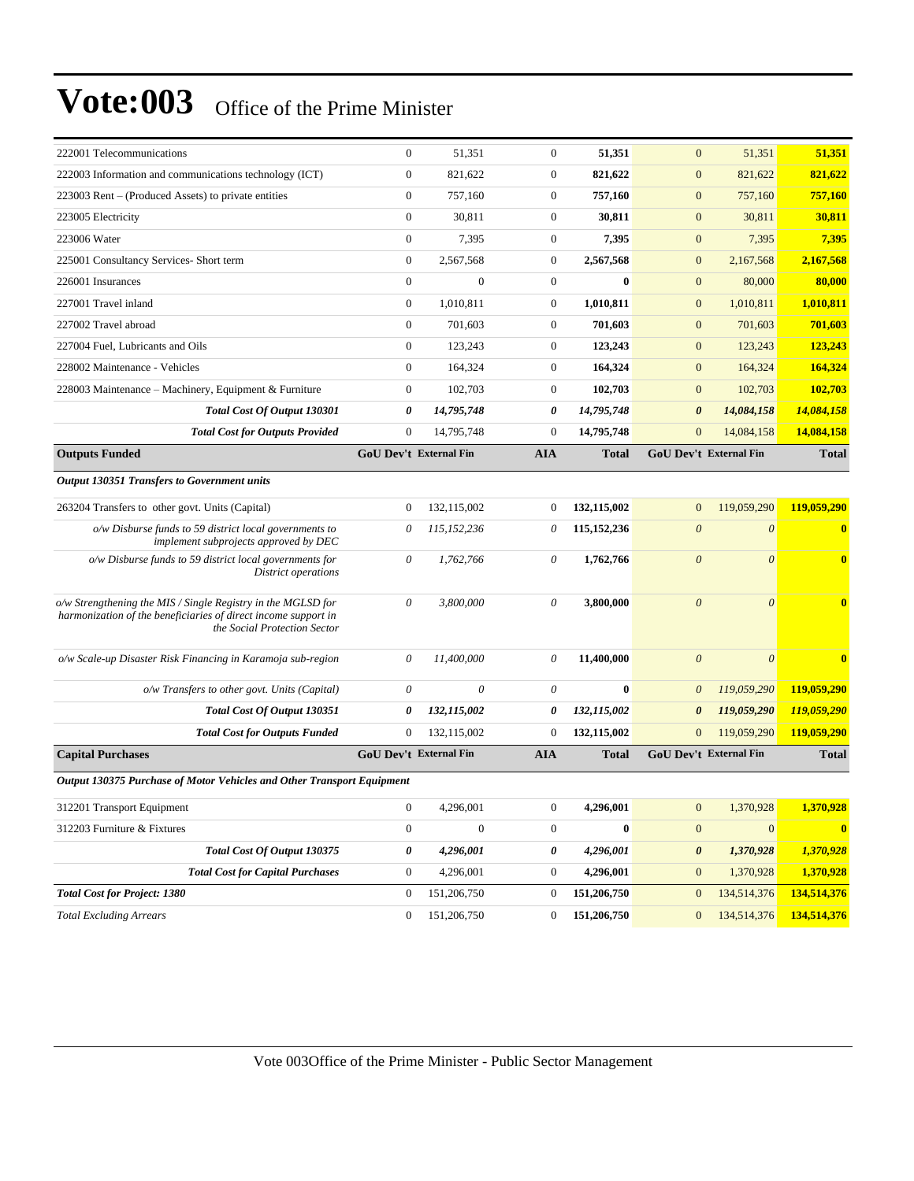| 222001 Telecommunications                                                                                                                                      | $\overline{0}$   | 51,351                 | $\overline{0}$ | 51,351        | $\overline{0}$          | 51,351                 | 51,351                  |
|----------------------------------------------------------------------------------------------------------------------------------------------------------------|------------------|------------------------|----------------|---------------|-------------------------|------------------------|-------------------------|
| 222003 Information and communications technology (ICT)                                                                                                         | $\overline{0}$   | 821,622                | $\overline{0}$ | 821,622       | $\mathbf{0}$            | 821,622                | 821,622                 |
| 223003 Rent – (Produced Assets) to private entities                                                                                                            | $\boldsymbol{0}$ | 757,160                | $\mathbf{0}$   | 757,160       | $\mathbf{0}$            | 757,160                | 757,160                 |
| 223005 Electricity                                                                                                                                             | $\boldsymbol{0}$ | 30,811                 | $\mathbf{0}$   | 30,811        | $\mathbf{0}$            | 30,811                 | 30,811                  |
| 223006 Water                                                                                                                                                   | $\overline{0}$   | 7.395                  | $\overline{0}$ | 7.395         | $\overline{0}$          | 7.395                  | 7,395                   |
| 225001 Consultancy Services- Short term                                                                                                                        | $\overline{0}$   | 2,567,568              | $\overline{0}$ | 2,567,568     | $\mathbf{0}$            | 2,167,568              | 2,167,568               |
| 226001 Insurances                                                                                                                                              | $\overline{0}$   | $\theta$               | $\overline{0}$ | $\theta$      | $\mathbf{0}$            | 80,000                 | 80,000                  |
| 227001 Travel inland                                                                                                                                           | $\overline{0}$   | 1,010,811              | $\mathbf{0}$   | 1,010,811     | $\mathbf{0}$            | 1,010,811              | 1,010,811               |
| 227002 Travel abroad                                                                                                                                           | $\overline{0}$   | 701,603                | $\mathbf{0}$   | 701,603       | $\mathbf{0}$            | 701,603                | 701,603                 |
| 227004 Fuel. Lubricants and Oils                                                                                                                               | $\overline{0}$   | 123,243                | $\overline{0}$ | 123.243       | $\overline{0}$          | 123,243                | 123.243                 |
| 228002 Maintenance - Vehicles                                                                                                                                  | $\overline{0}$   | 164,324                | $\overline{0}$ | 164,324       | $\overline{0}$          | 164,324                | 164,324                 |
| 228003 Maintenance – Machinery, Equipment & Furniture                                                                                                          | $\overline{0}$   | 102,703                | $\overline{0}$ | 102,703       | $\mathbf{0}$            | 102,703                | 102,703                 |
| Total Cost Of Output 130301                                                                                                                                    | 0                | 14,795,748             | 0              | 14,795,748    | $\boldsymbol{\theta}$   | 14,084,158             | 14,084,158              |
| <b>Total Cost for Outputs Provided</b>                                                                                                                         | $\mathbf{0}$     | 14,795,748             | $\mathbf{0}$   | 14,795,748    | $\overline{0}$          | 14,084,158             | 14,084,158              |
| <b>Outputs Funded</b>                                                                                                                                          |                  | GoU Dev't External Fin | <b>AIA</b>     | <b>Total</b>  |                         | GoU Dev't External Fin | <b>Total</b>            |
| <b>Output 130351 Transfers to Government units</b>                                                                                                             |                  |                        |                |               |                         |                        |                         |
| 263204 Transfers to other govt. Units (Capital)                                                                                                                | $\overline{0}$   | 132,115,002            | $\overline{0}$ | 132,115,002   | $\overline{0}$          | 119,059,290            | 119,059,290             |
| o/w Disburse funds to 59 district local governments to<br>implement subprojects approved by DEC                                                                | 0                | 115,152,236            | 0              | 115, 152, 236 | $\boldsymbol{\theta}$   | $\theta$               | $\bf{0}$                |
| o/w Disburse funds to 59 district local governments for<br>District operations                                                                                 | 0                | 1,762,766              | $\theta$       | 1,762,766     | $\theta$                | $\theta$               | $\mathbf{0}$            |
| o/w Strengthening the MIS / Single Registry in the MGLSD for<br>harmonization of the beneficiaries of direct income support in<br>the Social Protection Sector | $\theta$         | 3,800,000              | $\theta$       | 3,800,000     | $\overline{\mathbf{0}}$ | $\theta$               | $\overline{\mathbf{0}}$ |
| o/w Scale-up Disaster Risk Financing in Karamoja sub-region                                                                                                    | 0                | 11,400,000             | $\theta$       | 11,400,000    | $\boldsymbol{\theta}$   | $\theta$               | $\overline{\mathbf{0}}$ |
| o/w Transfers to other govt. Units (Capital)                                                                                                                   | 0                | $\theta$               | $\theta$       | $\mathbf{0}$  | $\theta$                | 119,059,290            | 119,059,290             |
| Total Cost Of Output 130351                                                                                                                                    | 0                | 132,115,002            | 0              | 132,115,002   | $\boldsymbol{\theta}$   | 119,059,290            | 119,059,290             |
| <b>Total Cost for Outputs Funded</b>                                                                                                                           | $\mathbf{0}$     | 132,115,002            | $\overline{0}$ | 132,115,002   | $\overline{0}$          | 119,059,290            | 119,059,290             |
| <b>Capital Purchases</b>                                                                                                                                       |                  | GoU Dev't External Fin | <b>AIA</b>     | <b>Total</b>  |                         | GoU Dev't External Fin | <b>Total</b>            |
| Output 130375 Purchase of Motor Vehicles and Other Transport Equipment                                                                                         |                  |                        |                |               |                         |                        |                         |
| 312201 Transport Equipment                                                                                                                                     | $\overline{0}$   | 4,296,001              | $\overline{0}$ | 4,296,001     | $\overline{0}$          | 1,370,928              | 1.370.928               |
| 312203 Furniture & Fixtures                                                                                                                                    | $\overline{0}$   | $\boldsymbol{0}$       | $\overline{0}$ | $\bf{0}$      | $\overline{0}$          | $\mathbf{0}$           | $\bf{0}$                |

| Total Cost Of Output 130375             |  | 4.296.001   | 4.296.001   | 0 | 1.370.928            | 1,370,928   |
|-----------------------------------------|--|-------------|-------------|---|----------------------|-------------|
| <b>Total Cost for Capital Purchases</b> |  | 4.296.001   | 4.296.001   |   | 1.370.928            | 1.370.928   |
| <b>Total Cost for Project: 1380</b>     |  | 151.206.750 | 151,206,750 |   | $0\quad 134.514.376$ | 134,514,376 |
| <b>Total Excluding Arrears</b>          |  | 151,206,750 | 151,206,750 |   | $0\quad 134,514,376$ | 134,514,376 |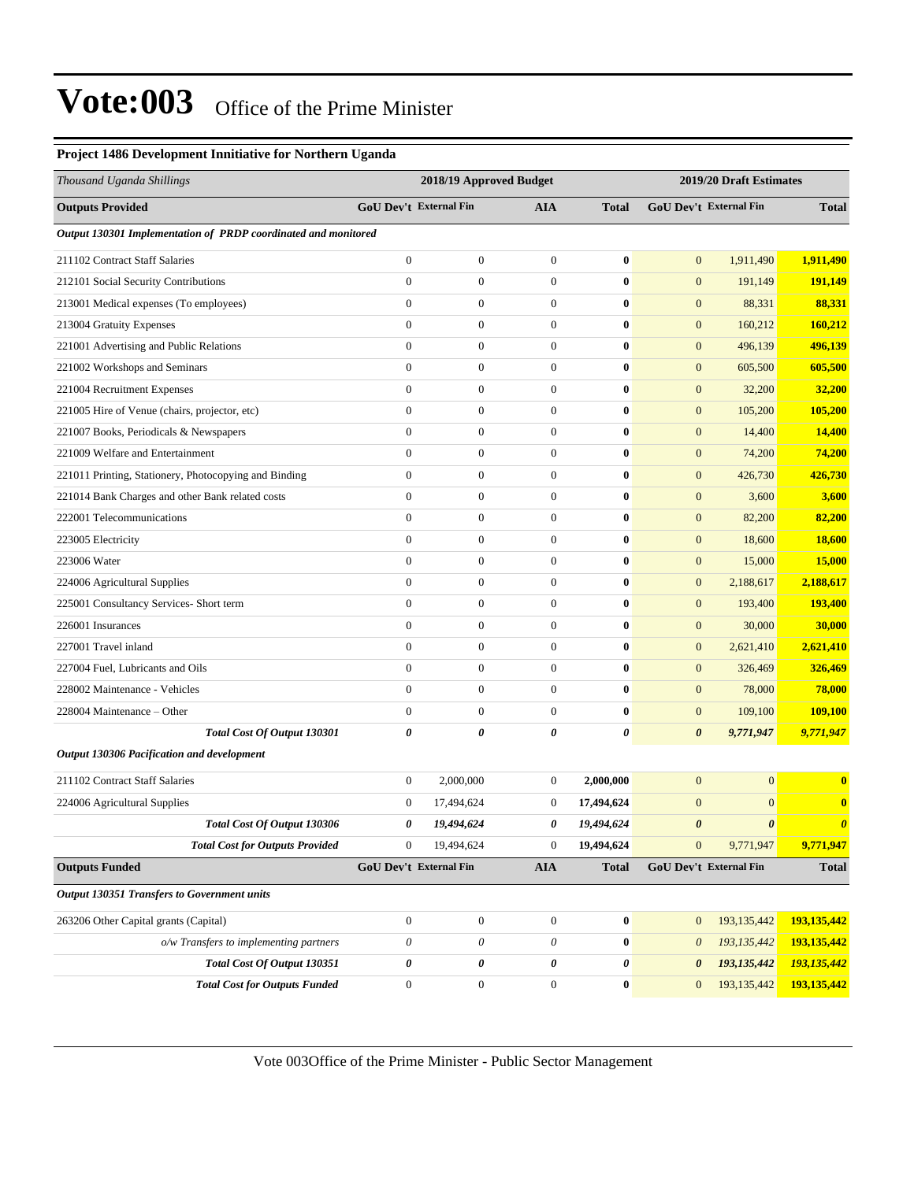#### **Project 1486 Development Innitiative for Northern Uganda**

| Thousand Uganda Shillings                                      |                        | 2018/19 Approved Budget   |                           |                |                       | 2019/20 Draft Estimates |                       |
|----------------------------------------------------------------|------------------------|---------------------------|---------------------------|----------------|-----------------------|-------------------------|-----------------------|
| <b>Outputs Provided</b>                                        | GoU Dev't External Fin |                           | <b>AIA</b>                | <b>Total</b>   |                       | GoU Dev't External Fin  | <b>Total</b>          |
| Output 130301 Implementation of PRDP coordinated and monitored |                        |                           |                           |                |                       |                         |                       |
| 211102 Contract Staff Salaries                                 | $\boldsymbol{0}$       | $\boldsymbol{0}$          | $\boldsymbol{0}$          | $\bf{0}$       | $\mathbf{0}$          | 1,911,490               | 1,911,490             |
| 212101 Social Security Contributions                           | $\overline{0}$         | $\boldsymbol{0}$          | $\boldsymbol{0}$          | $\bf{0}$       | $\mathbf{0}$          | 191,149                 | 191,149               |
| 213001 Medical expenses (To employees)                         | $\overline{0}$         | $\boldsymbol{0}$          | $\boldsymbol{0}$          | $\bf{0}$       | $\mathbf{0}$          | 88,331                  | 88,331                |
| 213004 Gratuity Expenses                                       | $\boldsymbol{0}$       | $\boldsymbol{0}$          | $\boldsymbol{0}$          | $\bf{0}$       | $\mathbf{0}$          | 160,212                 | 160,212               |
| 221001 Advertising and Public Relations                        | $\boldsymbol{0}$       | $\boldsymbol{0}$          | $\boldsymbol{0}$          | $\bf{0}$       | $\mathbf{0}$          | 496,139                 | 496,139               |
| 221002 Workshops and Seminars                                  | $\mathbf{0}$           | $\boldsymbol{0}$          | $\boldsymbol{0}$          | $\bf{0}$       | $\mathbf{0}$          | 605,500                 | 605,500               |
| 221004 Recruitment Expenses                                    | $\overline{0}$         | $\boldsymbol{0}$          | $\boldsymbol{0}$          | $\bf{0}$       | $\mathbf{0}$          | 32,200                  | 32,200                |
| 221005 Hire of Venue (chairs, projector, etc)                  | $\overline{0}$         | $\boldsymbol{0}$          | $\boldsymbol{0}$          | $\bf{0}$       | $\mathbf{0}$          | 105,200                 | 105,200               |
| 221007 Books, Periodicals & Newspapers                         | $\boldsymbol{0}$       | $\boldsymbol{0}$          | $\boldsymbol{0}$          | $\bf{0}$       | $\mathbf{0}$          | 14,400                  | 14,400                |
| 221009 Welfare and Entertainment                               | $\boldsymbol{0}$       | $\boldsymbol{0}$          | $\boldsymbol{0}$          | $\bf{0}$       | $\mathbf{0}$          | 74,200                  | 74,200                |
| 221011 Printing, Stationery, Photocopying and Binding          | $\mathbf{0}$           | $\boldsymbol{0}$          | $\boldsymbol{0}$          | $\bf{0}$       | $\mathbf{0}$          | 426,730                 | 426,730               |
| 221014 Bank Charges and other Bank related costs               | $\overline{0}$         | $\boldsymbol{0}$          | $\boldsymbol{0}$          | $\bf{0}$       | $\mathbf{0}$          | 3,600                   | 3,600                 |
| 222001 Telecommunications                                      | $\overline{0}$         | $\boldsymbol{0}$          | $\mathbf{0}$              | $\bf{0}$       | $\mathbf{0}$          | 82,200                  | 82,200                |
| 223005 Electricity                                             | $\overline{0}$         | $\boldsymbol{0}$          | $\boldsymbol{0}$          | $\bf{0}$       | $\mathbf{0}$          | 18,600                  | <b>18,600</b>         |
| 223006 Water                                                   | $\boldsymbol{0}$       | $\boldsymbol{0}$          | $\boldsymbol{0}$          | $\bf{0}$       | $\mathbf{0}$          | 15,000                  | 15,000                |
| 224006 Agricultural Supplies                                   | $\mathbf{0}$           | $\boldsymbol{0}$          | $\boldsymbol{0}$          | $\bf{0}$       | $\mathbf{0}$          | 2,188,617               | 2,188,617             |
| 225001 Consultancy Services- Short term                        | $\overline{0}$         | $\overline{0}$            | $\boldsymbol{0}$          | $\bf{0}$       | $\mathbf{0}$          | 193,400                 | 193,400               |
| 226001 Insurances                                              | $\overline{0}$         | $\boldsymbol{0}$          | $\mathbf{0}$              | $\bf{0}$       | $\mathbf{0}$          | 30,000                  | 30,000                |
| 227001 Travel inland                                           | $\overline{0}$         | $\boldsymbol{0}$          | $\boldsymbol{0}$          | $\bf{0}$       | $\mathbf{0}$          | 2,621,410               | 2,621,410             |
| 227004 Fuel, Lubricants and Oils                               | $\boldsymbol{0}$       | $\boldsymbol{0}$          | $\boldsymbol{0}$          | $\bf{0}$       | $\mathbf{0}$          | 326,469                 | 326,469               |
| 228002 Maintenance - Vehicles                                  | $\mathbf{0}$           | $\boldsymbol{0}$          | $\boldsymbol{0}$          | $\bf{0}$       | $\mathbf{0}$          | 78,000                  | 78,000                |
| 228004 Maintenance - Other                                     | $\boldsymbol{0}$       | 0                         | $\boldsymbol{0}$          | $\bf{0}$       | $\mathbf{0}$          | 109,100                 | 109,100               |
| Total Cost Of Output 130301                                    | 0                      | 0                         | 0                         | 0              | $\boldsymbol{\theta}$ | 9,771,947               | 9,771,947             |
| Output 130306 Pacification and development                     |                        |                           |                           |                |                       |                         |                       |
| 211102 Contract Staff Salaries                                 | $\boldsymbol{0}$       | 2,000,000                 | $\boldsymbol{0}$          | 2,000,000      | $\mathbf{0}$          | $\boldsymbol{0}$        | $\bf{0}$              |
| 224006 Agricultural Supplies                                   | $\boldsymbol{0}$       | 17,494,624                | $\mathbf{0}$              | 17,494,624     | $\mathbf{0}$          | $\mathbf{0}$            | $\bf{0}$              |
| <b>Total Cost Of Output 130306</b>                             | 0                      | 19,494,624                | 0                         | 19,494,624     | $\boldsymbol{\theta}$ | $\boldsymbol{\theta}$   | $\boldsymbol{\theta}$ |
| <b>Total Cost for Outputs Provided</b>                         | $\boldsymbol{0}$       | 19,494,624                | $\boldsymbol{0}$          | 19,494,624     | $\mathbf{0}$          | 9,771,947               | 9,771,947             |
| <b>Outputs Funded</b>                                          |                        | GoU Dev't External Fin    | AIA                       | <b>Total</b>   |                       | GoU Dev't External Fin  | <b>Total</b>          |
| Output 130351 Transfers to Government units                    |                        |                           |                           |                |                       |                         |                       |
| 263206 Other Capital grants (Capital)                          | $\boldsymbol{0}$       | $\boldsymbol{0}$          | $\boldsymbol{0}$          | $\bf{0}$       | $\mathbf{0}$          | 193,135,442             | 193,135,442           |
| o/w Transfers to implementing partners                         | 0                      | $\boldsymbol{\mathit{0}}$ | $\boldsymbol{\mathit{0}}$ | $\pmb{0}$      | $\boldsymbol{\theta}$ | 193, 135, 442           | 193,135,442           |
| Total Cost Of Output 130351                                    | 0                      | 0                         | 0                         | $\pmb{\theta}$ | $\boldsymbol{\theta}$ | 193,135,442             | 193,135,442           |
| <b>Total Cost for Outputs Funded</b>                           | $\boldsymbol{0}$       | $\boldsymbol{0}$          | $\boldsymbol{0}$          | $\pmb{0}$      | $\mathbf{0}$          | 193,135,442             | 193,135,442           |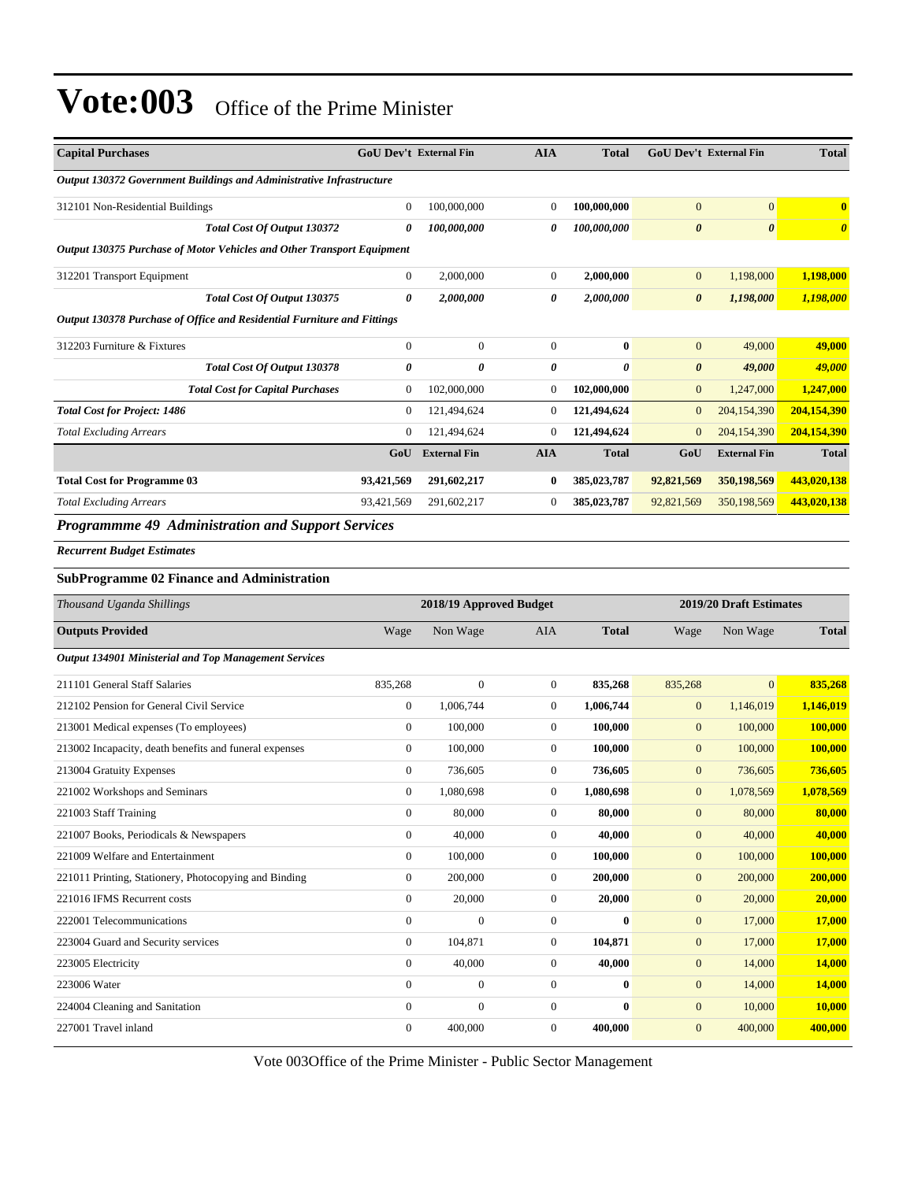| <b>Capital Purchases</b>                                                | <b>GoU Dev't External Fin</b> |                     | <b>AIA</b>   | <b>Total</b> | <b>GoU Dev't External Fin</b> |                       | <b>Total</b> |
|-------------------------------------------------------------------------|-------------------------------|---------------------|--------------|--------------|-------------------------------|-----------------------|--------------|
| Output 130372 Government Buildings and Administrative Infrastructure    |                               |                     |              |              |                               |                       |              |
| 312101 Non-Residential Buildings                                        | $\mathbf{0}$                  | 100,000,000         | $\Omega$     | 100,000,000  | $\overline{0}$                | $\overline{0}$        | $\mathbf{0}$ |
| <b>Total Cost Of Output 130372</b>                                      | 0                             | 100,000,000         | 0            | 100,000,000  | $\boldsymbol{\theta}$         | $\boldsymbol{\theta}$ | $\theta$     |
| Output 130375 Purchase of Motor Vehicles and Other Transport Equipment  |                               |                     |              |              |                               |                       |              |
| 312201 Transport Equipment                                              | $\overline{0}$                | 2,000,000           | $\mathbf{0}$ | 2,000,000    | $\mathbf{0}$                  | 1,198,000             | 1,198,000    |
| Total Cost Of Output 130375                                             | 0                             | 2,000,000           | 0            | 2,000,000    | $\boldsymbol{\theta}$         | 1,198,000             | 1,198,000    |
| Output 130378 Purchase of Office and Residential Furniture and Fittings |                               |                     |              |              |                               |                       |              |
| 312203 Furniture & Fixtures                                             | $\overline{0}$                | $\mathbf{0}$        | $\mathbf{0}$ | $\bf{0}$     | $\mathbf{0}$                  | 49,000                | 49,000       |
| Total Cost Of Output 130378                                             | 0                             | 0                   | 0            | 0            | $\boldsymbol{\theta}$         | 49,000                | 49,000       |
| <b>Total Cost for Capital Purchases</b>                                 | $\overline{0}$                | 102,000,000         | $\Omega$     | 102,000,000  | $\mathbf{0}$                  | 1,247,000             | 1,247,000    |
| <b>Total Cost for Project: 1486</b>                                     | $\overline{0}$                | 121,494,624         | $\Omega$     | 121,494,624  | $\mathbf{0}$                  | 204,154,390           | 204,154,390  |
| <b>Total Excluding Arrears</b>                                          | $\mathbf{0}$                  | 121,494,624         | $\Omega$     | 121,494,624  | $\mathbf{0}$                  | 204,154,390           | 204,154,390  |
|                                                                         | GoU                           | <b>External Fin</b> | <b>AIA</b>   | <b>Total</b> | GoU                           | <b>External Fin</b>   | <b>Total</b> |
| <b>Total Cost for Programme 03</b>                                      | 93,421,569                    | 291,602,217         | $\mathbf{0}$ | 385,023,787  | 92,821,569                    | 350,198,569           | 443,020,138  |
| <b>Total Excluding Arrears</b>                                          | 93,421,569                    | 291,602,217         | $\mathbf{0}$ | 385,023,787  | 92,821,569                    | 350,198,569           | 443,020,138  |
| <b>Programmme 49 Administration and Support Services</b>                |                               |                     |              |              |                               |                       |              |

*Recurrent Budget Estimates*

#### **SubProgramme 02 Finance and Administration**

| Thousand Uganda Shillings                              |                | 2018/19 Approved Budget |                |              |                | 2019/20 Draft Estimates |               |  |
|--------------------------------------------------------|----------------|-------------------------|----------------|--------------|----------------|-------------------------|---------------|--|
| <b>Outputs Provided</b>                                | Wage           | Non Wage                | <b>AIA</b>     | <b>Total</b> | Wage           | Non Wage                | <b>Total</b>  |  |
| Output 134901 Ministerial and Top Management Services  |                |                         |                |              |                |                         |               |  |
| 211101 General Staff Salaries                          | 835,268        | $\mathbf{0}$            | $\overline{0}$ | 835,268      | 835,268        | $\overline{0}$          | 835,268       |  |
| 212102 Pension for General Civil Service               | $\overline{0}$ | 1,006,744               | $\Omega$       | 1,006,744    | $\mathbf{0}$   | 1,146,019               | 1,146,019     |  |
| 213001 Medical expenses (To employees)                 | $\mathbf{0}$   | 100,000                 | $\overline{0}$ | 100,000      | $\mathbf{0}$   | 100,000                 | 100,000       |  |
| 213002 Incapacity, death benefits and funeral expenses | $\overline{0}$ | 100,000                 | $\overline{0}$ | 100,000      | $\mathbf{0}$   | 100,000                 | 100,000       |  |
| 213004 Gratuity Expenses                               | $\overline{0}$ | 736,605                 | $\overline{0}$ | 736,605      | $\mathbf{0}$   | 736,605                 | 736,605       |  |
| 221002 Workshops and Seminars                          | $\overline{0}$ | 1,080,698               | $\theta$       | 1,080,698    | $\overline{0}$ | 1,078,569               | 1,078,569     |  |
| 221003 Staff Training                                  | $\mathbf{0}$   | 80,000                  | $\Omega$       | 80,000       | $\mathbf{0}$   | 80,000                  | 80,000        |  |
| 221007 Books, Periodicals & Newspapers                 | $\overline{0}$ | 40,000                  | $\overline{0}$ | 40,000       | $\mathbf{0}$   | 40,000                  | 40,000        |  |
| 221009 Welfare and Entertainment                       | $\overline{0}$ | 100,000                 | $\overline{0}$ | 100,000      | $\mathbf{0}$   | 100,000                 | 100,000       |  |
| 221011 Printing, Stationery, Photocopying and Binding  | 0              | 200,000                 | $\overline{0}$ | 200,000      | $\mathbf{0}$   | 200,000                 | 200,000       |  |
| 221016 IFMS Recurrent costs                            | $\Omega$       | 20,000                  | $\Omega$       | 20,000       | $\overline{0}$ | 20,000                  | 20,000        |  |
| 222001 Telecommunications                              | $\mathbf{0}$   | $\mathbf{0}$            | $\mathbf{0}$   | $\mathbf{0}$ | $\mathbf{0}$   | 17,000                  | 17,000        |  |
| 223004 Guard and Security services                     | $\overline{0}$ | 104,871                 | $\mathbf{0}$   | 104,871      | $\mathbf{0}$   | 17,000                  | 17,000        |  |
| 223005 Electricity                                     | $\overline{0}$ | 40,000                  | $\overline{0}$ | 40,000       | $\mathbf{0}$   | 14,000                  | <b>14,000</b> |  |
| 223006 Water                                           | $\overline{0}$ | $\mathbf{0}$            | $\mathbf{0}$   | 0            | $\mathbf{0}$   | 14,000                  | 14,000        |  |
| 224004 Cleaning and Sanitation                         | $\mathbf{0}$   | $\mathbf{0}$            | $\Omega$       | $\mathbf{0}$ | $\mathbf{0}$   | 10,000                  | 10,000        |  |
| 227001 Travel inland                                   | $\Omega$       | 400,000                 | $\theta$       | 400.000      | $\mathbf{0}$   | 400,000                 | 400,000       |  |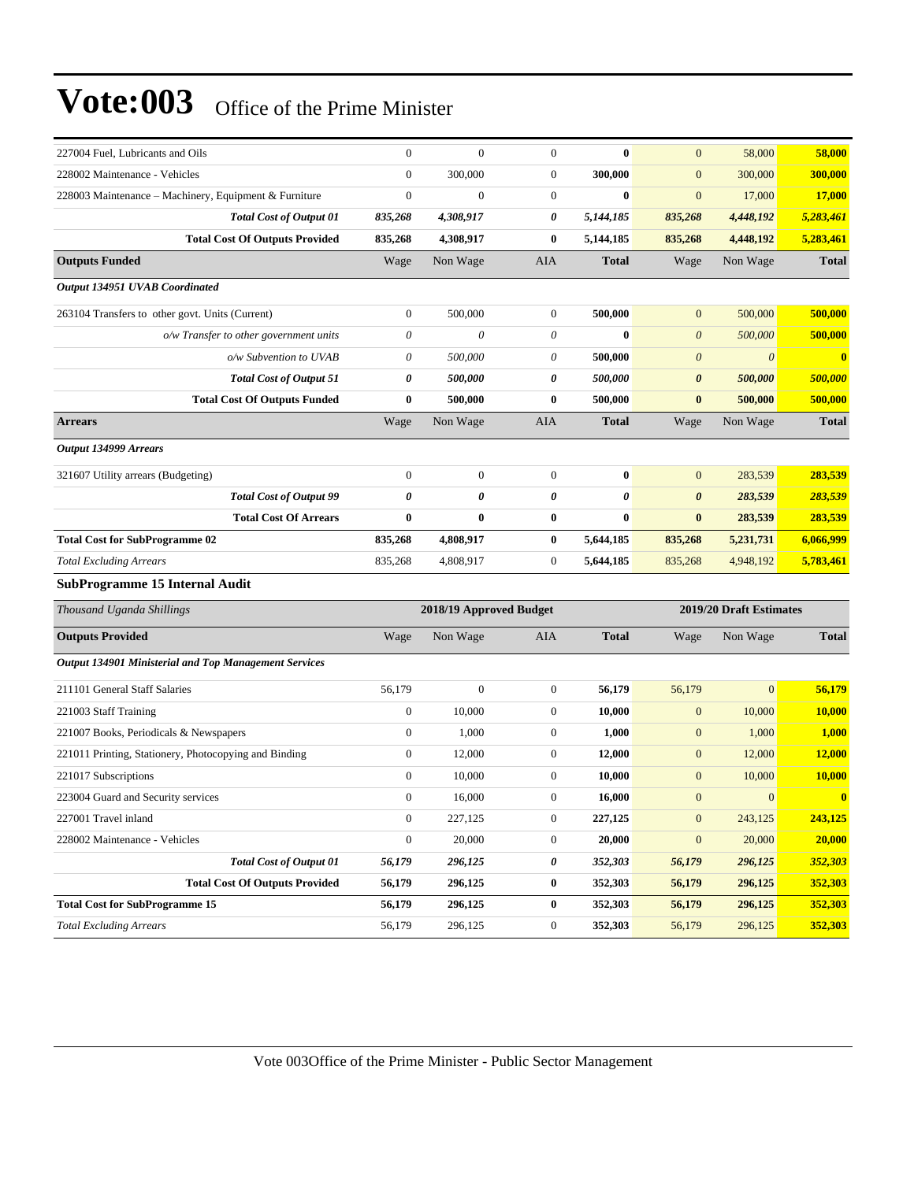| 227004 Fuel, Lubricants and Oils                             | $\boldsymbol{0}$          | $\overline{0}$          | $\overline{0}$   | $\bf{0}$     | $\mathbf{0}$          | 58,000                  | 58,000                  |
|--------------------------------------------------------------|---------------------------|-------------------------|------------------|--------------|-----------------------|-------------------------|-------------------------|
| 228002 Maintenance - Vehicles                                | $\mathbf{0}$              | 300,000                 | $\boldsymbol{0}$ | 300,000      | $\mathbf{0}$          | 300,000                 | 300,000                 |
| 228003 Maintenance – Machinery, Equipment & Furniture        | $\boldsymbol{0}$          | $\boldsymbol{0}$        | $\boldsymbol{0}$ | $\bf{0}$     | $\mathbf{0}$          | 17,000                  | 17,000                  |
| <b>Total Cost of Output 01</b>                               | 835,268                   | 4,308,917               | 0                | 5,144,185    | 835,268               | 4,448,192               | 5,283,461               |
| <b>Total Cost Of Outputs Provided</b>                        | 835,268                   | 4,308,917               | $\bf{0}$         | 5,144,185    | 835,268               | 4,448,192               | 5,283,461               |
| <b>Outputs Funded</b>                                        | Wage                      | Non Wage                | AIA              | <b>Total</b> | Wage                  | Non Wage                | <b>Total</b>            |
| Output 134951 UVAB Coordinated                               |                           |                         |                  |              |                       |                         |                         |
| 263104 Transfers to other govt. Units (Current)              | $\boldsymbol{0}$          | 500,000                 | $\boldsymbol{0}$ | 500,000      | $\mathbf{0}$          | 500,000                 | 500,000                 |
| o/w Transfer to other government units                       | $\boldsymbol{\mathit{0}}$ | $\boldsymbol{\theta}$   | 0                | $\bf{0}$     | $\boldsymbol{0}$      | 500,000                 | 500,000                 |
| o/w Subvention to UVAB                                       | $\theta$                  | 500,000                 | 0                | 500,000      | $\boldsymbol{\theta}$ | $\boldsymbol{\theta}$   | $\overline{\mathbf{0}}$ |
| <b>Total Cost of Output 51</b>                               | 0                         | 500,000                 | 0                | 500,000      | $\boldsymbol{\theta}$ | 500,000                 | 500,000                 |
| <b>Total Cost Of Outputs Funded</b>                          | $\bf{0}$                  | 500,000                 | $\bf{0}$         | 500,000      | $\bf{0}$              | 500,000                 | 500,000                 |
| <b>Arrears</b>                                               | Wage                      | Non Wage                | AIA              | <b>Total</b> | Wage                  | Non Wage                | <b>Total</b>            |
| Output 134999 Arrears                                        |                           |                         |                  |              |                       |                         |                         |
| 321607 Utility arrears (Budgeting)                           | $\mathbf{0}$              | $\boldsymbol{0}$        | $\boldsymbol{0}$ | $\bf{0}$     | $\mathbf{0}$          | 283,539                 | 283,539                 |
| <b>Total Cost of Output 99</b>                               | $\boldsymbol{\theta}$     | 0                       | 0                | 0            | $\boldsymbol{\theta}$ | 283,539                 | 283,539                 |
| <b>Total Cost Of Arrears</b>                                 | $\bf{0}$                  | $\bf{0}$                | $\bf{0}$         | $\bf{0}$     | $\bf{0}$              | 283,539                 | 283,539                 |
| <b>Total Cost for SubProgramme 02</b>                        | 835,268                   | 4,808,917               | $\bf{0}$         | 5,644,185    | 835,268               | 5,231,731               | 6,066,999               |
| <b>Total Excluding Arrears</b>                               | 835,268                   | 4,808,917               | $\boldsymbol{0}$ | 5,644,185    | 835,268               | 4,948,192               | 5,783,461               |
| <b>SubProgramme 15 Internal Audit</b>                        |                           |                         |                  |              |                       |                         |                         |
| Thousand Uganda Shillings                                    |                           | 2018/19 Approved Budget |                  |              |                       | 2019/20 Draft Estimates |                         |
| <b>Outputs Provided</b>                                      | Wage                      | Non Wage                | AIA              | <b>Total</b> | Wage                  | Non Wage                | <b>Total</b>            |
| <b>Output 134901 Ministerial and Top Management Services</b> |                           |                         |                  |              |                       |                         |                         |
| 211101 General Staff Salaries                                | 56,179                    | $\boldsymbol{0}$        | $\boldsymbol{0}$ | 56,179       | 56,179                | $\overline{0}$          | 56,179                  |
| 221003 Staff Training                                        | $\boldsymbol{0}$          | 10,000                  | $\boldsymbol{0}$ | 10,000       | $\mathbf{0}$          | 10,000                  | 10,000                  |
| 221007 Books, Periodicals & Newspapers                       | $\boldsymbol{0}$          | 1,000                   | $\boldsymbol{0}$ | 1,000        | $\mathbf{0}$          | 1,000                   | 1,000                   |
| 221011 Printing, Stationery, Photocopying and Binding        | $\boldsymbol{0}$          | 12,000                  | $\boldsymbol{0}$ | 12,000       | $\mathbf{0}$          | 12,000                  | 12,000                  |
| 221017 Subscriptions                                         | $\mathbf{0}$              | 10,000                  | $\boldsymbol{0}$ | 10,000       | $\mathbf{0}$          | 10,000                  | 10,000                  |
| 223004 Guard and Security services                           | $\boldsymbol{0}$          | 16,000                  | $\overline{0}$   | 16,000       | $\mathbf{0}$          | $\mathbf{0}$            | $\bf{0}$                |
| 227001 Travel inland                                         | $\boldsymbol{0}$          | 227,125                 | $\boldsymbol{0}$ | 227,125      | $\boldsymbol{0}$      | 243,125                 | 243,125                 |
| 228002 Maintenance - Vehicles                                | $\boldsymbol{0}$          | 20,000                  | $\boldsymbol{0}$ | 20,000       | $\mathbf{0}$          | 20,000                  | 20,000                  |
| <b>Total Cost of Output 01</b>                               | 56,179                    | 296,125                 | 0                | 352,303      | 56,179                | 296,125                 | 352,303                 |
| <b>Total Cost Of Outputs Provided</b>                        | 56,179                    | 296,125                 | $\boldsymbol{0}$ | 352,303      | 56,179                | 296,125                 | 352,303                 |
| <b>Total Cost for SubProgramme 15</b>                        | 56,179                    | 296,125                 | 0                | 352,303      | 56,179                | 296,125                 | 352,303                 |
| <b>Total Excluding Arrears</b>                               | 56,179                    | 296,125                 | $\boldsymbol{0}$ | 352,303      | 56,179                | 296,125                 | 352,303                 |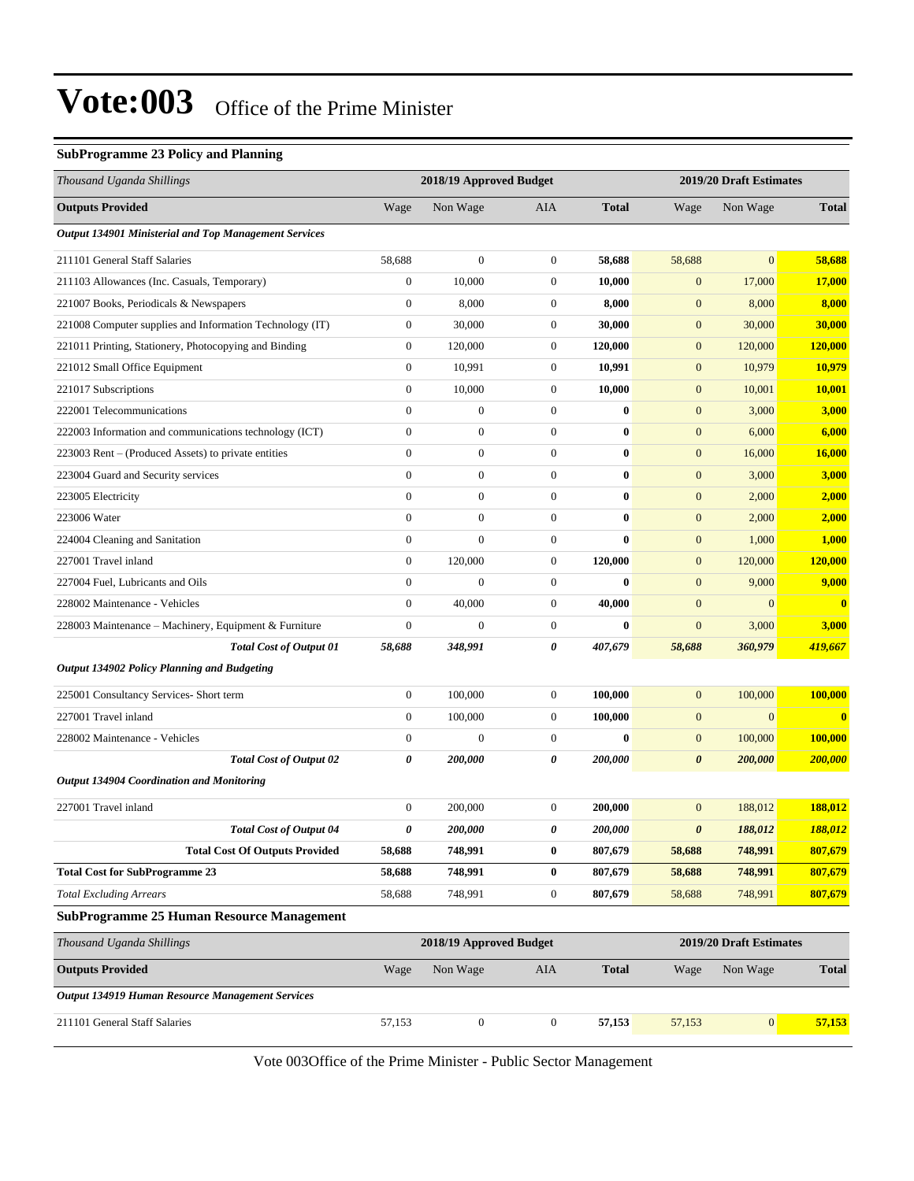#### **SubProgramme 23 Policy and Planning**

| Thousand Uganda Shillings                                |                  | 2018/19 Approved Budget |                  |              |                         | 2019/20 Draft Estimates |               |
|----------------------------------------------------------|------------------|-------------------------|------------------|--------------|-------------------------|-------------------------|---------------|
| <b>Outputs Provided</b>                                  | Wage             | Non Wage                | AIA              | <b>Total</b> | Wage                    | Non Wage                | <b>Total</b>  |
| Output 134901 Ministerial and Top Management Services    |                  |                         |                  |              |                         |                         |               |
| 211101 General Staff Salaries                            | 58,688           | $\boldsymbol{0}$        | $\boldsymbol{0}$ | 58,688       | 58,688                  | $\mathbf{0}$            | 58,688        |
| 211103 Allowances (Inc. Casuals, Temporary)              | $\mathbf{0}$     | 10,000                  | 0                | 10,000       | $\mathbf{0}$            | 17,000                  | 17,000        |
| 221007 Books, Periodicals & Newspapers                   | $\boldsymbol{0}$ | 8,000                   | $\boldsymbol{0}$ | 8,000        | $\boldsymbol{0}$        | 8,000                   | 8,000         |
| 221008 Computer supplies and Information Technology (IT) | $\boldsymbol{0}$ | 30,000                  | 0                | 30,000       | $\mathbf{0}$            | 30,000                  | 30,000        |
| 221011 Printing, Stationery, Photocopying and Binding    | $\boldsymbol{0}$ | 120,000                 | $\boldsymbol{0}$ | 120,000      | $\boldsymbol{0}$        | 120,000                 | 120,000       |
| 221012 Small Office Equipment                            | $\boldsymbol{0}$ | 10,991                  | $\boldsymbol{0}$ | 10,991       | $\mathbf{0}$            | 10,979                  | 10,979        |
| 221017 Subscriptions                                     | $\boldsymbol{0}$ | 10,000                  | 0                | 10,000       | $\boldsymbol{0}$        | 10,001                  | 10,001        |
| 222001 Telecommunications                                | $\mathbf{0}$     | $\boldsymbol{0}$        | $\boldsymbol{0}$ | $\bf{0}$     | $\boldsymbol{0}$        | 3,000                   | 3,000         |
| 222003 Information and communications technology (ICT)   | $\boldsymbol{0}$ | $\boldsymbol{0}$        | $\boldsymbol{0}$ | $\bf{0}$     | $\mathbf{0}$            | 6,000                   | 6,000         |
| 223003 Rent – (Produced Assets) to private entities      | $\boldsymbol{0}$ | $\boldsymbol{0}$        | $\boldsymbol{0}$ | $\bf{0}$     | $\mathbf{0}$            | 16,000                  | <b>16,000</b> |
| 223004 Guard and Security services                       | $\mathbf{0}$     | $\boldsymbol{0}$        | $\boldsymbol{0}$ | $\bf{0}$     | $\mathbf{0}$            | 3,000                   | 3,000         |
| 223005 Electricity                                       | $\mathbf{0}$     | $\boldsymbol{0}$        | $\boldsymbol{0}$ | $\bf{0}$     | $\boldsymbol{0}$        | 2,000                   | 2,000         |
| 223006 Water                                             | $\mathbf{0}$     | $\boldsymbol{0}$        | $\boldsymbol{0}$ | $\bf{0}$     | $\boldsymbol{0}$        | 2,000                   | 2,000         |
| 224004 Cleaning and Sanitation                           | $\boldsymbol{0}$ | $\boldsymbol{0}$        | $\boldsymbol{0}$ | $\bf{0}$     | $\boldsymbol{0}$        | 1,000                   | <b>1,000</b>  |
| 227001 Travel inland                                     | $\boldsymbol{0}$ | 120,000                 | $\boldsymbol{0}$ | 120,000      | $\mathbf{0}$            | 120,000                 | 120,000       |
| 227004 Fuel, Lubricants and Oils                         | $\mathbf{0}$     | $\mathbf{0}$            | $\boldsymbol{0}$ | $\bf{0}$     | $\mathbf{0}$            | 9,000                   | 9,000         |
| 228002 Maintenance - Vehicles                            | $\mathbf{0}$     | 40,000                  | 0                | 40,000       | $\mathbf{0}$            | $\mathbf{0}$            | $\mathbf{0}$  |
| 228003 Maintenance – Machinery, Equipment & Furniture    | $\boldsymbol{0}$ | $\boldsymbol{0}$        | $\boldsymbol{0}$ | $\bf{0}$     | $\boldsymbol{0}$        | 3,000                   | 3,000         |
| <b>Total Cost of Output 01</b>                           | 58,688           | 348,991                 | 0                | 407,679      | 58,688                  | 360,979                 | 419,667       |
| <b>Output 134902 Policy Planning and Budgeting</b>       |                  |                         |                  |              |                         |                         |               |
| 225001 Consultancy Services- Short term                  | $\boldsymbol{0}$ | 100,000                 | $\boldsymbol{0}$ | 100,000      | $\boldsymbol{0}$        | 100,000                 | 100,000       |
| 227001 Travel inland                                     | $\boldsymbol{0}$ | 100,000                 | $\boldsymbol{0}$ | 100,000      | $\mathbf{0}$            | $\mathbf{0}$            | $\bf{0}$      |
| 228002 Maintenance - Vehicles                            | $\boldsymbol{0}$ | $\boldsymbol{0}$        | $\boldsymbol{0}$ | $\bf{0}$     | $\boldsymbol{0}$        | 100,000                 | 100,000       |
| Total Cost of Output 02                                  | 0                | 200,000                 | 0                | 200,000      | $\boldsymbol{\theta}$   | 200,000                 | 200,000       |
| <b>Output 134904 Coordination and Monitoring</b>         |                  |                         |                  |              |                         |                         |               |
| 227001 Travel inland                                     | $\boldsymbol{0}$ | 200,000                 | $\boldsymbol{0}$ | 200,000      | $\mathbf{0}$            | 188,012                 | 188,012       |
| <b>Total Cost of Output 04</b>                           | 0                | 200,000                 | 0                | 200,000      | $\boldsymbol{\theta}$   | 188,012                 | 188,012       |
| <b>Total Cost Of Outputs Provided</b>                    | 58,688           | 748,991                 | $\bf{0}$         | 807,679      | 58,688                  | 748,991                 | 807,679       |
| <b>Total Cost for SubProgramme 23</b>                    | 58,688           | 748,991                 | $\bf{0}$         | 807,679      | 58,688                  | 748,991                 | 807,679       |
| <b>Total Excluding Arrears</b>                           | 58,688           | 748,991                 | $\mathbf{0}$     | 807,679      | 58,688                  | 748,991                 | 807,679       |
| <b>SubProgramme 25 Human Resource Management</b>         |                  |                         |                  |              |                         |                         |               |
| Thousand Uganda Shillings                                |                  | 2018/19 Approved Budget |                  |              | 2019/20 Draft Estimates |                         |               |
| <b>Outputs Provided</b>                                  | Wage             | Non Wage                | AIA              | <b>Total</b> | Wage                    | Non Wage                | <b>Total</b>  |
| Output 134919 Human Resource Management Services         |                  |                         |                  |              |                         |                         |               |
| 211101 General Staff Salaries                            | 57,153           | $\boldsymbol{0}$        | $\boldsymbol{0}$ | 57,153       | 57,153                  | $\vert 0 \vert$         | 57,153        |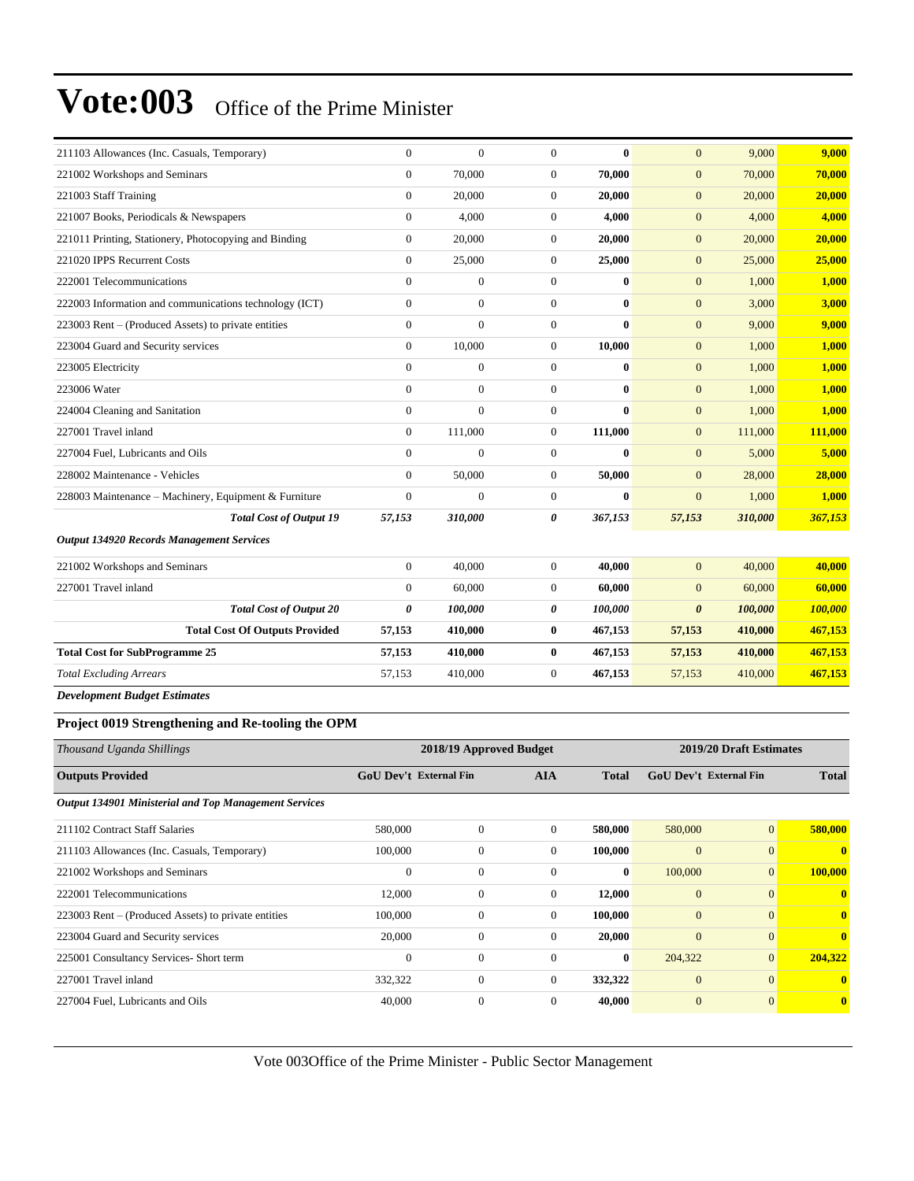| 211103 Allowances (Inc. Casuals, Temporary)            | $\overline{0}$ | $\overline{0}$   | $\overline{0}$ | $\bf{0}$     | $\overline{0}$        | 9,000   | 9,000   |
|--------------------------------------------------------|----------------|------------------|----------------|--------------|-----------------------|---------|---------|
| 221002 Workshops and Seminars                          | $\overline{0}$ | 70,000           | $\mathbf{0}$   | 70,000       | $\mathbf{0}$          | 70,000  | 70,000  |
| 221003 Staff Training                                  | $\overline{0}$ | 20,000           | $\mathbf{0}$   | 20,000       | $\mathbf{0}$          | 20,000  | 20,000  |
| 221007 Books, Periodicals & Newspapers                 | $\overline{0}$ | 4.000            | $\mathbf{0}$   | 4.000        | $\mathbf{0}$          | 4,000   | 4,000   |
| 221011 Printing, Stationery, Photocopying and Binding  | $\overline{0}$ | 20,000           | $\overline{0}$ | 20,000       | $\mathbf{0}$          | 20,000  | 20,000  |
| 221020 IPPS Recurrent Costs                            | $\overline{0}$ | 25,000           | $\overline{0}$ | 25,000       | $\mathbf{0}$          | 25,000  | 25,000  |
| 222001 Telecommunications                              | $\overline{0}$ | $\overline{0}$   | $\overline{0}$ | $\bf{0}$     | $\mathbf{0}$          | 1,000   | 1,000   |
| 222003 Information and communications technology (ICT) | $\overline{0}$ | $\overline{0}$   | $\mathbf{0}$   | $\bf{0}$     | $\mathbf{0}$          | 3,000   | 3,000   |
| 223003 Rent – (Produced Assets) to private entities    | $\overline{0}$ | $\overline{0}$   | $\mathbf{0}$   | 0            | $\mathbf{0}$          | 9,000   | 9,000   |
| 223004 Guard and Security services                     | $\overline{0}$ | 10,000           | $\mathbf{0}$   | 10,000       | $\mathbf{0}$          | 1,000   | 1,000   |
| 223005 Electricity                                     | $\overline{0}$ | $\boldsymbol{0}$ | $\mathbf{0}$   | $\bf{0}$     | $\mathbf{0}$          | 1,000   | 1,000   |
| 223006 Water                                           | $\overline{0}$ | $\overline{0}$   | $\overline{0}$ | $\bf{0}$     | $\mathbf{0}$          | 1,000   | 1,000   |
| 224004 Cleaning and Sanitation                         | $\Omega$       | $\theta$         | $\overline{0}$ | $\bf{0}$     | $\overline{0}$        | 1,000   | 1,000   |
| 227001 Travel inland                                   | $\overline{0}$ | 111,000          | $\mathbf{0}$   | 111,000      | $\overline{0}$        | 111,000 | 111,000 |
| 227004 Fuel, Lubricants and Oils                       | $\Omega$       | $\overline{0}$   | $\mathbf{0}$   | $\bf{0}$     | $\mathbf{0}$          | 5,000   | 5,000   |
| 228002 Maintenance - Vehicles                          | $\overline{0}$ | 50,000           | $\overline{0}$ | 50,000       | $\overline{0}$        | 28,000  | 28,000  |
| 228003 Maintenance - Machinery, Equipment & Furniture  | $\overline{0}$ | $\Omega$         | $\mathbf{0}$   | $\mathbf{0}$ | $\overline{0}$        | 1,000   | 1,000   |
| <b>Total Cost of Output 19</b>                         | 57,153         | 310,000          | 0              | 367,153      | 57,153                | 310,000 | 367,153 |
| <b>Output 134920 Records Management Services</b>       |                |                  |                |              |                       |         |         |
| 221002 Workshops and Seminars                          | $\overline{0}$ | 40,000           | $\mathbf{0}$   | 40.000       | $\overline{0}$        | 40,000  | 40,000  |
| 227001 Travel inland                                   | $\Omega$       | 60,000           | $\overline{0}$ | 60,000       | $\Omega$              | 60,000  | 60,000  |
| <b>Total Cost of Output 20</b>                         | 0              | 100,000          | 0              | 100,000      | $\boldsymbol{\theta}$ | 100,000 | 100,000 |
| <b>Total Cost Of Outputs Provided</b>                  | 57,153         | 410,000          | $\bf{0}$       | 467,153      | 57,153                | 410,000 | 467,153 |
| <b>Total Cost for SubProgramme 25</b>                  | 57,153         | 410,000          | $\bf{0}$       | 467,153      | 57,153                | 410,000 | 467,153 |
| <b>Total Excluding Arrears</b>                         | 57,153         | 410,000          | $\mathbf{0}$   | 467,153      | 57,153                | 410,000 | 467,153 |
| <b>Development Budget Estimates</b>                    |                |                  |                |              |                       |         |         |

#### **Project 0019 Strengthening and Re-tooling the OPM**

| Thousand Uganda Shillings                                    | 2018/19 Approved Budget       |              |              |              | 2019/20 Draft Estimates       |                |              |
|--------------------------------------------------------------|-------------------------------|--------------|--------------|--------------|-------------------------------|----------------|--------------|
| <b>Outputs Provided</b>                                      | <b>GoU Dev't External Fin</b> |              | <b>AIA</b>   | <b>Total</b> | <b>GoU</b> Dev't External Fin |                | <b>Total</b> |
| <b>Output 134901 Ministerial and Top Management Services</b> |                               |              |              |              |                               |                |              |
| 211102 Contract Staff Salaries                               | 580,000                       | $\mathbf{0}$ | $\Omega$     | 580,000      | 580,000                       | $\mathbf{0}$   | 580,000      |
| 211103 Allowances (Inc. Casuals, Temporary)                  | 100,000                       | $\mathbf{0}$ | $\mathbf{0}$ | 100,000      | $\overline{0}$                | $\overline{0}$ | $\mathbf{0}$ |
| 221002 Workshops and Seminars                                | $\mathbf{0}$                  | $\mathbf{0}$ | $\Omega$     | $\bf{0}$     | 100,000                       | $\mathbf{0}$   | 100,000      |
| 222001 Telecommunications                                    | 12,000                        | $\mathbf{0}$ | $\mathbf{0}$ | 12,000       | $\mathbf{0}$                  | $\overline{0}$ | $\mathbf{0}$ |
| 223003 Rent – (Produced Assets) to private entities          | 100,000                       | $\mathbf{0}$ | $\mathbf{0}$ | 100,000      | $\mathbf{0}$                  | $\overline{0}$ | $\mathbf{0}$ |
| 223004 Guard and Security services                           | 20,000                        | $\mathbf{0}$ | $\mathbf{0}$ | 20,000       | $\mathbf{0}$                  | $\overline{0}$ | $\mathbf{0}$ |
| 225001 Consultancy Services- Short term                      | $\mathbf{0}$                  | $\mathbf{0}$ | $\Omega$     | $\bf{0}$     | 204,322                       | $\mathbf{0}$   | 204,322      |
| 227001 Travel inland                                         | 332,322                       | $\mathbf{0}$ | $\mathbf{0}$ | 332,322      | $\overline{0}$                | $\overline{0}$ | $\mathbf{0}$ |
| 227004 Fuel, Lubricants and Oils                             | 40,000                        | $\theta$     | $\Omega$     | 40,000       | $\overline{0}$                | $\overline{0}$ | $\mathbf{0}$ |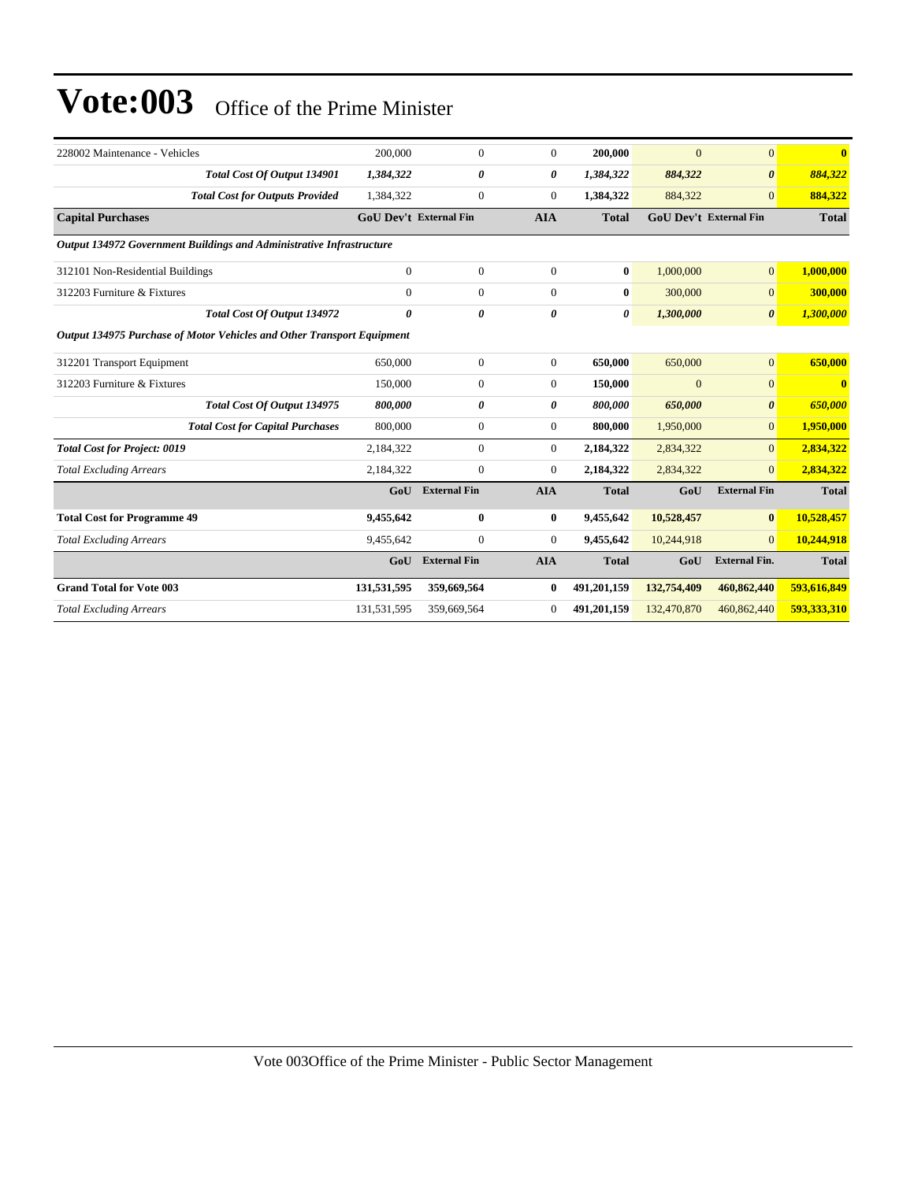| 228002 Maintenance - Vehicles                                          | 200,000                       | $\mathbf{0}$        | $\overline{0}$ | 200,000      | $\overline{0}$ | $\overline{0}$         | $\mathbf{0}$            |
|------------------------------------------------------------------------|-------------------------------|---------------------|----------------|--------------|----------------|------------------------|-------------------------|
| Total Cost Of Output 134901                                            | 1,384,322                     | 0                   | 0              | 1,384,322    | 884,322        | $\boldsymbol{\theta}$  | 884,322                 |
| <b>Total Cost for Outputs Provided</b>                                 | 1,384,322                     | $\boldsymbol{0}$    | $\overline{0}$ | 1,384,322    | 884,322        | $\overline{0}$         | 884,322                 |
| <b>Capital Purchases</b>                                               | <b>GoU Dev't External Fin</b> |                     | <b>AIA</b>     | <b>Total</b> |                | GoU Dev't External Fin | <b>Total</b>            |
| Output 134972 Government Buildings and Administrative Infrastructure   |                               |                     |                |              |                |                        |                         |
| 312101 Non-Residential Buildings                                       | $\mathbf{0}$                  | $\mathbf{0}$        | $\overline{0}$ | $\bf{0}$     | 1.000,000      | $\overline{0}$         | 1,000,000               |
| 312203 Furniture & Fixtures                                            | $\mathbf{0}$                  | $\boldsymbol{0}$    | $\overline{0}$ | $\bf{0}$     | 300,000        | $\overline{0}$         | 300,000                 |
| <b>Total Cost Of Output 134972</b>                                     | 0                             | 0                   | 0              | 0            | 1,300,000      | $\boldsymbol{\theta}$  | 1,300,000               |
| Output 134975 Purchase of Motor Vehicles and Other Transport Equipment |                               |                     |                |              |                |                        |                         |
| 312201 Transport Equipment                                             | 650,000                       | $\boldsymbol{0}$    | $\overline{0}$ | 650,000      | 650,000        | $\overline{0}$         | 650,000                 |
| 312203 Furniture & Fixtures                                            | 150,000                       | $\mathbf{0}$        | $\overline{0}$ | 150,000      | $\mathbf{0}$   | $\overline{0}$         | $\overline{\mathbf{0}}$ |
| Total Cost Of Output 134975                                            | 800,000                       | 0                   | 0              | 800,000      | 650,000        | $\boldsymbol{\theta}$  | 650,000                 |
| <b>Total Cost for Capital Purchases</b>                                | 800,000                       | $\boldsymbol{0}$    | $\overline{0}$ | 800,000      | 1,950,000      | $\overline{0}$         | 1,950,000               |
| <b>Total Cost for Project: 0019</b>                                    | 2,184,322                     | $\mathbf{0}$        | $\overline{0}$ | 2,184,322    | 2,834,322      | $\overline{0}$         | 2,834,322               |
| <b>Total Excluding Arrears</b>                                         | 2,184,322                     | $\boldsymbol{0}$    | $\overline{0}$ | 2,184,322    | 2,834,322      | $\overline{0}$         | 2,834,322               |
|                                                                        | GoU                           | <b>External Fin</b> | <b>AIA</b>     | <b>Total</b> | GoU            | <b>External Fin</b>    | <b>Total</b>            |
| <b>Total Cost for Programme 49</b>                                     | 9,455,642                     | $\bf{0}$            | $\bf{0}$       | 9,455,642    | 10,528,457     | $\bf{0}$               | 10,528,457              |
| <b>Total Excluding Arrears</b>                                         | 9,455,642                     | $\mathbf{0}$        | $\overline{0}$ | 9,455,642    | 10,244,918     | $\overline{0}$         | 10,244,918              |
|                                                                        | GoU                           | <b>External Fin</b> | <b>AIA</b>     | <b>Total</b> | GoU            | <b>External Fin.</b>   | <b>Total</b>            |
| <b>Grand Total for Vote 003</b>                                        | 131,531,595                   | 359,669,564         | $\bf{0}$       | 491,201,159  | 132,754,409    | 460,862,440            | 593,616,849             |
| <b>Total Excluding Arrears</b>                                         | 131,531,595                   | 359,669,564         | $\overline{0}$ | 491,201,159  | 132,470,870    | 460,862,440            | 593,333,310             |